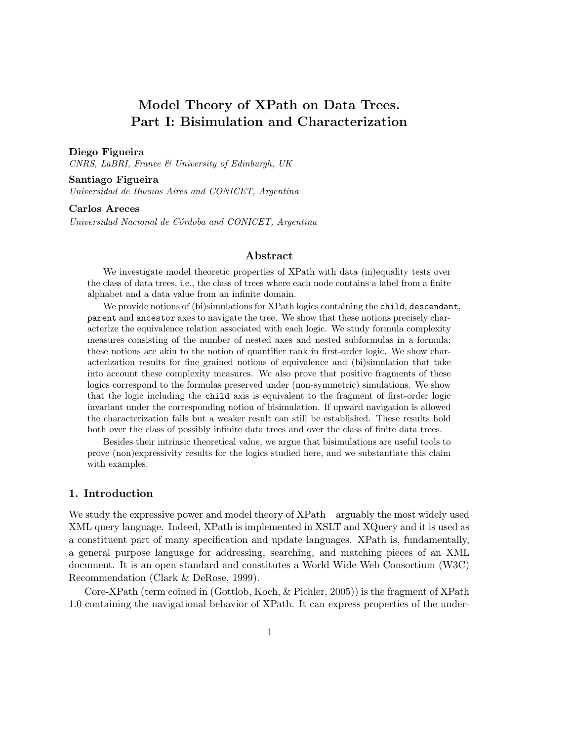# Model Theory of XPath on Data Trees. Part I: Bisimulation and Characterization

#### Diego Figueira

CNRS, LaBRI, France & University of Edinburgh, UK

#### Santiago Figueira

Universidad de Buenos Aires and CONICET, Argentina

#### Carlos Areces

Universidad Nacional de Córdoba and CONICET, Argentina

#### Abstract

We investigate model theoretic properties of XPath with data (in)equality tests over the class of data trees, i.e., the class of trees where each node contains a label from a finite alphabet and a data value from an infinite domain.

We provide notions of (bi)simulations for XPath logics containing the child, descendant, parent and ancestor axes to navigate the tree. We show that these notions precisely characterize the equivalence relation associated with each logic. We study formula complexity measures consisting of the number of nested axes and nested subformulas in a formula; these notions are akin to the notion of quantifier rank in first-order logic. We show characterization results for fine grained notions of equivalence and (bi)simulation that take into account these complexity measures. We also prove that positive fragments of these logics correspond to the formulas preserved under (non-symmetric) simulations. We show that the logic including the child axis is equivalent to the fragment of first-order logic invariant under the corresponding notion of bisimulation. If upward navigation is allowed the characterization fails but a weaker result can still be established. These results hold both over the class of possibly infinite data trees and over the class of finite data trees.

Besides their intrinsic theoretical value, we argue that bisimulations are useful tools to prove (non)expressivity results for the logics studied here, and we substantiate this claim with examples.

# 1. Introduction

We study the expressive power and model theory of XPath—arguably the most widely used XML query language. Indeed, XPath is implemented in XSLT and XQuery and it is used as a constituent part of many specification and update languages. XPath is, fundamentally, a general purpose language for addressing, searching, and matching pieces of an XML document. It is an open standard and constitutes a World Wide Web Consortium (W3C) Recommendation (Clark & DeRose, 1999).

Core-XPath (term coined in (Gottlob, Koch, & Pichler, 2005)) is the fragment of XPath 1.0 containing the navigational behavior of XPath. It can express properties of the under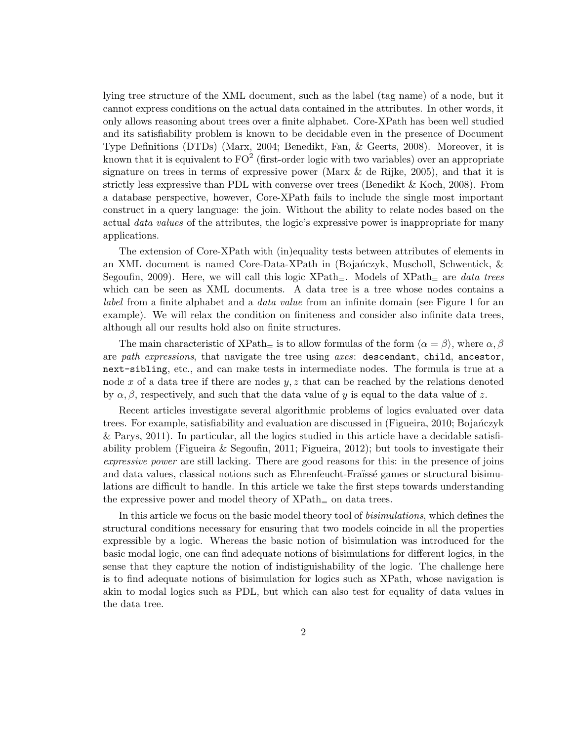lying tree structure of the XML document, such as the label (tag name) of a node, but it cannot express conditions on the actual data contained in the attributes. In other words, it only allows reasoning about trees over a finite alphabet. Core-XPath has been well studied and its satisfiability problem is known to be decidable even in the presence of Document Type Definitions (DTDs) (Marx, 2004; Benedikt, Fan, & Geerts, 2008). Moreover, it is known that it is equivalent to  $FO^2$  (first-order logic with two variables) over an appropriate signature on trees in terms of expressive power (Marx  $\&$  de Rijke, 2005), and that it is strictly less expressive than PDL with converse over trees (Benedikt & Koch, 2008). From a database perspective, however, Core-XPath fails to include the single most important construct in a query language: the join. Without the ability to relate nodes based on the actual *data values* of the attributes, the logic's expressive power is inappropriate for many applications.

The extension of Core-XPath with (in)equality tests between attributes of elements in an XML document is named Core-Data-XPath in (Bojańczyk, Muscholl, Schwentick,  $\&$ Segoufin, 2009). Here, we will call this logic  $XPath_$ . Models of  $XPath_$  are data trees which can be seen as XML documents. A data tree is a tree whose nodes contains a label from a finite alphabet and a data value from an infinite domain (see Figure 1 for an example). We will relax the condition on finiteness and consider also infinite data trees, although all our results hold also on finite structures.

The main characteristic of  $XPath_{=}$  is to allow formulas of the form  $\langle \alpha = \beta \rangle$ , where  $\alpha, \beta$ are path expressions, that navigate the tree using axes: descendant, child, ancestor, next-sibling, etc., and can make tests in intermediate nodes. The formula is true at a node x of a data tree if there are nodes  $y, z$  that can be reached by the relations denoted by  $\alpha, \beta$ , respectively, and such that the data value of y is equal to the data value of z.

Recent articles investigate several algorithmic problems of logics evaluated over data trees. For example, satisfiability and evaluation are discussed in (Figueira, 2010; Bojanczyk & Parys, 2011). In particular, all the logics studied in this article have a decidable satisfiability problem (Figueira & Segoufin, 2011; Figueira, 2012); but tools to investigate their expressive power are still lacking. There are good reasons for this: in the presence of joins and data values, classical notions such as Ehrenfeucht-Fraïssé games or structural bisimulations are difficult to handle. In this article we take the first steps towards understanding the expressive power and model theory of  $XPath<sub>=</sub>$  on data trees.

In this article we focus on the basic model theory tool of bisimulations, which defines the structural conditions necessary for ensuring that two models coincide in all the properties expressible by a logic. Whereas the basic notion of bisimulation was introduced for the basic modal logic, one can find adequate notions of bisimulations for different logics, in the sense that they capture the notion of indistiguishability of the logic. The challenge here is to find adequate notions of bisimulation for logics such as XPath, whose navigation is akin to modal logics such as PDL, but which can also test for equality of data values in the data tree.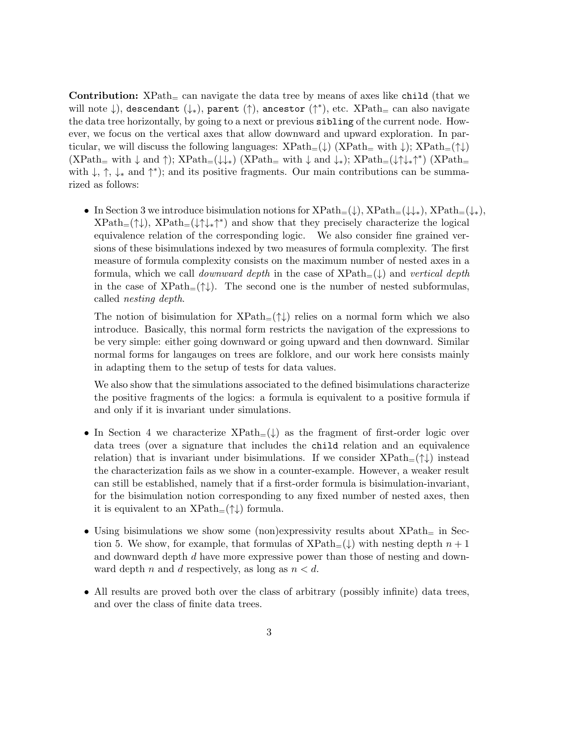**Contribution:**  $XPath<sub>+</sub>$  can navigate the data tree by means of axes like child (that we will note ↓), descendant (↓∗), parent (↑), ancestor (↑ ∗ ), etc. XPath<sup>=</sup> can also navigate the data tree horizontally, by going to a next or previous sibling of the current node. However, we focus on the vertical axes that allow downward and upward exploration. In particular, we will discuss the following languages:  $XPath_{=}(\downarrow)$   $(XPath_{=} with \downarrow); XPath_{=}(\uparrow\downarrow)$  $(\text{XPath}_= \text{ with } \downarrow \text{ and } \uparrow); \ \text{XPath}_=(\downarrow\downarrow_*) \text{ (XPath}_= \text{ with } \downarrow \text{ and } \downarrow_*) \text{; } \text{XPath}_=(\downarrow\uparrow\downarrow_*\uparrow^*) \text{ (XPath}_=(\downarrow\downarrow_*) \text{ (NPath}_=(\downarrow\downarrow_*) \text{)}$ with  $\downarrow$ ,  $\uparrow$ ,  $\downarrow$ <sub>\*</sub> and  $\uparrow$ <sup>\*</sup>); and its positive fragments. Our main contributions can be summarized as follows:

• In Section 3 we introduce bisimulation notions for  $XPath=(\downarrow), XPath=(\downarrow)_*$ ,  $XPath=(\downarrow_*)$ ,  $XPath_{=}(\uparrow\downarrow), \;XPath_{=}(\downarrow\uparrow\downarrow_{*}\uparrow^{*})$  and show that they precisely characterize the logical equivalence relation of the corresponding logic. We also consider fine grained versions of these bisimulations indexed by two measures of formula complexity. The first measure of formula complexity consists on the maximum number of nested axes in a formula, which we call *downward depth* in the case of  $XPath_{=}(\downarrow)$  and vertical depth in the case of  $XPath_{=}(\uparrow\downarrow)$ . The second one is the number of nested subformulas, called nesting depth.

The notion of bisimulation for  $XPath_{=}(\uparrow\downarrow)$  relies on a normal form which we also introduce. Basically, this normal form restricts the navigation of the expressions to be very simple: either going downward or going upward and then downward. Similar normal forms for langauges on trees are folklore, and our work here consists mainly in adapting them to the setup of tests for data values.

We also show that the simulations associated to the defined bisimulations characterize the positive fragments of the logics: a formula is equivalent to a positive formula if and only if it is invariant under simulations.

- In Section 4 we characterize  $XPath_{=}(\downarrow)$  as the fragment of first-order logic over data trees (over a signature that includes the child relation and an equivalence relation) that is invariant under bisimulations. If we consider  $XPath_{=}(\uparrow\downarrow)$  instead the characterization fails as we show in a counter-example. However, a weaker result can still be established, namely that if a first-order formula is bisimulation-invariant, for the bisimulation notion corresponding to any fixed number of nested axes, then it is equivalent to an  $XPath_{=}(\uparrow\downarrow)$  formula.
- Using bisimulations we show some (non)expressivity results about  $XPath<sub>=</sub>$  in Section 5. We show, for example, that formulas of  $XPath_{=}(\downarrow)$  with nesting depth  $n + 1$ and downward depth d have more expressive power than those of nesting and downward depth n and d respectively, as long as  $n < d$ .
- All results are proved both over the class of arbitrary (possibly infinite) data trees, and over the class of finite data trees.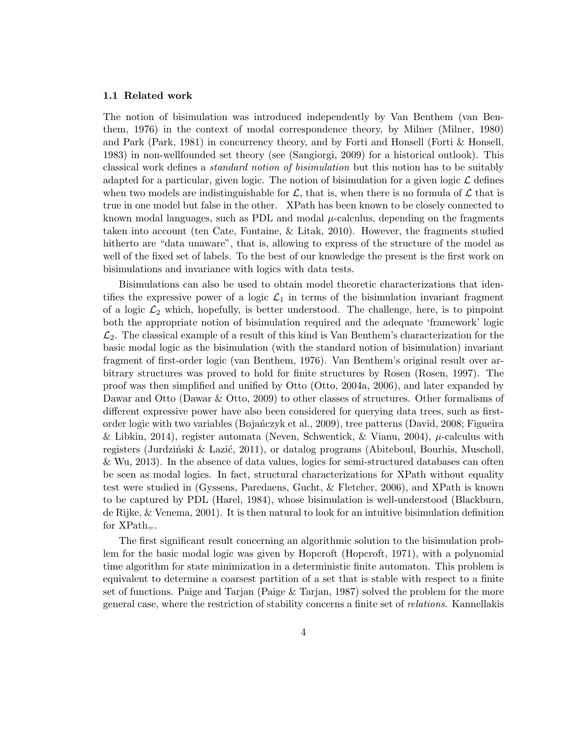#### 1.1 Related work

The notion of bisimulation was introduced independently by Van Benthem (van Benthem, 1976) in the context of modal correspondence theory, by Milner (Milner, 1980) and Park (Park, 1981) in concurrency theory, and by Forti and Honsell (Forti & Honsell, 1983) in non-wellfounded set theory (see (Sangiorgi, 2009) for a historical outlook). This classical work defines a standard notion of bisimulation but this notion has to be suitably adapted for a particular, given logic. The notion of bisimulation for a given logic  $\mathcal L$  defines when two models are indistinguishable for  $\mathcal{L}$ , that is, when there is no formula of  $\mathcal{L}$  that is true in one model but false in the other. XPath has been known to be closely connected to known modal languages, such as PDL and modal  $\mu$ -calculus, depending on the fragments taken into account (ten Cate, Fontaine, & Litak, 2010). However, the fragments studied hitherto are "data unaware", that is, allowing to express of the structure of the model as well of the fixed set of labels. To the best of our knowledge the present is the first work on bisimulations and invariance with logics with data tests.

Bisimulations can also be used to obtain model theoretic characterizations that identifies the expressive power of a logic  $\mathcal{L}_1$  in terms of the bisimulation invariant fragment of a logic  $\mathcal{L}_2$  which, hopefully, is better understood. The challenge, here, is to pinpoint both the appropriate notion of bisimulation required and the adequate 'framework' logic  $\mathcal{L}_2$ . The classical example of a result of this kind is Van Benthem's characterization for the basic modal logic as the bisimulation (with the standard notion of bisimulation) invariant fragment of first-order logic (van Benthem, 1976). Van Benthem's original result over arbitrary structures was proved to hold for finite structures by Rosen (Rosen, 1997). The proof was then simplified and unified by Otto (Otto, 2004a, 2006), and later expanded by Dawar and Otto (Dawar & Otto, 2009) to other classes of structures. Other formalisms of different expressive power have also been considered for querying data trees, such as firstorder logic with two variables (Boja´nczyk et al., 2009), tree patterns (David, 2008; Figueira & Libkin, 2014), register automata (Neven, Schwentick, & Vianu, 2004),  $\mu$ -calculus with registers (Jurdziński  $\&$  Lazić, 2011), or datalog programs (Abiteboul, Bourhis, Muscholl, & Wu, 2013). In the absence of data values, logics for semi-structured databases can often be seen as modal logics. In fact, structural characterizations for XPath without equality test were studied in (Gyssens, Paredaens, Gucht, & Fletcher, 2006), and XPath is known to be captured by PDL (Harel, 1984), whose bisimulation is well-understood (Blackburn, de Rijke, & Venema, 2001). It is then natural to look for an intuitive bisimulation definition for  $XPath_$ .

The first significant result concerning an algorithmic solution to the bisimulation problem for the basic modal logic was given by Hopcroft (Hopcroft, 1971), with a polynomial time algorithm for state minimization in a deterministic finite automaton. This problem is equivalent to determine a coarsest partition of a set that is stable with respect to a finite set of functions. Paige and Tarjan (Paige & Tarjan, 1987) solved the problem for the more general case, where the restriction of stability concerns a finite set of relations. Kannellakis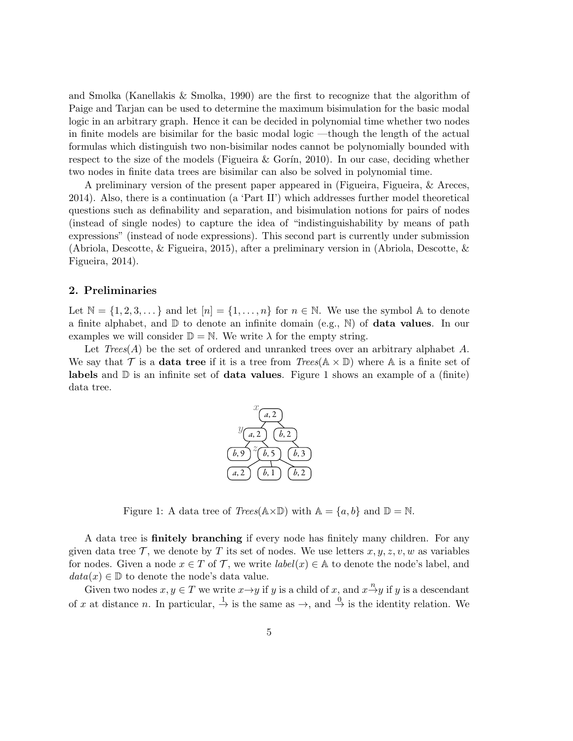and Smolka (Kanellakis & Smolka, 1990) are the first to recognize that the algorithm of Paige and Tarjan can be used to determine the maximum bisimulation for the basic modal logic in an arbitrary graph. Hence it can be decided in polynomial time whether two nodes in finite models are bisimilar for the basic modal logic —though the length of the actual formulas which distinguish two non-bisimilar nodes cannot be polynomially bounded with respect to the size of the models (Figueira & Gorin, 2010). In our case, deciding whether two nodes in finite data trees are bisimilar can also be solved in polynomial time.

A preliminary version of the present paper appeared in (Figueira, Figueira, & Areces, 2014). Also, there is a continuation (a 'Part II') which addresses further model theoretical questions such as definability and separation, and bisimulation notions for pairs of nodes (instead of single nodes) to capture the idea of "indistinguishability by means of path expressions" (instead of node expressions). This second part is currently under submission (Abriola, Descotte, & Figueira, 2015), after a preliminary version in (Abriola, Descotte, & Figueira, 2014).

#### 2. Preliminaries

Let  $\mathbb{N} = \{1, 2, 3, \dots\}$  and let  $[n] = \{1, \dots, n\}$  for  $n \in \mathbb{N}$ . We use the symbol  $\mathbb{A}$  to denote a finite alphabet, and  $\mathbb D$  to denote an infinite domain (e.g., N) of **data values**. In our examples we will consider  $\mathbb{D} = \mathbb{N}$ . We write  $\lambda$  for the empty string.

Let  $Trees(A)$  be the set of ordered and unranked trees over an arbitrary alphabet A. We say that  $\mathcal T$  is a **data tree** if it is a tree from  $Trees(\mathbb A \times \mathbb D)$  where  $\mathbb A$  is a finite set of **labels** and  $\mathbb{D}$  is an infinite set of **data values**. Figure 1 shows an example of a (finite) data tree.



Figure 1: A data tree of  $Trees(\mathbb{A} \times \mathbb{D})$  with  $\mathbb{A} = \{a, b\}$  and  $\mathbb{D} = \mathbb{N}$ .

A data tree is finitely branching if every node has finitely many children. For any given data tree T, we denote by T its set of nodes. We use letters  $x, y, z, v, w$  as variables for nodes. Given a node  $x \in T$  of  $\mathcal{T}$ , we write  $label(x) \in \mathbb{A}$  to denote the node's label, and  $data(x) \in \mathbb{D}$  to denote the node's data value.

Given two nodes  $x, y \in T$  we write  $x \rightarrow y$  if y is a child of  $x$ , and  $x \stackrel{n}{\rightarrow} y$  if y is a descendant of x at distance n. In particular,  $\stackrel{1}{\rightarrow}$  is the same as  $\rightarrow$ , and  $\stackrel{0}{\rightarrow}$  is the identity relation. We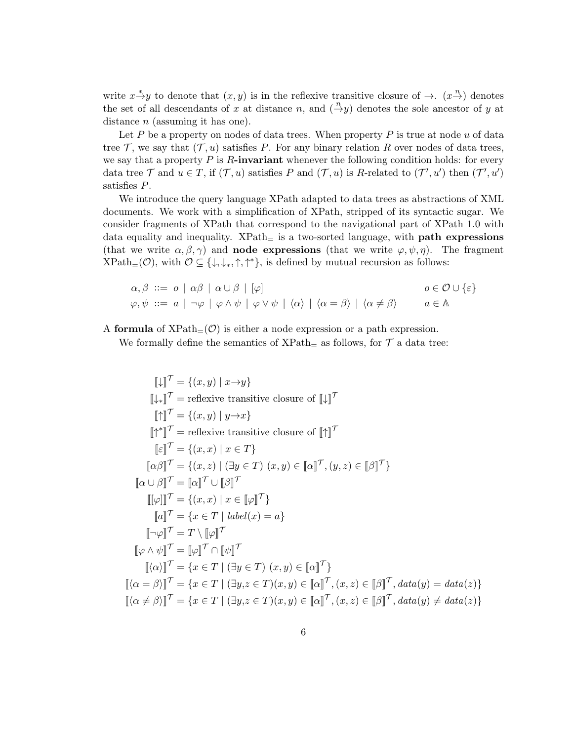write  $x \stackrel{*}{\rightarrow} y$  to denote that  $(x, y)$  is in the reflexive transitive closure of  $\rightarrow$ .  $(x \stackrel{n}{\rightarrow})$  denotes the set of all descendants of x at distance n, and  $\left(\frac{n}{y}\right)$  denotes the sole ancestor of y at distance  $n$  (assuming it has one).

Let P be a property on nodes of data trees. When property P is true at node  $u$  of data tree  $\mathcal{T}$ , we say that  $(\mathcal{T}, u)$  satisfies P. For any binary relation R over nodes of data trees, we say that a property  $P$  is  $R$ -invariant whenever the following condition holds: for every data tree  $\mathcal T$  and  $u \in T$ , if  $(\mathcal T, u)$  satisfies  $P$  and  $(\mathcal T, u)$  is R-related to  $(\mathcal T', u')$  then  $(\mathcal T', u')$ satisfies P.

We introduce the query language XPath adapted to data trees as abstractions of XML documents. We work with a simplification of XPath, stripped of its syntactic sugar. We consider fragments of XPath that correspond to the navigational part of XPath 1.0 with data equality and inequality.  $XPath_{=}$  is a two-sorted language, with **path expressions** (that we write  $\alpha, \beta, \gamma$ ) and **node expressions** (that we write  $\varphi, \psi, \eta$ ). The fragment  $\text{XPath}_{=}(\mathcal{O})$ , with  $\mathcal{O} \subseteq \{\downarrow, \downarrow_*, \uparrow, \uparrow^*\}$ , is defined by mutual recursion as follows:

$$
\alpha, \beta \ ::= o \ | \ \alpha\beta \ | \ \alpha \cup \beta \ | \ [\varphi]
$$
\n
$$
\varphi, \psi \ ::= a \ | \ \neg \varphi \ | \ \varphi \wedge \psi \ | \ \varphi \vee \psi \ | \ \langle \alpha \rangle \ | \ \langle \alpha = \beta \rangle \ | \ \langle \alpha \neq \beta \rangle
$$
\n
$$
a \in \mathbb{A}
$$

A formula of  $XPath_{=}(\mathcal{O})$  is either a node expression or a path expression.

We formally define the semantics of  $XPath<sub>=</sub>$  as follows, for  $\mathcal T$  a data tree:

$$
\llbracket \downarrow \rrbracket^{\mathcal{T}} = \{\langle x, y \rangle \mid x \rightarrow y \}
$$
\n
$$
\llbracket \downarrow \rrbracket^{\mathcal{T}} = \text{reflexive transitive closure of } \llbracket \downarrow \rrbracket^{\mathcal{T}}
$$
\n
$$
\llbracket \uparrow \rrbracket^{\mathcal{T}} = \{\langle x, y \rangle \mid y \rightarrow x \}
$$
\n
$$
\llbracket \uparrow \rrbracket^{\mathcal{T}} = \text{reflexive transitive closure of } \llbracket \uparrow \rrbracket^{\mathcal{T}}
$$
\n
$$
\llbracket \varepsilon \rrbracket^{\mathcal{T}} = \{\langle x, x \rangle \mid x \in T\}
$$
\n
$$
\llbracket \alpha \beta \rrbracket^{\mathcal{T}} = \{\langle x, z \rangle \mid (\exists y \in T) \ (x, y) \in \llbracket \alpha \rrbracket^{\mathcal{T}}, (y, z) \in \llbracket \beta \rrbracket^{\mathcal{T}}\}
$$
\n
$$
\llbracket \alpha \cup \beta \rrbracket^{\mathcal{T}} = \llbracket \alpha \rrbracket^{\mathcal{T}} \cup \llbracket \beta \rrbracket^{\mathcal{T}}
$$
\n
$$
\llbracket \varphi \rrbracket^{\mathcal{T}} = \{x \in T \mid \text{label}(x) = a\}
$$
\n
$$
\llbracket \neg \varphi \rrbracket^{\mathcal{T}} = T \setminus \llbracket \varphi \rrbracket^{\mathcal{T}}
$$
\n
$$
\llbracket \alpha \wedge \psi \rrbracket^{\mathcal{T}} = \llbracket \varphi \rrbracket^{\mathcal{T}} \cap \llbracket \psi \rrbracket^{\mathcal{T}}
$$
\n
$$
\llbracket \langle \alpha \rangle \rrbracket^{\mathcal{T}} = \{x \in T \mid (\exists y \in T) \ (x, y) \in \llbracket \alpha \rrbracket^{\mathcal{T}}\}
$$
\n
$$
\llbracket \langle \alpha = \beta \rangle \rrbracket^{\mathcal{T}} = \{x \in T \mid (\exists y, z \in T)(x, y) \in \llbracket \alpha \rrbracket^{\mathcal{T}}, (x, z) \in \llbracket \beta \rrbracket^{\mathcal{T}}, \text{data}(y) = \text{data}(z)\}
$$
\n
$$
\llbracket \langle \alpha \neq \beta \rangle \rrbracket^{\mathcal{T}} = \{x \
$$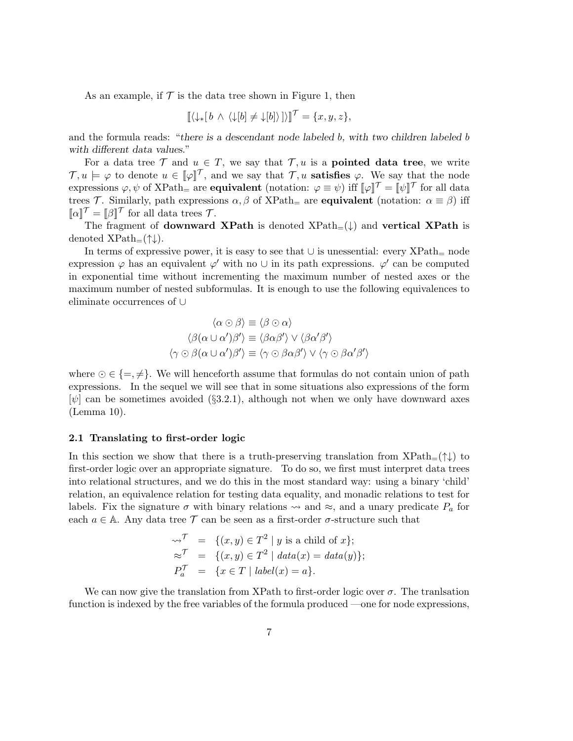As an example, if  $\mathcal T$  is the data tree shown in Figure 1, then

$$
[\![\langle \downarrow_*[b \wedge \langle \downarrow[b] \neq \downarrow[b] \rangle] \rangle]^\mathcal{T} = \{x, y, z\},\]
$$

and the formula reads: "there is a descendant node labeled b, with two children labeled b with different data values."

For a data tree  $\mathcal T$  and  $u \in \mathcal T$ , we say that  $\mathcal T, u$  is a **pointed data tree**, we write  $\mathcal{T}, u \models \varphi$  to denote  $u \in [\varphi]$ , and we say that  $\mathcal{T}, u$  satisfies  $\varphi$ . We say that the node expressions  $\varphi, \psi$  of  $XPath$ <sub>=</sub> are **equivalent** (notation:  $\varphi \equiv \psi$ ) iff  $[\![\varphi]\!]^\mathcal{T} = [\![\psi]\!]^\mathcal{T}$  for all data trees T. Similarly, path expressions  $\alpha, \beta$  of XPath<sub>=</sub> are **equivalent** (notation:  $\alpha \equiv \beta$ ) iff  $\llbracket \alpha \rrbracket^{\mathcal{T}} = \llbracket \beta \rrbracket^{\mathcal{T}}$  for all data trees  $\mathcal{T}$ .

The fragment of **downward XPath** is denoted  $XPath_{\pm}(\downarrow)$  and **vertical XPath** is denoted  $XPath_{=}(\uparrow\downarrow).$ 

In terms of expressive power, it is easy to see that  $\cup$  is unessential: every XPath= node expression  $\varphi$  has an equivalent  $\varphi'$  with no  $\cup$  in its path expressions.  $\varphi'$  can be computed in exponential time without incrementing the maximum number of nested axes or the maximum number of nested subformulas. It is enough to use the following equivalences to eliminate occurrences of ∪

$$
\langle \alpha \odot \beta \rangle \equiv \langle \beta \odot \alpha \rangle
$$

$$
\langle \beta(\alpha \cup \alpha')\beta' \rangle \equiv \langle \beta \alpha \beta' \rangle \vee \langle \beta \alpha'\beta' \rangle
$$

$$
\langle \gamma \odot \beta(\alpha \cup \alpha')\beta' \rangle \equiv \langle \gamma \odot \beta \alpha \beta' \rangle \vee \langle \gamma \odot \beta \alpha'\beta' \rangle
$$

where  $\odot \in \{ =, \neq \}$ . We will henceforth assume that formulas do not contain union of path expressions. In the sequel we will see that in some situations also expressions of the form  $[\psi]$  can be sometimes avoided (§3.2.1), although not when we only have downward axes (Lemma 10).

#### 2.1 Translating to first-order logic

In this section we show that there is a truth-preserving translation from  $XPath_{=}(\uparrow\downarrow)$  to first-order logic over an appropriate signature. To do so, we first must interpret data trees into relational structures, and we do this in the most standard way: using a binary 'child' relation, an equivalence relation for testing data equality, and monadic relations to test for labels. Fix the signature  $\sigma$  with binary relations  $\sim$  and  $\approx$ , and a unary predicate  $P_a$  for each  $a \in A$ . Any data tree  $\mathcal T$  can be seen as a first-order  $\sigma$ -structure such that

$$
\begin{aligned}\n\leadsto^{\mathcal{T}} &= \{ (x, y) \in T^2 \mid y \text{ is a child of } x \}; \\
\approx^{\mathcal{T}} &= \{ (x, y) \in T^2 \mid data(x) = data(y) \}; \\
P_a^{\mathcal{T}} &= \{ x \in T \mid label(x) = a \}.\n\end{aligned}
$$

We can now give the translation from XPath to first-order logic over  $\sigma$ . The translation function is indexed by the free variables of the formula produced —one for node expressions,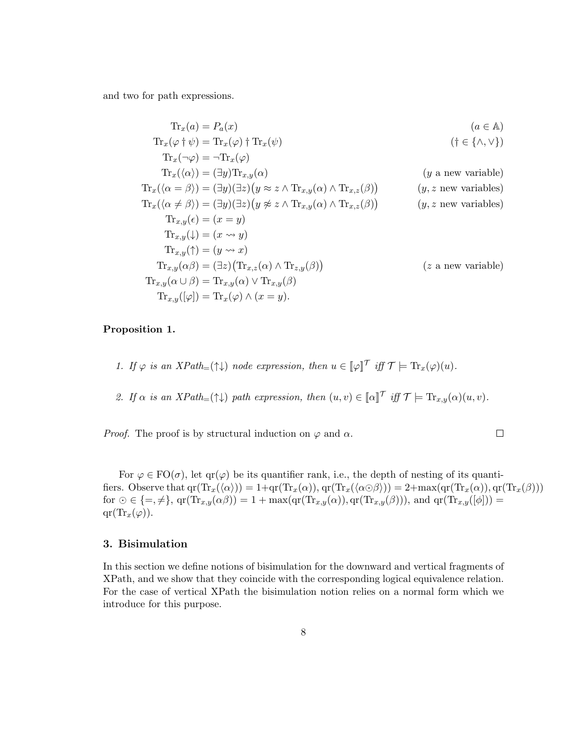and two for path expressions.

$$
\mathrm{Tr}_x(a) = P_a(x) \qquad (a \in \mathbb{A})
$$
\n
$$
\mathrm{Tr}_x(\varphi \dagger \psi) = \mathrm{Tr}_x(\varphi) \dagger \mathrm{Tr}_x(\psi) \qquad (\dagger \in \{\wedge, \vee\})
$$
\n
$$
\mathrm{Tr}_x(\neg \varphi) = \neg \mathrm{Tr}_x(\varphi) \qquad (\dagger \in \{\wedge, \vee\})
$$
\n
$$
\mathrm{Tr}_x(\langle \alpha \rangle) = (\exists y) \mathrm{Tr}_{x,y}(\alpha) \qquad (y \text{ a new variable})
$$
\n
$$
\mathrm{Tr}_x(\langle \alpha = \beta \rangle) = (\exists y) (\exists z) (y \approx z \wedge \mathrm{Tr}_{x,y}(\alpha) \wedge \mathrm{Tr}_{x,z}(\beta)) \qquad (y, z \text{ new variables})
$$
\n
$$
\mathrm{Tr}_{x,y}(\langle \alpha \neq \beta \rangle) = (\exists y) (\exists z) (y \not\approx z \wedge \mathrm{Tr}_{x,y}(\alpha) \wedge \mathrm{Tr}_{x,z}(\beta)) \qquad (y, z \text{ new variables})
$$
\n
$$
\mathrm{Tr}_{x,y}(\xi) = (x \Rightarrow y)
$$
\n
$$
\mathrm{Tr}_{x,y}(\psi) = (x \Rightarrow y)
$$
\n
$$
\mathrm{Tr}_{x,y}(\gamma) = (y \Rightarrow x)
$$
\n
$$
\mathrm{Tr}_{x,y}(\alpha \beta) = (\exists z) (\mathrm{Tr}_{x,z}(\alpha) \wedge \mathrm{Tr}_{z,y}(\beta)) \qquad (z \text{ a new variable})
$$
\n
$$
\mathrm{Tr}_{x,y}(\alpha \cup \beta) = \mathrm{Tr}_{x,y}(\alpha) \vee \mathrm{Tr}_{x,y}(\beta)
$$
\n
$$
\mathrm{Tr}_{x,y}([\varphi]) = \mathrm{Tr}_x(\varphi) \wedge (x = y).
$$
\n(2.1.1.1)

# Proposition 1.

1. If  $\varphi$  is an XPath= $(\uparrow\downarrow)$  node expression, then  $u \in [\varphi]^\mathcal{T}$  iff  $\mathcal{T} \models \text{Tr}_x(\varphi)(u)$ .

2. If  $\alpha$  is an  $XPath_{=}(\uparrow\downarrow)$  path expression, then  $(u, v) \in [\![\alpha]\!]^\mathcal{T}$  iff  $\mathcal{T} \models \text{Tr}_{x,y}(\alpha)(u, v)$ .

*Proof.* The proof is by structural induction on  $\varphi$  and  $\alpha$ .

$$
\qquad \qquad \Box
$$

For  $\varphi \in \text{FO}(\sigma)$ , let  $\text{qr}(\varphi)$  be its quantifier rank, i.e., the depth of nesting of its quantifiers. Observe that  $qr(Tr_x(\langle \alpha \rangle)) = 1+qr(Tr_x(\alpha)), qr(Tr_x(\langle \alpha \odot \beta \rangle)) = 2+\max(qr(Tr_x(\alpha)), qr(Tr_x(\beta)))$ for  $\odot \in \{ =, \neq \}, \operatorname{qr}(\operatorname{Tr}_{x,y}(\alpha \beta)) = 1 + \max(\operatorname{qr}(\operatorname{Tr}_{x,y}(\alpha)), \operatorname{qr}(\operatorname{Tr}_{x,y}(\beta))),$  and  $\operatorname{qr}(\operatorname{Tr}_{x,y}([\phi])) =$  $qr(\text{Tr}_x(\varphi)).$ 

# 3. Bisimulation

In this section we define notions of bisimulation for the downward and vertical fragments of XPath, and we show that they coincide with the corresponding logical equivalence relation. For the case of vertical XPath the bisimulation notion relies on a normal form which we introduce for this purpose.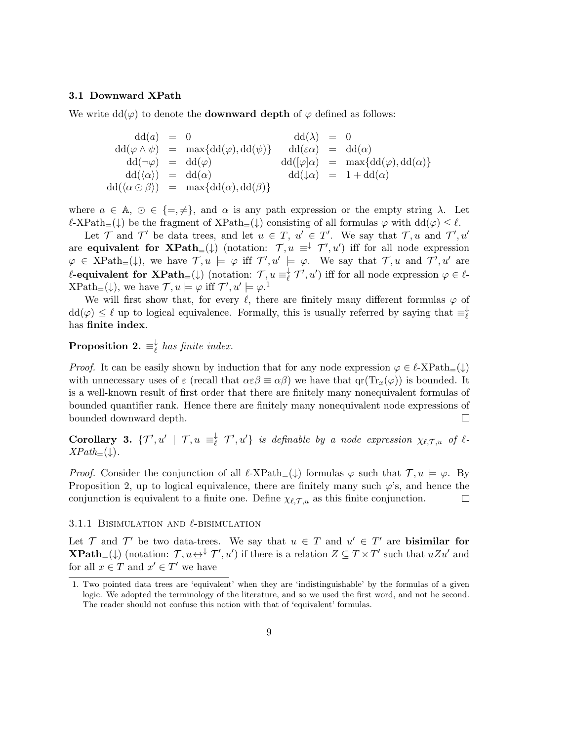#### 3.1 Downward XPath

We write  $dd(\varphi)$  to denote the **downward depth** of  $\varphi$  defined as follows:

$$
dd(a) = 0
$$
  
\n
$$
dd(\varphi \wedge \psi) = \max\{dd(\varphi), dd(\psi)\} \qquad dd(\varepsilon\alpha) = dd(\alpha)
$$
  
\n
$$
dd(\neg \varphi) = dd(\varphi)
$$
  
\n
$$
dd(\varphi) = dd(\varphi)
$$
  
\n
$$
dd(\varphi) = dd(\varphi)
$$
  
\n
$$
dd(\varphi) = dd(\varphi)
$$
  
\n
$$
dd(\varphi) = \max\{dd(\varphi), dd(\alpha)\}
$$
  
\n
$$
dd(\varphi) = 1 + dd(\alpha)
$$
  
\n
$$
dd(\langle \alpha \odot \beta \rangle) = \max\{dd(\alpha), dd(\beta)\}
$$

where  $a \in \mathbb{A}, \, \odot \in \{ =, \neq \},$  and  $\alpha$  is any path expression or the empty string  $\lambda$ . Let  $\ell$ -XPath=(↓) be the fragment of XPath=(↓) consisting of all formulas  $\varphi$  with  $dd(\varphi) \leq \ell$ .

Let  $\mathcal T$  and  $\mathcal T'$  be data trees, and let  $u \in T$ ,  $u' \in T'$ . We say that  $\mathcal T, u$  and  $\mathcal T', u'$ are **equivalent for XPath**=( $\downarrow$ ) (notation:  $\mathcal{T}, u \equiv \downarrow \mathcal{T}', u'$ ) iff for all node expression  $\varphi \in \text{XPath}_{=}(\downarrow),$  we have  $\mathcal{T}, u \models \varphi$  iff  $\mathcal{T}', u' \models \varphi$ . We say that  $\mathcal{T}, u$  and  $\mathcal{T}', u'$  are  $\ell\text{-}\mathbf{equivalent\,\, for}\,\, \mathbf{XPath}_=(\downarrow) \,\,(\text{notation:}\,\, \mathcal{T}, u\equiv_\ell^\downarrow)$  $\overline{\ell}$   $\mathcal{T}', u'$  iff for all node expression  $\varphi \in \ell$ - $\text{XPath}_{=}(\downarrow)$ , we have  $\mathcal{T}, u \models \varphi$  iff  $\mathcal{T}', u' \models \varphi$ .<sup>1</sup>

We will first show that, for every  $\ell$ , there are finitely many different formulas  $\varphi$  of  $dd(\varphi) \leq \ell$  up to logical equivalence. Formally, this is usually referred by saying that  $\equiv_{\ell}^{\perp}$  $\ell$ has finite index.

 $\text{Proposition 2.} \equiv^\downarrow_\ell$  $\frac{1}{\ell}$  has finite index.

*Proof.* It can be easily shown by induction that for any node expression  $\varphi \in \ell$ -XPath= $(\downarrow)$ with unnecessary uses of  $\varepsilon$  (recall that  $\alpha \varepsilon \beta \equiv \alpha \beta$ ) we have that  $\varphi(Tr_x(\varphi))$  is bounded. It is a well-known result of first order that there are finitely many nonequivalent formulas of bounded quantifier rank. Hence there are finitely many nonequivalent node expressions of  $\Box$ bounded downward depth.

Corollary 3.  $\{\mathcal{T}', u' \mid \mathcal{T}, u \equiv_\ell^{\downarrow}$  $\overline{\ell}$   $\mathcal{T}', u'$ } is definable by a node expression  $\chi_{\ell, \mathcal{T}, u}$  of  $\ell$ - $XPath_{=}(\downarrow).$ 

*Proof.* Consider the conjunction of all  $\ell$ -XPath<sub>=</sub>( $\downarrow$ ) formulas  $\varphi$  such that  $\mathcal{T}, u \models \varphi$ . By Proposition 2, up to logical equivalence, there are finitely many such  $\varphi$ 's, and hence the conjunction is equivalent to a finite one. Define  $\chi_{\ell,\mathcal{T},u}$  as this finite conjunction.  $\Box$ 

## 3.1.1 BISIMULATION AND  $\ell$ -BISIMULATION

Let  $\mathcal T$  and  $\mathcal T'$  be two data-trees. We say that  $u \in \mathcal T$  and  $u' \in \mathcal T'$  are **bisimilar for XPath**=( $\downarrow$ ) (notation:  $\mathcal{T}, u \leftrightarrow \mathcal{T}', u'$ ) if there is a relation  $Z \subseteq T \times T'$  such that  $uZu'$  and for all  $x \in T$  and  $x' \in T'$  we have

<sup>1.</sup> Two pointed data trees are 'equivalent' when they are 'indistinguishable' by the formulas of a given logic. We adopted the terminology of the literature, and so we used the first word, and not he second. The reader should not confuse this notion with that of 'equivalent' formulas.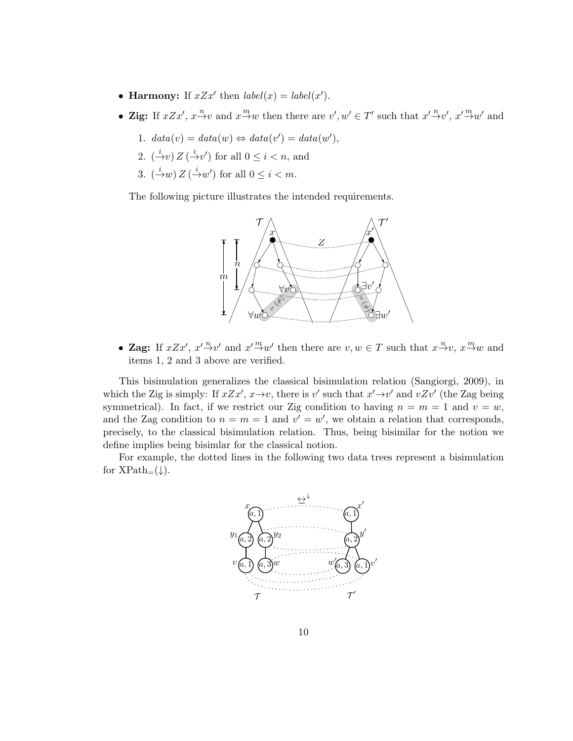- Harmony: If  $xZx'$  then  $label(x) = label(x')$ .
- Zig: If  $xZx'$ ,  $x \stackrel{n}{\rightarrow} v$  and  $x \stackrel{m}{\rightarrow} w$  then there are  $v', w' \in T'$  such that  $x' \stackrel{n}{\rightarrow} v'$ ,  $x' \stackrel{m}{\rightarrow} w'$  and
	- 1.  $data(v) = data(w) \Leftrightarrow data(v') = data(w'),$
	- 2.  $(\stackrel{i}{\rightarrow}v)Z(\stackrel{i}{\rightarrow}v')$  for all  $0 \leq i < n$ , and
	- 3.  $(\stackrel{i}{\rightarrow}w)Z(\stackrel{i}{\rightarrow}w')$  for all  $0 \leq i < m$ .

The following picture illustrates the intended requirements.



• Zag: If  $xZx'$ ,  $x'\stackrel{n}{\rightarrow}v'$  and  $x'\stackrel{m}{\rightarrow}w'$  then there are  $v, w \in T$  such that  $x\stackrel{n}{\rightarrow}v$ ,  $x\stackrel{m}{\rightarrow}w$  and items 1, 2 and 3 above are verified.

This bisimulation generalizes the classical bisimulation relation (Sangiorgi, 2009), in which the Zig is simply: If  $xZx'$ ,  $x\rightarrow v$ , there is v' such that  $x'\rightarrow v'$  and  $vZv'$  (the Zag being symmetrical). In fact, if we restrict our Zig condition to having  $n = m = 1$  and  $v = w$ , and the Zag condition to  $n = m = 1$  and  $v' = w'$ , we obtain a relation that corresponds, precisely, to the classical bisimulation relation. Thus, being bisimilar for the notion we define implies being bisimlar for the classical notion.

For example, the dotted lines in the following two data trees represent a bisimulation for  $XPath_{=}(\downarrow)$ .

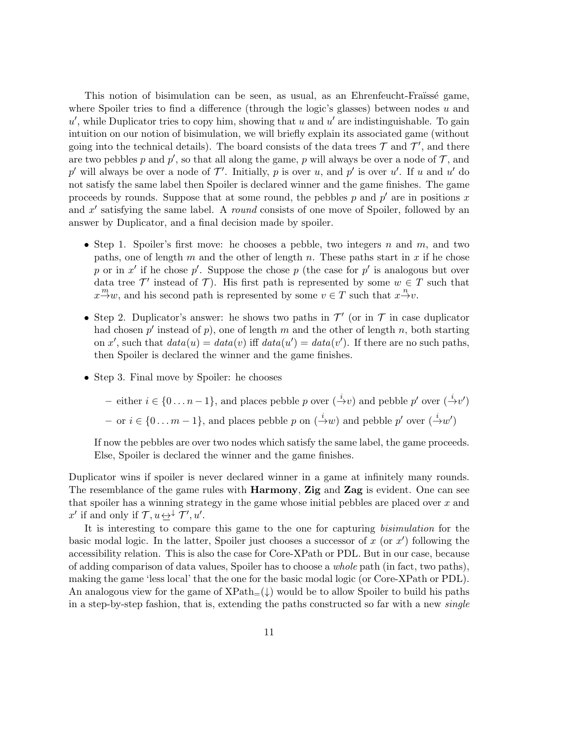This notion of bisimulation can be seen, as usual, as an Ehrenfeucht-Fraüssé game, where Spoiler tries to find a difference (through the logic's glasses) between nodes  $u$  and  $u'$ , while Duplicator tries to copy him, showing that u and u' are indistinguishable. To gain intuition on our notion of bisimulation, we will briefly explain its associated game (without going into the technical details). The board consists of the data trees  $\mathcal T$  and  $\mathcal T'$ , and there are two pebbles p and p', so that all along the game, p will always be over a node of  $\mathcal{T}$ , and  $p'$  will always be over a node of  $\mathcal{T}'$ . Initially, p is over u, and p' is over u'. If u and u' do not satisfy the same label then Spoiler is declared winner and the game finishes. The game proceeds by rounds. Suppose that at some round, the pebbles  $p$  and  $p'$  are in positions x and  $x'$  satisfying the same label. A *round* consists of one move of Spoiler, followed by an answer by Duplicator, and a final decision made by spoiler.

- Step 1. Spoiler's first move: he chooses a pebble, two integers n and m, and two paths, one of length  $m$  and the other of length  $n$ . These paths start in  $x$  if he chose p or in  $x'$  if he chose p'. Suppose the chose p (the case for p' is analogous but over data tree  $\mathcal{T}'$  instead of  $\mathcal{T}$ ). His first path is represented by some  $w \in \mathcal{T}$  such that  $x \stackrel{m}{\rightarrow} w$ , and his second path is represented by some  $v \in T$  such that  $x \stackrel{n}{\rightarrow} v$ .
- Step 2. Duplicator's answer: he shows two paths in  $\mathcal{T}'$  (or in  $\mathcal T$  in case duplicator had chosen  $p'$  instead of  $p$ ), one of length  $m$  and the other of length  $n$ , both starting on x', such that  $data(u) = data(v)$  iff  $data(u') = data(v')$ . If there are no such paths, then Spoiler is declared the winner and the game finishes.
- Step 3. Final move by Spoiler: he chooses

– either  $i \in \{0 \dots n-1\}$ , and places pebble p over  $(\stackrel{i}{\rightarrow} v)$  and pebble p' over  $(\stackrel{i}{\rightarrow} v')$ – or  $i \in \{0...m-1\}$ , and places pebble p on  $(\stackrel{i}{\rightarrow} w)$  and pebble p' over  $(\stackrel{i}{\rightarrow} w')$ 

If now the pebbles are over two nodes which satisfy the same label, the game proceeds. Else, Spoiler is declared the winner and the game finishes.

Duplicator wins if spoiler is never declared winner in a game at infinitely many rounds. The resemblance of the game rules with **Harmony**, **Zig** and **Zag** is evident. One can see that spoiler has a winning strategy in the game whose initial pebbles are placed over x and  $x'$  if and only if  $\mathcal{T}, u \rightarrow^{\downarrow} \mathcal{T}', u'.$ 

It is interesting to compare this game to the one for capturing bisimulation for the basic modal logic. In the latter, Spoiler just chooses a successor of  $x$  (or  $x'$ ) following the accessibility relation. This is also the case for Core-XPath or PDL. But in our case, because of adding comparison of data values, Spoiler has to choose a whole path (in fact, two paths), making the game 'less local' that the one for the basic modal logic (or Core-XPath or PDL). An analogous view for the game of  $XPath_{=}(\downarrow)$  would be to allow Spoiler to build his paths in a step-by-step fashion, that is, extending the paths constructed so far with a new *single*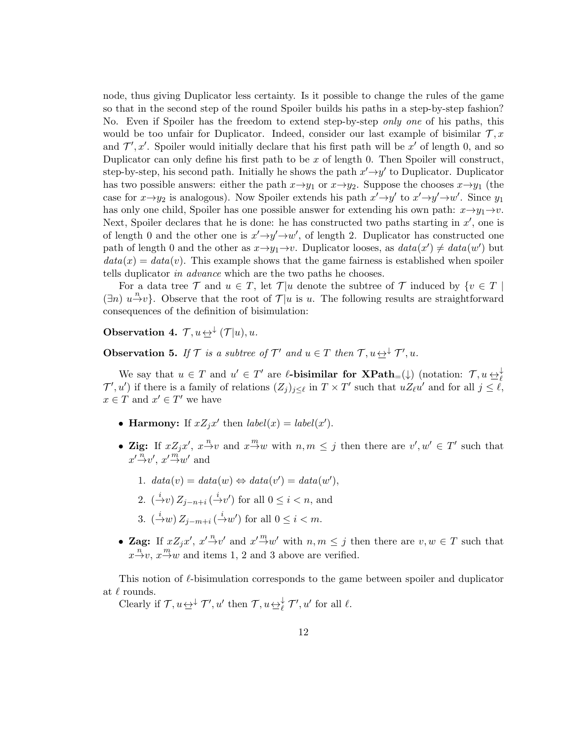node, thus giving Duplicator less certainty. Is it possible to change the rules of the game so that in the second step of the round Spoiler builds his paths in a step-by-step fashion? No. Even if Spoiler has the freedom to extend step-by-step *only one* of his paths, this would be too unfair for Duplicator. Indeed, consider our last example of bisimilar  $\mathcal{T}, x$ and  $\mathcal{T}', x'$ . Spoiler would initially declare that his first path will be  $x'$  of length 0, and so Duplicator can only define his first path to be  $x$  of length 0. Then Spoiler will construct, step-by-step, his second path. Initially he shows the path  $x' \rightarrow y'$  to Duplicator. Duplicator has two possible answers: either the path  $x \rightarrow y_1$  or  $x \rightarrow y_2$ . Suppose the chooses  $x \rightarrow y_1$  (the case for  $x \rightarrow y_2$  is analogous). Now Spoiler extends his path  $x' \rightarrow y'$  to  $x' \rightarrow y' \rightarrow w'$ . Since  $y_1$ has only one child, Spoiler has one possible answer for extending his own path:  $x \rightarrow y_1 \rightarrow v$ . Next, Spoiler declares that he is done: he has constructed two paths starting in  $x'$ , one is of length 0 and the other one is  $x' \rightarrow y' \rightarrow w'$ , of length 2. Duplicator has constructed one path of length 0 and the other as  $x \rightarrow y_1 \rightarrow v$ . Duplicator looses, as  $data(x') \neq data(w')$  but  $data(x) = data(v)$ . This example shows that the game fairness is established when spoiler tells duplicator in advance which are the two paths he chooses.

For a data tree T and  $u \in T$ , let T|u denote the subtree of T induced by  $\{v \in T \mid u\}$  $(\exists n)$   $u \xrightarrow{n} v$ . Observe that the root of  $\mathcal{T}|u$  is u. The following results are straightforward consequences of the definition of bisimulation:

**Observation 4.**  $\mathcal{T}, u \underline{\leftrightarrow}^{\downarrow} (\mathcal{T}|u), u$ .

**Observation 5.** If  $\mathcal{T}$  is a subtree of  $\mathcal{T}'$  and  $u \in T$  then  $\mathcal{T}, u \leftrightarrow^{\downarrow} \mathcal{T}', u$ .

We say that  $u \in T$  and  $u' \in T'$  are  $\ell$ -bisimilar for  $\mathbf{XPath}_{=}(\downarrow)$  (notation:  $\mathcal{T}, u \leftrightarrow^{\downarrow}_{\ell}$  $\mathcal{T}', u'$  if there is a family of relations  $(Z_j)_{j\leq \ell}$  in  $T \times T'$  such that  $uZ_{\ell}u'$  and for all  $j \leq \ell$ ,  $x \in T$  and  $x' \in T'$  we have

- Harmony: If  $xZ_jx'$  then  $label(x) = label(x')$ .
- Zig: If  $xZ_jx'$ ,  $x \stackrel{n}{\rightarrow} v$  and  $x \stackrel{m}{\rightarrow} w$  with  $n, m \leq j$  then there are  $v', w' \in T'$  such that  $x' \stackrel{n}{\rightarrow} v'$ ,  $x' \stackrel{m}{\rightarrow} w'$  and
	- 1.  $data(v) = data(w) \Leftrightarrow data(v') = data(w'),$
	- 2.  $(\stackrel{i}{\rightarrow}v) Z_{j-n+i} (\stackrel{i}{\rightarrow}v')$  for all  $0 \leq i < n$ , and
	- 3.  $\left(\frac{i}{m}\right)Z_{j-m+i}\left(\frac{i}{m}\right)$  for all  $0 \leq i < m$ .
- Zag: If  $xZ_jx'$ ,  $x'\overset{n}{\rightarrow}v'$  and  $x'\overset{m}{\rightarrow}w'$  with  $n, m \leq j$  then there are  $v, w \in T$  such that  $x \xrightarrow{n} v$ ,  $x \xrightarrow{m} w$  and items 1, 2 and 3 above are verified.

This notion of  $\ell$ -bisimulation corresponds to the game between spoiler and duplicator at  $\ell$  rounds.

Clearly if  $\mathcal{T}, u \underline{\leftrightarrow}^{\downarrow} \mathcal{T}', u'$  then  $\mathcal{T}, u \underline{\leftrightarrow}^{\downarrow} \mathcal{T}', u'$  for all  $\ell$ .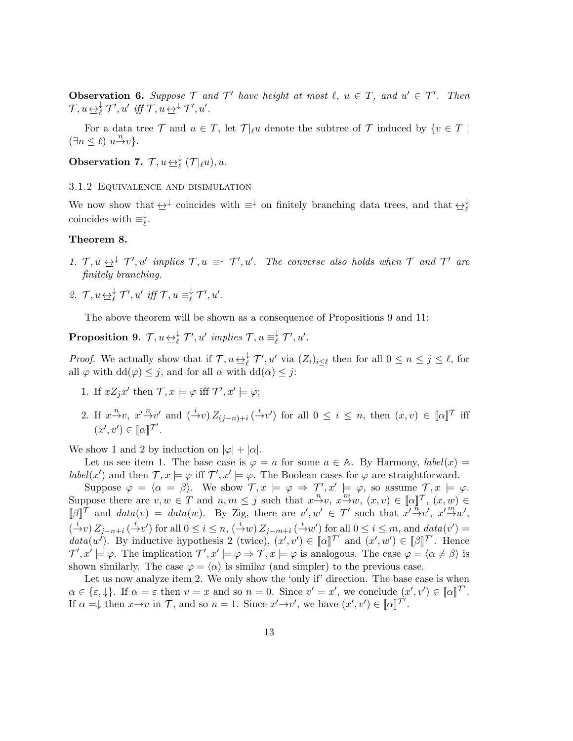**Observation 6.** Suppose  $\mathcal{T}$  and  $\mathcal{T}'$  have height at most  $\ell, u \in \mathcal{T}$ , and  $u' \in \mathcal{T}'$ . Then  $\mathcal{T}, u \underline{\leftrightarrow}^{\downarrow}_{\ell} \mathcal{T}', u' \text{ iff } \mathcal{T}, u \underline{\leftrightarrow}^{\downarrow} \mathcal{T}', u'.$ 

For a data tree  $\mathcal T$  and  $u \in T$ , let  $\mathcal T|_{\ell}u$  denote the subtree of  $\mathcal T$  induced by  $\{v \in T \mid$  $(\exists n \leq \ell) \ u \xrightarrow{n} v$ .

**Observation 7.**  $\mathcal{T}, u \underline{\leftrightarrow}^{\downarrow}_{\ell} (\mathcal{T} |_{\ell} u), u$ .

3.1.2 Equivalence and bisimulation

We now show that  $\leftrightarrow^{\downarrow}$  coincides with  $\equiv^{\downarrow}$  on finitely branching data trees, and that  $\leftrightarrow^{\downarrow}_{\ell}$ coincides with  $\equiv_{\ell}^{\downarrow}$  $_\ell^\downarrow.$ 

### Theorem 8.

- 1.  $\mathcal{T}, u \leftrightarrow^{\downarrow} \mathcal{T}', u'$  implies  $\mathcal{T}, u \equiv^{\downarrow} \mathcal{T}', u'$ . The converse also holds when  $\mathcal{T}$  and  $\mathcal{T}'$  are finitely branching.
- 2.  $\mathcal{T}, u \underline{\leftrightarrow}^{\downarrow}_{\ell} \mathcal{T}', u' \text{ iff } \mathcal{T}, u \equiv^{\downarrow}_{\ell}$  $\overleftarrow{\ell}$   $\mathcal{T}', u'$ .

The above theorem will be shown as a consequence of Propositions 9 and 11:

 $\textbf{Proposition 9.} \;\: \mathcal{T}, u \mathop{\leftrightarrow}\limits_{\succeq\ell}^{\downarrow} \mathcal{T}', u' \;\, \textit{implies} \; \mathcal{T}, u \equiv^\downarrow_\ell$  $\underset{\ell}{\downarrow}$   $\mathcal{T}', u'$ .

*Proof.* We actually show that if  $\mathcal{T}, u \leftrightarrow^{\downarrow}_{\ell} \mathcal{T}'$ , u' via  $(Z_i)_{i \leq \ell}$  then for all  $0 \leq n \leq j \leq \ell$ , for all  $\varphi$  with  $dd(\varphi) \leq j$ , and for all  $\alpha$  with  $dd(\alpha) \leq j$ :

- 1. If  $xZ_jx'$  then  $\mathcal{T}, x \models \varphi$  iff  $\mathcal{T}', x' \models \varphi$ ;
- 2. If  $x \to v$ ,  $x' \to v'$  and  $(\to v) Z_{(j-n)+i} (\to v')$  for all  $0 \le i \le n$ , then  $(x, v) \in [\![\alpha]\!]$ <sup>T</sup> iff  $(x', v') \in [\![\alpha]\!]$ <sup>T'</sup>.

We show 1 and 2 by induction on  $|\varphi| + |\alpha|$ .

Let us see item 1. The base case is  $\varphi = a$  for some  $a \in A$ . By Harmony,  $label(x) =$ label(x') and then  $\mathcal{T}, x \models \varphi$  iff  $\mathcal{T}', x' \models \varphi$ . The Boolean cases for  $\varphi$  are straightforward.

Suppose  $\varphi = \langle \alpha = \beta \rangle$ . We show  $\mathcal{T}, x \models \varphi \Rightarrow \mathcal{T}', x' \models \varphi$ , so assume  $\mathcal{T}, x \models \varphi$ . Suppose there are  $v, w \in T$  and  $n, m \leq j$  such that  $x \stackrel{n}{\rightarrow} v$ ,  $x \stackrel{m}{\rightarrow} w$ ,  $(x, v) \in [\![\alpha]\!]^T$ ,  $(x, w) \in$  $[\![\beta]\!] \hat{T}$  and  $data(v) = data(w)$ . By Zig, there are  $v', w' \in T'$  such that  $x' \stackrel{n}{\rightarrow} v', x' \stackrel{m}{\rightarrow} w'$ ,  $\left(\frac{i}{2}v\right)Z_{j-n+i}\left(\frac{i}{2}v'\right)$  for all  $0 \leq i \leq n$ ,  $\left(\frac{i}{2}w\right)Z_{j-m+i}\left(\frac{i}{2}w'\right)$  for all  $0 \leq i \leq m$ , and  $data(v') =$ data(w'). By inductive hypothesis 2 (twice),  $(x', v') \in [\![\alpha]\!]^{\mathcal{T}'}$  and  $(x', w') \in [\![\beta]\!]^{\mathcal{T}'}$ . Hence  $\mathcal{T}', x' \models \varphi$ . The implication  $\mathcal{T}', x' \models \varphi \Rightarrow \mathcal{T}, x \models \varphi$  is analogous. The case  $\varphi = \langle \alpha \neq \beta \rangle$  is shown similarly. The case  $\varphi = \langle \alpha \rangle$  is similar (and simpler) to the previous case.

Let us now analyze item 2. We only show the 'only if' direction. The base case is when  $\alpha \in \{\varepsilon, \downarrow\}.$  If  $\alpha = \varepsilon$  then  $v = x$  and so  $n = 0$ . Since  $v' = x'$ , we conclude  $(x', v') \in [\![\alpha]\!]^{\mathcal{T}}'.$ If  $\alpha = \downarrow$  then  $x \to v$  in  $\mathcal{T}$ , and so  $n = 1$ . Since  $x' \to v'$ , we have  $(x', v') \in [\![\alpha]\!]^{\mathcal{T}'}$ .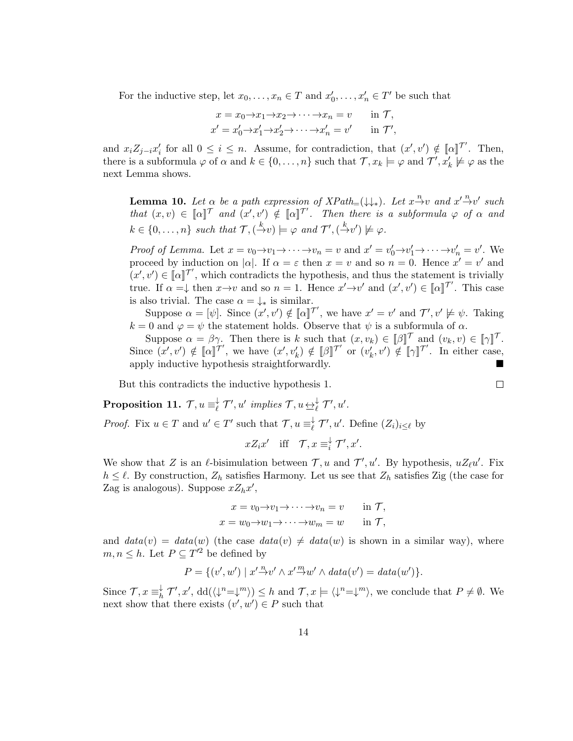For the inductive step, let  $x_0, \ldots, x_n \in T$  and  $x'_0, \ldots, x'_n \in T'$  be such that

$$
x = x_0 \to x_1 \to x_2 \to \cdots \to x_n = v \quad \text{in } \mathcal{T},
$$
  
\n
$$
x' = x'_0 \to x'_1 \to x'_2 \to \cdots \to x'_n = v' \quad \text{in } \mathcal{T}',
$$

and  $x_i Z_{j-i} x'_i$  for all  $0 \leq i \leq n$ . Assume, for contradiction, that  $(x', v') \notin [\![\alpha]\!]^{\mathcal{T}}$ . Then, there is a subformula  $\varphi$  of  $\alpha$  and  $k \in \{0, \ldots, n\}$  such that  $\mathcal{T}, x_k \models \varphi$  and  $\mathcal{T}', x'_k \not\models \varphi$  as the next Lemma shows.

**Lemma 10.** Let  $\alpha$  be a path expression of  $XPath_{=}(\downarrow\downarrow_*)$ . Let  $x \stackrel{n}{\rightarrow} v$  and  $x' \stackrel{n}{\rightarrow} v'$  such that  $(x, v) \in [\![\alpha]\!]^\mathcal{T}$  and  $(x', v') \notin [\![\alpha]\!]^\mathcal{T'}$ . Then there is a subformula  $\varphi$  of  $\alpha$  and  $k \in \{0, \ldots, n\}$  such that  $\mathcal{T}, \left(\frac{k}{\cdot}\nu\right) \models \varphi$  and  $\mathcal{T}', \left(\frac{k}{\cdot}\nu'\right) \not\models \varphi$ .

Proof of Lemma. Let  $x = v_0 \to v_1 \to \cdots \to v_n = v$  and  $x' = v'_0 \to v'_1 \to \cdots \to v'_n = v'$ . We proceed by induction on  $|\alpha|$ . If  $\alpha = \varepsilon$  then  $x = v$  and so  $n = 0$ . Hence  $x' = v'$  and  $(u', v') \in [\![\alpha]\!]$ <sup>T'</sup>, which contradicts the hypothesis, and thus the statement is trivially true. If  $\alpha = \downarrow$  then  $x \to v$  and so  $n = 1$ . Hence  $x' \to v'$  and  $(x', v') \in [\![\alpha]\!]^{\mathcal{T}}'$ . This case is also trivial. The case  $\alpha = \downarrow_*$  is similar.

Suppose  $\alpha = [\psi]$ . Since  $(x', v') \notin [\![\alpha]\!]^{\mathcal{T}'}$ , we have  $x' = v'$  and  $\mathcal{T}', v' \not\models \psi$ . Taking  $k = 0$  and  $\varphi = \psi$  the statement holds. Observe that  $\psi$  is a subformula of  $\alpha$ .

Suppose  $\alpha = \beta \gamma$ . Then there is k such that  $(x, v_k) \in [\![\beta]\!]^\mathcal{T}$  and  $(v_k, v) \in [\![\gamma]\!]^\mathcal{T}$ . Since  $(x', v') \notin [\![\alpha]\!]^{\mathcal{T}'}$ , we have  $(x', v'_k) \notin [\![\beta]\!]^{\mathcal{T}'}$  or  $(v'_k, v') \notin [\![\gamma]\!]^{\mathcal{T}'}$ . In either case, apply inductive hypothesis straightforwardly.

 $\Box$ 

But this contradicts the inductive hypothesis 1.

Proposition 11.  $\mathcal{T}, u \equiv_{\ell}^{\downarrow}$  $\overline{\mathcal{H}}$   $\mathcal{T}', u'$  implies  $\mathcal{T}, u \underline{\leftrightarrow}^{\downarrow}_{\ell} \mathcal{T}', u'.$ 

*Proof.* Fix  $u \in T$  and  $u' \in T'$  such that  $\mathcal{T}, u \equiv_{\ell}^{\downarrow}$  $\overline{\ell}$   $\mathcal{T}'$ ,  $u'$ . Define  $(Z_i)_{i\leq \ell}$  by

$$
xZ_ix'
$$
 iff  $\mathcal{T}, x \equiv_i^{\downarrow} \mathcal{T}', x'$ .

We show that Z is an  $\ell$ -bisimulation between  $\mathcal{T}, u$  and  $\mathcal{T}', u'$ . By hypothesis,  $uZ_{\ell}u'$ . Fix  $h \leq \ell$ . By construction,  $Z_h$  satisfies Harmony. Let us see that  $Z_h$  satisfies Zig (the case for Zag is analogous). Suppose  $xZ_hx'$ ,

$$
x = v_0 \to v_1 \to \cdots \to v_n = v \quad \text{in } \mathcal{T},
$$
  

$$
x = w_0 \to w_1 \to \cdots \to w_m = w \quad \text{in } \mathcal{T},
$$

and  $data(v) = data(w)$  (the case  $data(v) \neq data(w)$  is shown in a similar way), where  $m, n \leq h$ . Let  $P \subseteq T'^2$  be defined by

$$
P = \{ (v', w') \mid x' \stackrel{n}{\rightarrow} v' \land x' \stackrel{m}{\rightarrow} w' \land data(v') = data(w') \}.
$$

Since  $\mathcal{T}, x \equiv_h^{\downarrow}$  $\langle h \atop h \in \mathcal{T}'$ ,  $x'$ ,  $dd(\langle \downarrow^n=\downarrow^m\rangle) \leq h$  and  $\mathcal{T}, x \models \langle \downarrow^n=\downarrow^m\rangle$ , we conclude that  $P \neq \emptyset$ . We next show that there exists  $(v', w') \in P$  such that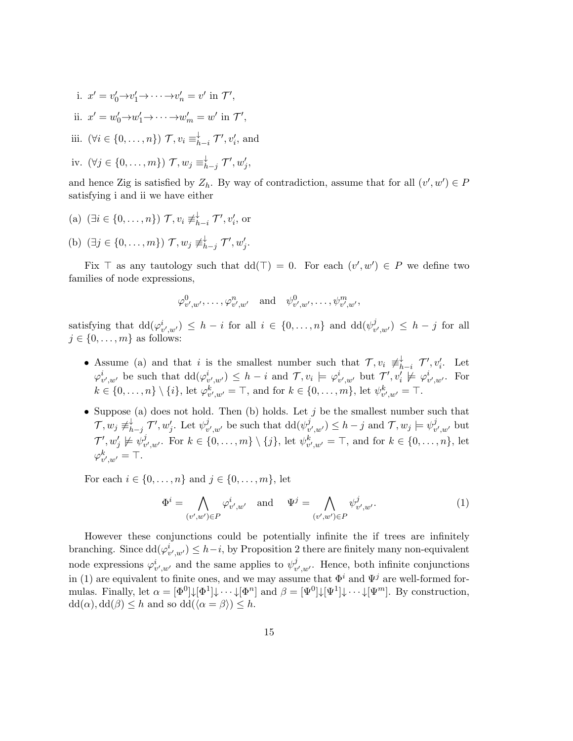i. 
$$
x' = v'_0 \rightarrow v'_1 \rightarrow \cdots \rightarrow v'_n = v'
$$
 in  $\mathcal{T}'$ ,  
\nii.  $x' = w'_0 \rightarrow w'_1 \rightarrow \cdots \rightarrow w'_m = w'$  in  $\mathcal{T}'$ ,  
\niii.  $(\forall i \in \{0, \ldots, n\}) \mathcal{T}, v_i \equiv_{h-i}^{\downarrow} \mathcal{T}', v'_i$ , and  
\niv.  $(\forall j \in \{0, \ldots, m\}) \mathcal{T}, w_j \equiv_{h-j}^{\downarrow} \mathcal{T}', w'_j$ ,

and hence Zig is satisfied by  $Z_h$ . By way of contradiction, assume that for all  $(v', w') \in P$ satisfying i and ii we have either

- (a)  $(\exists i \in \{0, \ldots, n\}) \mathcal{T}, v_i \not\equiv_h^{\downarrow}$  $\downarrow$ <sub>h−i</sub>  $\mathcal{T}', v'_i$ , or
- (b)  $(\exists j \in \{0, ..., m\}) \mathcal{T}, w_j \not\equiv^{\downarrow}_h$  $_{h-j}^{\downarrow}$   $\mathcal{T}^{\prime}, w_j^{\prime}.$

Fix  $\top$  as any tautology such that  $dd(\top) = 0$ . For each  $(v', w') \in P$  we define two families of node expressions,

$$
\varphi^0_{v',w'},\ldots,\varphi^n_{v',w'} \quad \text{and} \quad \psi^0_{v',w'},\ldots,\psi^m_{v',w'},
$$

satisfying that  $\mathrm{dd}(\varphi_{v',w'}^i) \leq h - i$  for all  $i \in \{0, \ldots, n\}$  and  $\mathrm{dd}(\psi_v^j)$  $v'_{v',w'}$ )  $\leq h-j$  for all  $j \in \{0, \ldots, m\}$  as follows:

- Assume (a) and that i is the smallest number such that  $\mathcal{T}, v_i \neq^{\downarrow}_h$  $\downarrow$ <sub>h−i</sub>  $\mathcal{T}'$ ,  $v_i'$ . Let  $\varphi_{v',w'}^i$  be such that  $\mathrm{dd}(\varphi_{v',w'}^i) \leq h - i$  and  $\mathcal{T}, v_i \models \varphi_{v',w'}^i$  but  $\mathcal{T}', v'_i \not\models \varphi_{v',w'}^i$ . For  $k \in \{0, ..., n\} \setminus \{i\},\$ let  $\varphi_{v',w'}^k = \top$ , and for  $k \in \{0, ..., m\}$ , let  $\psi_{v',w'}^k = \top$ .
- Suppose (a) does not hold. Then (b) holds. Let  $j$  be the smallest number such that  $\mathcal{T},w_j\not\equiv_h^\downarrow$  $_{h-j}^{\downarrow}$   $\mathcal{T}^{\prime}, w_j^{\prime}$ . Let  $\psi_v^j$  $v'_{v',w'}$  be such that  $\mathrm{dd}(\psi_v^j)$  $(v', w') \leq h - j$  and  $\mathcal{T}, w_j \models \psi_v^j$  $_{v^{\prime},w^{\prime}}^{j}$  but  $\mathcal{T}', w'_j \not \models \psi^j_v$  $v'_{v',w'}$ . For  $k \in \{0, ..., m\} \setminus \{j\}$ , let  $\psi^k_{v',w'} = \top$ , and for  $k \in \{0, ..., n\}$ , let  $\varphi_{v',w'}^k = \top.$

For each  $i \in \{0, ..., n\}$  and  $j \in \{0, ..., m\}$ , let

$$
\Phi^i = \bigwedge_{(v',w') \in P} \varphi^i_{v',w'} \quad \text{and} \quad \Psi^j = \bigwedge_{(v',w') \in P} \psi^j_{v',w'}.
$$
 (1)

However these conjunctions could be potentially infinite the if trees are infinitely branching. Since  $dd(\varphi_{v',w'}^i) \leq h-i$ , by Proposition 2 there are finitely many non-equivalent node expressions  $\varphi_{v',w'}^i$  and the same applies to  $\psi_v^j$  $v'_{v',w'}$ . Hence, both infinite conjunctions in (1) are equivalent to finite ones, and we may assume that  $\Phi^i$  and  $\Psi^j$  are well-formed formulas. Finally, let  $\alpha = [\Phi^0] \downarrow [\Phi^1] \downarrow \cdots \downarrow [\Phi^n]$  and  $\beta = [\Psi^0] \downarrow [\Psi^1] \downarrow \cdots \downarrow [\Psi^m]$ . By construction,  $dd(\alpha)$ ,  $dd(\beta) \leq h$  and so  $dd(\langle \alpha = \beta \rangle) \leq h$ .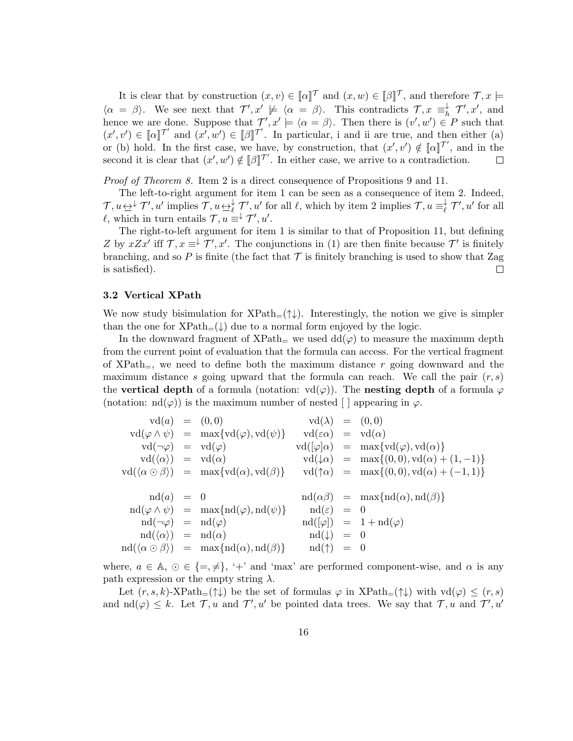It is clear that by construction  $(x, v) \in [\![\alpha]\!]^\mathcal{T}$  and  $(x, w) \in [\![\beta]\!]^\mathcal{T}$ , and therefore  $\mathcal{T}, x \models$  $\langle \alpha = \beta \rangle$ . We see next that  $\mathcal{T}', x' \not\models \langle \alpha = \beta \rangle$ . This contradicts  $\mathcal{T}, x \equiv_h^{\downarrow}$  $\overrightarrow{h}$   $\mathcal{T}', x'$ , and hence we are done. Suppose that  $\mathcal{T}', x' \models \langle \alpha = \beta \rangle$ . Then there is  $(v', w') \in P$  such that  $(x', v') \in [\![\alpha]\!]^{\mathcal{T}'}$  and  $(x', w') \in [\![\beta]\!]^{\mathcal{T}'}$ . In particular, i and ii are true, and then either (a) or (b) hold. In the first case, we have, by construction, that  $(x', v') \notin [\![\alpha]\!]^{\mathcal{T}}$ , and in the second it is clear that  $(x', w') \notin [\![\beta]\!]^{\mathcal{T}}$ . In either case, we arrive to a contradiction.  $\Box$ 

Proof of Theorem 8. Item 2 is a direct consequence of Propositions 9 and 11.

The left-to-right argument for item 1 can be seen as a consequence of item 2. Indeed,  $\mathcal{T}, u \leftrightarrow^{\downarrow} \mathcal{T}', u'$  implies  $\mathcal{T}, u \leftrightarrow^{\downarrow}_{\ell} \mathcal{T}', u'$  for all  $\ell$ , which by item 2 implies  $\mathcal{T}, u \equiv^{\downarrow}_{\ell}$  $\oint_{\ell}$   $\mathcal{T}', u'$  for all  $\ell$ , which in turn entails  $\mathcal{T}, u \equiv^{\downarrow} \mathcal{T}', u'.$ 

The right-to-left argument for item 1 is similar to that of Proposition 11, but defining Z by  $xZx'$  iff  $\mathcal{T}, x \equiv^{\downarrow} \mathcal{T}', x'$ . The conjunctions in (1) are then finite because  $\mathcal{T}'$  is finitely branching, and so P is finite (the fact that  $\mathcal T$  is finitely branching is used to show that Zag is satisfied). is satisfied).

#### 3.2 Vertical XPath

We now study bisimulation for  $XPath_{=}(\uparrow\downarrow)$ . Interestingly, the notion we give is simpler than the one for  $XPath_{=}(\downarrow)$  due to a normal form enjoyed by the logic.

In the downward fragment of XPath<sub>=</sub> we used  $dd(\varphi)$  to measure the maximum depth from the current point of evaluation that the formula can access. For the vertical fragment of  $XPath_$ , we need to define both the maximum distance r going downward and the maximum distance s going upward that the formula can reach. We call the pair  $(r, s)$ the vertical depth of a formula (notation:  $\text{vd}(\varphi)$ ). The nesting depth of a formula  $\varphi$ (notation:  $\mathrm{nd}(\varphi)$ ) is the maximum number of nested [ ] appearing in  $\varphi$ .

$$
\begin{array}{rcl}\n\text{vd}(a) & = & (0,0) \\
\text{vd}(\varphi \land \psi) & = & \max\{\text{vd}(\varphi), \text{vd}(\psi)\} \\
\text{vd}(\neg\varphi) & = & \text{vd}(\varphi) \\
\text{vd}(\neg\varphi) & = & \text{vd}(\varphi) \\
\text{vd}(\varphi)a & = & \text{max}\{\text{vd}(\varphi), \text{vd}(\alpha)\} \\
\text{vd}(\langle\alpha \rangle) & = & \text{val}(\alpha) \\
\text{vd}(\langle\alpha \rangle) & = & \text{max}\{\text{vd}(\alpha), \text{vd}(\neg\alpha)\} \\
\text{vd}(\langle\alpha \circ \beta \rangle) & = & \text{max}\{\text{vd}(\alpha), \text{vd}(\beta)\} \\
\text{vd}(\langle\alpha \circ \beta \rangle) & = & \text{max}\{\text{vd}(\alpha), \text{vd}(\beta)\} \\
\text{vd}(\varphi \land \psi) & = & \text{max}\{\text{nd}(\varphi), \text{nd}(\psi)\} \\
\text{vd}(\varphi \land \psi) & = & \text{max}\{\text{nd}(\varphi), \text{vd}(\psi)\} \\
\text{vd}(\varphi) & = & \text{val}(\varphi) \\
\text{vd}(\neg\varphi) & = & \text{val}(\varphi) \\
\text{vd}(\neg\varphi) & = & \text{val}(\varphi) \\
\text{vd}(\langle\alpha \rangle) & = & \text{val}(\varphi) \\
\text{vd}(\langle\alpha \circ \beta \rangle) & = & \text{max}\{\text{nd}(\alpha), \text{nd}(\beta)\} \\
\text{vd}(\varphi) & = & \text{val}(\uparrow) \\
\text{vd}(\langle\alpha \circ \beta \rangle) & = & \text{max}\{\text{nd}(\alpha), \text{val}(\beta)\} \\
\text{vd}(\uparrow) & = & 0 \\
\text{vd}(\langle\alpha \circ \beta \rangle) & = & \text{max}\{\text{val}(\alpha), \text{val}(\beta)\} \\
\text{vd}(\uparrow) & = & 0 \\
\text{vd}(\langle\alpha \circ \beta \rangle) & = & \text{val}
$$

where,  $a \in \mathbb{A}, \varnothing \in \{\pm, \neq\}, \varnothing$  and 'max' are performed component-wise, and  $\alpha$  is any path expression or the empty string  $\lambda$ .

Let  $(r, s, k)$ -XPath<sub>=</sub>(↑↓) be the set of formulas  $\varphi$  in XPath<sub>=</sub>(↑↓) with  $\text{vd}(\varphi) \leq (r, s)$ and  $\mathrm{nd}(\varphi) \leq k$ . Let  $\mathcal{T}, u$  and  $\mathcal{T}', u'$  be pointed data trees. We say that  $\mathcal{T}, u$  and  $\mathcal{T}', u'$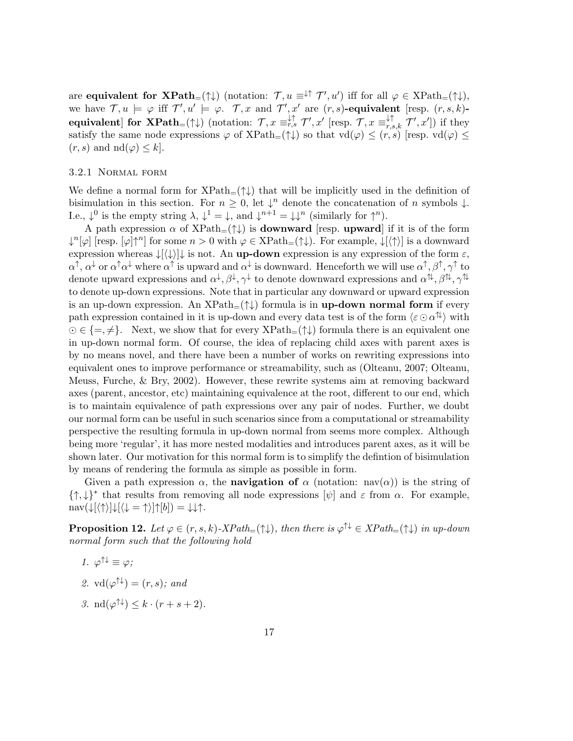are **equivalent for**  $\mathbf{XPath}_{=}(\uparrow\downarrow)$  (notation:  $\mathcal{T}, u \equiv \downarrow \uparrow \mathcal{T}', u'$ ) iff for all  $\varphi \in \mathrm{XPath}_{=}(\uparrow\downarrow)$ , we have  $\mathcal{T}, u \models \varphi$  iff  $\mathcal{T}', u' \models \varphi$ .  $\mathcal{T}, x$  and  $\mathcal{T}', x'$  are  $(r, s)$ -equivalent [resp.  $(r, s, k)$ equivalent] for  $\mathbf{XPath}_{=}(\uparrow\downarrow)$  (notation:  $\mathcal{T}, x \equiv_{r,s}^{\downarrow\uparrow} \mathcal{T}', x'$  [resp.  $\mathcal{T}, x \equiv_{r,s,k}^{\downarrow\uparrow} \mathcal{T}', x'$ ]) if they satisfy the same node expressions  $\varphi$  of XPath<sub>=</sub>( $\uparrow\downarrow$ ) so that  $\text{vd}(\varphi) \leq (r, s)$  [resp.  $\text{vd}(\varphi) \leq$  $(r, s)$  and  $\mathrm{nd}(\varphi) \leq k$ .

#### 3.2.1 Normal form

We define a normal form for  $XPath=(\uparrow\downarrow)$  that will be implicitly used in the definition of bisimulation in this section. For  $n \geq 0$ , let  $\downarrow^n$  denote the concatenation of n symbols  $\downarrow$ . I.e.,  $\downarrow^0$  is the empty string  $\lambda$ ,  $\downarrow^1 = \downarrow$ , and  $\downarrow^{n+1} = \downarrow \downarrow^n$  (similarly for  $\uparrow^n$ ).

A path expression  $\alpha$  of XPath=( $\uparrow \downarrow$ ) is **downward** [resp. **upward**] if it is of the form  $\downarrow^{n}[\varphi]$  [resp.  $[\varphi] \uparrow^{n}$ ] for some  $n > 0$  with  $\varphi \in \text{XPath}_{=}(\uparrow \downarrow)$ . For example,  $\downarrow[\langle \uparrow \rangle]$  is a downward expression whereas  $\downarrow$ [ $\langle \downarrow \rangle$ ] $\downarrow$  is not. An **up-down** expression is any expression of the form  $\varepsilon$ ,  $\alpha^{\uparrow}, \alpha^{\downarrow}$  or  $\alpha^{\uparrow} \alpha^{\downarrow}$  where  $\alpha^{\uparrow}$  is upward and  $\alpha^{\downarrow}$  is downward. Henceforth we will use  $\alpha^{\uparrow}, \beta^{\uparrow}, \gamma^{\uparrow}$  to denote upward expressions and  $\alpha^{\downarrow}, \beta^{\downarrow}, \gamma^{\downarrow}$  to denote downward expressions and  $\alpha^{\uparrow\downarrow}, \beta^{\uparrow\downarrow}, \gamma^{\uparrow\downarrow}$ to denote up-down expressions. Note that in particular any downward or upward expression is an up-down expression. An  $XPath_{=}(\uparrow\downarrow)$  formula is in up-down normal form if every path expression contained in it is up-down and every data test is of the form  $\langle \varepsilon \odot \alpha^{\uparrow\downarrow} \rangle$  with  $\Theta \in \{=,\neq\}.$  Next, we show that for every  $XPath_{=}(\uparrow\downarrow)$  formula there is an equivalent one in up-down normal form. Of course, the idea of replacing child axes with parent axes is by no means novel, and there have been a number of works on rewriting expressions into equivalent ones to improve performance or streamability, such as (Olteanu, 2007; Olteanu, Meuss, Furche, & Bry, 2002). However, these rewrite systems aim at removing backward axes (parent, ancestor, etc) maintaining equivalence at the root, different to our end, which is to maintain equivalence of path expressions over any pair of nodes. Further, we doubt our normal form can be useful in such scenarios since from a computational or streamability perspective the resulting formula in up-down normal from seems more complex. Although being more 'regular', it has more nested modalities and introduces parent axes, as it will be shown later. Our motivation for this normal form is to simplify the defintion of bisimulation by means of rendering the formula as simple as possible in form.

Given a path expression  $\alpha$ , the **navigation of**  $\alpha$  (notation: nav( $\alpha$ )) is the string of  $\{\uparrow,\downarrow\}^*$  that results from removing all node expressions  $[\psi]$  and  $\varepsilon$  from  $\alpha$ . For example,  $\text{nav}(\downarrow[\langle \uparrow \rangle]\downarrow[\langle \downarrow = \uparrow \rangle]\uparrow[b]) = \downarrow \downarrow \uparrow.$ 

**Proposition 12.** Let  $\varphi \in (r, s, k)$ -XPath<sub>=</sub> $(\uparrow \downarrow)$ , then there is  $\varphi^{\uparrow \downarrow} \in XPath_{=}(\uparrow \downarrow)$  in up-down normal form such that the following hold

- 1.  $\varphi^{\uparrow\downarrow} \equiv \varphi$ ;
- 2.  $\text{vd}(\varphi^{\uparrow\downarrow}) = (r, s);$  and
- 3.  $\operatorname{nd}(\varphi^{\uparrow\downarrow}) \leq k \cdot (r+s+2)$ .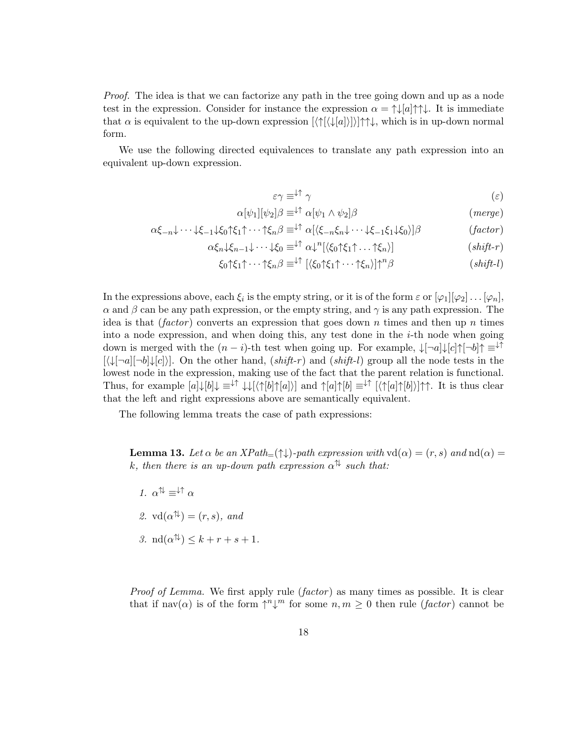Proof. The idea is that we can factorize any path in the tree going down and up as a node test in the expression. Consider for instance the expression  $\alpha = \uparrow \downarrow [a] \uparrow \uparrow \downarrow$ . It is immediate that  $\alpha$  is equivalent to the up-down expression  $[\langle \uparrow | \langle \downarrow | a] \rangle] \rangle | \uparrow \uparrow \downarrow$ , which is in up-down normal form.

We use the following directed equivalences to translate any path expression into an equivalent up-down expression.

$$
\varepsilon \gamma \equiv^{\downarrow \uparrow} \gamma \tag{ε}
$$

$$
\alpha[\psi_1][\psi_2]\beta \equiv^{\downarrow\uparrow} \alpha[\psi_1 \wedge \psi_2]\beta \tag{merge}
$$

$$
\alpha \xi_{-n} \downarrow \cdots \downarrow \xi_{-1} \downarrow \xi_0 \uparrow \xi_1 \uparrow \cdots \uparrow \xi_n \beta \equiv^{\downarrow \uparrow} \alpha [\langle \xi_{-n} \xi_n \downarrow \cdots \downarrow \xi_{-1} \xi_1 \downarrow \xi_0 \rangle] \beta \qquad (factor)
$$

$$
\alpha \xi_n \downarrow \xi_{n-1} \downarrow \cdots \downarrow \xi_0 \equiv^{\downarrow \uparrow} \alpha \downarrow^n [\langle \xi_0 \uparrow \xi_1 \uparrow \ldots \uparrow \xi_n \rangle] \tag{shift-r)}
$$

$$
\xi_0 \uparrow \xi_1 \uparrow \cdots \uparrow \xi_n \beta \equiv^{\downarrow \uparrow} [\langle \xi_0 \uparrow \xi_1 \uparrow \cdots \uparrow \xi_n \rangle] \uparrow^n \beta \qquad (shift\text{-}l)
$$

In the expressions above, each  $\xi_i$  is the empty string, or it is of the form  $\varepsilon$  or  $[\varphi_1][\varphi_2] \dots [\varphi_n],$  $\alpha$  and  $\beta$  can be any path expression, or the empty string, and  $\gamma$  is any path expression. The idea is that (factor) converts an expression that goes down n times and then up n times into a node expression, and when doing this, any test done in the  $i$ -th node when going down is merged with the  $(n-i)$ -th test when going up. For example,  $\downarrow[\neg a]\downarrow[c]\uparrow[\neg b]\uparrow\equiv\downarrow\uparrow$  $[\langle \downarrow [\neg a][\neg b] \downarrow [c]]$ . On the other hand,  $(shift-r)$  and  $(shift-l)$  group all the node tests in the lowest node in the expression, making use of the fact that the parent relation is functional. Thus, for example  $[a]\downarrow[b]\downarrow \equiv \downarrow \uparrow \downarrow \downarrow [\langle \uparrow[b] \uparrow[a] \rangle]$  and  $\uparrow[a] \uparrow[b] \equiv \downarrow \uparrow [\langle \uparrow[a] \uparrow[b] \rangle] \uparrow \uparrow$ . It is thus clear that the left and right expressions above are semantically equivalent.

The following lemma treats the case of path expressions:

**Lemma 13.** Let  $\alpha$  be an XPath=( $\uparrow \downarrow$ )-path expression with  $\text{vd}(\alpha) = (r, s)$  and  $\text{nd}(\alpha) =$ k, then there is an up-down path expression  $\alpha^{\uparrow\downarrow}$  such that:

1.  $\alpha^{\uparrow\downarrow} \equiv^{\downarrow\uparrow} \alpha$ 2.  $\text{vd}(\alpha^{\uparrow\downarrow}) = (r, s)$ , and 3.  $\operatorname{nd}(\alpha^{\uparrow\downarrow}) \leq k + r + s + 1.$ 

*Proof of Lemma.* We first apply rule  $(factor)$  as many times as possible. It is clear that if  $\text{nav}(\alpha)$  is of the form  $\uparrow^n \downarrow^m$  for some  $n, m \geq 0$  then rule (*factor*) cannot be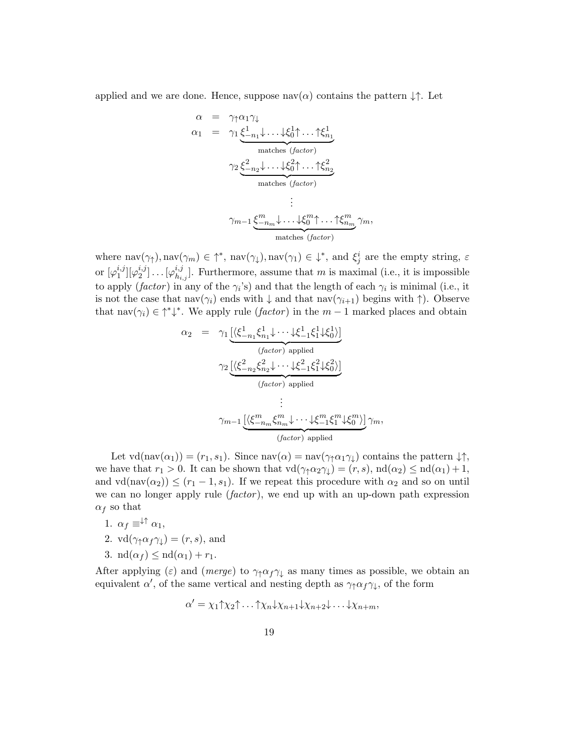applied and we are done. Hence, suppose nav( $\alpha$ ) contains the pattern  $\downarrow \uparrow$ . Let

$$
\alpha = \gamma_1 \alpha_1 \gamma_1
$$
\n
$$
\alpha_1 = \gamma_1 \underbrace{\xi_{-n_1}^1 \downarrow \ldots \downarrow \xi_0^1 \uparrow \ldots \uparrow \xi_{n_1}^1}_{\text{matches } (factor)}
$$
\n
$$
\gamma_2 \underbrace{\xi_{-n_2}^2 \downarrow \ldots \downarrow \xi_0^2 \uparrow \ldots \uparrow \xi_{n_2}^2}_{\text{matches } (factor)}
$$
\n
$$
\vdots
$$
\n
$$
\gamma_{m-1} \underbrace{\xi_{-n_m}^m \downarrow \ldots \downarrow \xi_0^m \uparrow \ldots \uparrow \xi_{n_m}^m}_{\text{matches } (factor)}
$$

where  $\text{nav}(\gamma_1), \text{nav}(\gamma_m) \in \uparrow^*, \text{nav}(\gamma_1), \text{nav}(\gamma_1) \in \downarrow^*, \text{ and } \xi_j^i$  are the empty string,  $\varepsilon$ or  $[\varphi_1^{i,j}]$  $_{1}^{i,j}][\varphi_{2}^{i,j}% (p_{i}^{i,j}](p_{i}^{i,j}))$  $\left[\begin{smallmatrix} i,j \ 2 \end{smallmatrix}\right] \ldots \left[\begin{smallmatrix} \varphi^{i,j}_{h_i} \end{smallmatrix}\right]$  $\mathcal{H}_{h_{i,j}}^{i,j}$ . Furthermore, assume that m is maximal (i.e., it is impossible to apply (*factor*) in any of the  $\gamma_i$ 's) and that the length of each  $\gamma_i$  is minimal (i.e., it is not the case that nav( $\gamma_i$ ) ends with  $\downarrow$  and that nav( $\gamma_{i+1}$ ) begins with  $\uparrow$ ). Observe that  $\text{nav}(\gamma_i) \in \uparrow^* \downarrow^*$ . We apply rule  $(factor)$  in the  $m-1$  marked places and obtain

$$
\alpha_2 = \gamma_1 \underbrace{[\langle \xi_{-n_1}^1 \xi_{n_1}^1 \psi \cdots \psi_{-1}^2 \xi_1^1 \psi_{0}^2 \rangle]}_{(factor) applied}
$$
\n
$$
\gamma_2 \underbrace{[\langle \xi_{-n_2}^2 \xi_{n_2}^2 \psi \cdots \psi_{-1}^2 \xi_1^2 \psi_{0}^2 \rangle]}_{(factor) applied]}
$$
\n
$$
\vdots
$$
\n
$$
\gamma_{m-1} \underbrace{[\langle \xi_{-n_m}^m \xi_{n_m}^m \psi \cdots \psi_{-1}^m \xi_1^m \psi_{0}^m \rangle]}_{(factor) applied} \gamma_m,
$$

Let  $\text{vd}(\text{nav}(\alpha_1)) = (r_1, s_1)$ . Since  $\text{nav}(\alpha) = \text{nav}(\gamma_1 \alpha_1 \gamma_1)$  contains the pattern  $\downarrow \uparrow$ , we have that  $r_1 > 0$ . It can be shown that  $\text{vd}(\gamma_1 \alpha_2 \gamma_1) = (r, s)$ ,  $\text{nd}(\alpha_2) \leq \text{nd}(\alpha_1) + 1$ , and  $\text{vd}(\text{nav}(\alpha_2)) \leq (r_1 - 1, s_1)$ . If we repeat this procedure with  $\alpha_2$  and so on until we can no longer apply rule  $(factor)$ , we end up with an up-down path expression  $\alpha_f$  so that

- 1.  $\alpha_f \equiv^{\downarrow \uparrow} \alpha_1$ ,
- 2.  $\text{vd}(\gamma_1 \alpha_f \gamma_k) = (r, s)$ , and
- 3.  $\mathrm{nd}(\alpha_f) \leq \mathrm{nd}(\alpha_1) + r_1$ .

After applying ( $\varepsilon$ ) and (*merge*) to  $\gamma_1 \alpha_f \gamma_1$  as many times as possible, we obtain an equivalent  $\alpha'$ , of the same vertical and nesting depth as  $\gamma_{\uparrow} \alpha_f \gamma_{\downarrow}$ , of the form

$$
\alpha' = \chi_1 \uparrow \chi_2 \uparrow \ldots \uparrow \chi_n \downarrow \chi_{n+1} \downarrow \chi_{n+2} \downarrow \ldots \downarrow \chi_{n+m},
$$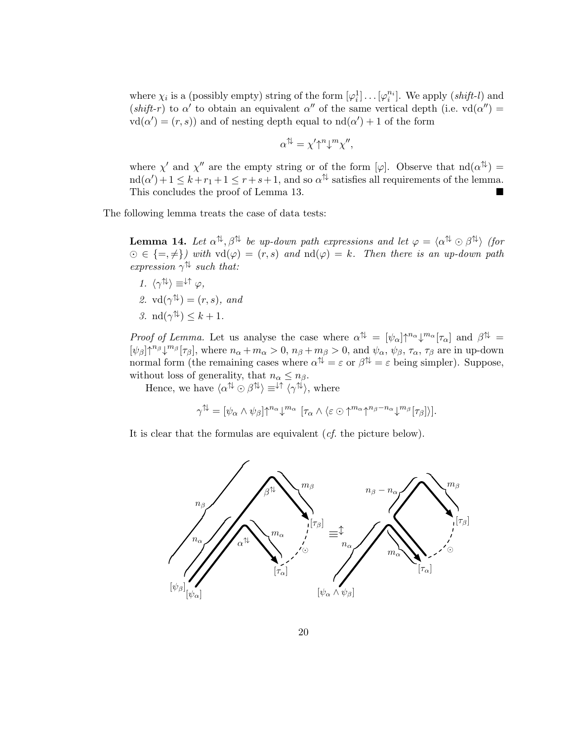where  $\chi_i$  is a (possibly empty) string of the form  $[\varphi_i^1] \dots [\varphi_i^{n_i}]$ . We apply  $(shift-l)$  and (shift-r) to  $\alpha'$  to obtain an equivalent  $\alpha''$  of the same vertical depth (i.e. vd( $\alpha''$ ) =  $\text{vd}(\alpha') = (r, s)$  and of nesting depth equal to  $\text{nd}(\alpha') + 1$  of the form

$$
\alpha^{\uparrow\downarrow} = \chi' \uparrow^n \downarrow^m \chi'',
$$

where  $\chi'$  and  $\chi''$  are the empty string or of the form [ $\varphi$ ]. Observe that  $\text{nd}(\alpha^{\uparrow\downarrow}) =$  $\text{nd}(\alpha') + 1 \leq k + r_1 + 1 \leq r + s + 1$ , and so  $\alpha^{\uparrow\downarrow}$  satisfies all requirements of the lemma. This concludes the proof of Lemma 13.

The following lemma treats the case of data tests:

**Lemma 14.** Let  $\alpha^{\uparrow\downarrow}, \beta^{\uparrow\downarrow}$  be up-down path expressions and let  $\varphi = \langle \alpha^{\uparrow\downarrow} \odot \beta^{\uparrow\downarrow} \rangle$  (for  $\Theta \in \{=,\neq\}$ ) with  $\text{vd}(\varphi) = (r,s)$  and  $\text{nd}(\varphi) = k$ . Then there is an up-down path expression  $\gamma^{\uparrow\downarrow}$  such that:

1.  $\langle \gamma^{\uparrow\downarrow} \rangle \equiv^{\downarrow\uparrow} \varphi$ , 2.  $\text{vd}(\gamma^{\uparrow\downarrow}) = (r, s)$ , and 3.  $\mathrm{nd}(\gamma^{\uparrow\downarrow}) \leq k+1$ .

Proof of Lemma. Let us analyse the case where  $\alpha^{\uparrow\downarrow} = [\psi_{\alpha}] \uparrow^{n_{\alpha}} \downarrow^{m_{\alpha}} [\tau_{\alpha}]$  and  $\beta^{\uparrow\downarrow} =$  $[\psi_{\beta}] \uparrow^{n_{\beta}} \downarrow^{m_{\beta}} [\tau_{\beta}],$  where  $n_{\alpha} + m_{\alpha} > 0$ ,  $n_{\beta} + m_{\beta} > 0$ , and  $\psi_{\alpha}, \psi_{\beta}, \tau_{\alpha}, \tau_{\beta}$  are in up-down normal form (the remaining cases where  $\alpha^{\uparrow\downarrow} = \varepsilon$  or  $\beta^{\uparrow\downarrow} = \varepsilon$  being simpler). Suppose, without loss of generality, that  $n_{\alpha} \leq n_{\beta}$ .

Hence, we have  $\langle \alpha^{\uparrow\downarrow} \odot \beta^{\uparrow\downarrow} \rangle \equiv^{\downarrow\uparrow} \langle \gamma^{\uparrow\downarrow} \rangle$ , where

$$
\gamma^{\uparrow\downarrow} = [\psi_{\alpha} \wedge \psi_{\beta}] \uparrow^{n_{\alpha}} \downarrow^{m_{\alpha}} [\tau_{\alpha} \wedge \langle \varepsilon \odot \uparrow^{m_{\alpha}} \uparrow^{n_{\beta}-n_{\alpha}} \downarrow^{m_{\beta}} [\tau_{\beta}]\rangle].
$$

It is clear that the formulas are equivalent (cf. the picture below).

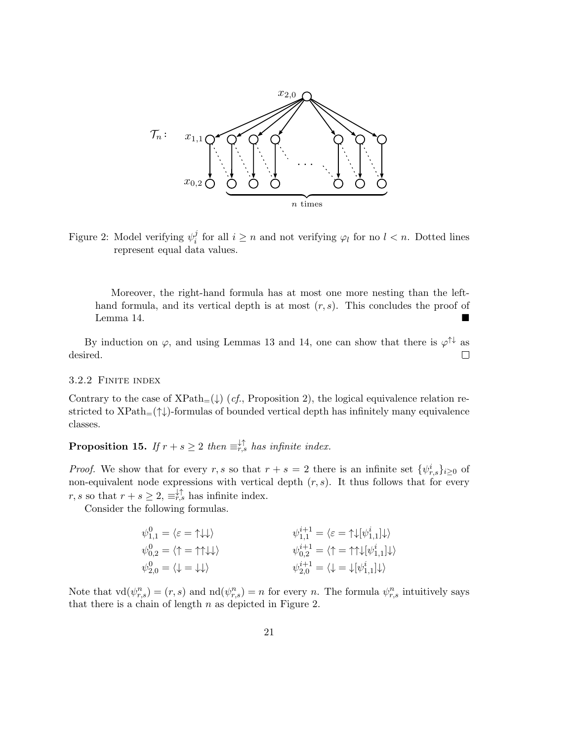

Figure 2: Model verifying  $\psi_i^j$  $i<sub>i</sub>$  for all  $i \geq n$  and not verifying  $\varphi_l$  for no  $l < n$ . Dotted lines represent equal data values.

Moreover, the right-hand formula has at most one more nesting than the lefthand formula, and its vertical depth is at most  $(r, s)$ . This concludes the proof of Lemma 14.

By induction on  $\varphi$ , and using Lemmas 13 and 14, one can show that there is  $\varphi^{\uparrow\downarrow}$  as  $\Box$ desired.

# 3.2.2 Finite index

Contrary to the case of  $XPath_{=}(\downarrow)$  (*cf.*, Proposition 2), the logical equivalence relation restricted to  $XPath_{=}(\uparrow\downarrow)$ -formulas of bounded vertical depth has infinitely many equivalence classes.

**Proposition 15.** If  $r + s \geq 2$  then  $\equiv_{r,s}^{\downarrow \uparrow}$  has infinite index.

*Proof.* We show that for every r, s so that  $r + s = 2$  there is an infinite set  $\{\psi_{r,s}^i\}_{i\geq 0}$  of non-equivalent node expressions with vertical depth  $(r, s)$ . It thus follows that for every  $r, s$  so that  $r + s \geq 2$ ,  $\equiv_{r,s}^{\downarrow \uparrow}$  has infinite index.

Consider the following formulas.

| $\psi_{1,1}^0 = \langle \varepsilon = \uparrow \downarrow \downarrow \rangle$       | $\psi_{1,1}^{i+1} = \langle \varepsilon = \uparrow \downarrow [\psi_{1,1}^i] \downarrow \rangle$                 |
|-------------------------------------------------------------------------------------|------------------------------------------------------------------------------------------------------------------|
| $\psi_{0,2}^0 = \langle \uparrow = \uparrow \uparrow \downarrow \downarrow \rangle$ | $\psi_{0,2}^{i+1} = \langle \uparrow \rangle = \uparrow \uparrow \downarrow [\psi_{1,1}^{i}] \downarrow \rangle$ |
| $\psi_{2,0}^0 = \langle \downarrow = \downarrow \downarrow \rangle$                 | $\psi_{2,0}^{i+1} = \langle \downarrow \rangle = \downarrow [\psi_{1,1}^{i}] \downarrow \rangle$                 |

Note that  $\text{vd}(\psi_{r,s}^n) = (r,s)$  and  $\text{nd}(\psi_{r,s}^n) = n$  for every n. The formula  $\psi_{r,s}^n$  intuitively says that there is a chain of length  $n$  as depicted in Figure 2.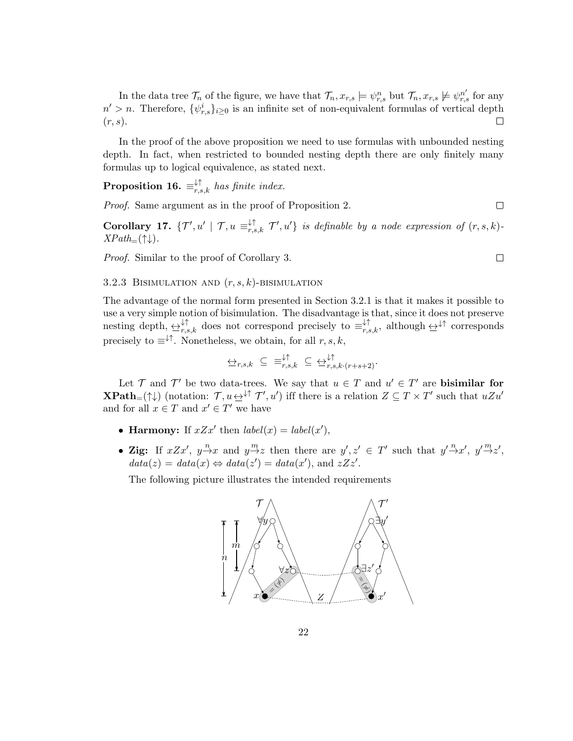In the data tree  $\mathcal{T}_n$  of the figure, we have that  $\mathcal{T}_n, x_{r,s} \models \psi_{r,s}^n$  but  $\mathcal{T}_n, x_{r,s} \not\models \psi_{r,s}^{n'}$  for any  $n' > n$ . Therefore,  $\{\psi_{r,s}^i\}_{i \geq 0}$  is an infinite set of non-equivalent formulas of vertical depth  $(r, s)$ .

In the proof of the above proposition we need to use formulas with unbounded nesting depth. In fact, when restricted to bounded nesting depth there are only finitely many formulas up to logical equivalence, as stated next.

**Proposition 16.**  $\equiv_{r,s,k}^{\downarrow\uparrow}$  has finite index.

Proof. Same argument as in the proof of Proposition 2.

**Corollary 17.**  $\{T', u' \mid T, u \equiv_{r,s,k}^{+\uparrow} T', u'\}$  is definable by a node expression of  $(r, s, k)$ - $XPath_{=}(\uparrow\downarrow).$ 

 $\Box$ 

 $\Box$ 

Proof. Similar to the proof of Corollary 3.

## 3.2.3 BISIMULATION AND  $(r, s, k)$ -BISIMULATION

The advantage of the normal form presented in Section 3.2.1 is that it makes it possible to use a very simple notion of bisimulation. The disadvantage is that, since it does not preserve nesting depth,  $\leftrightarrow_{r,s,k}^{\downarrow\uparrow}$  does not correspond precisely to  $\equiv_{r,s,k}^{\downarrow\uparrow}$ , although  $\leftrightarrow^{\downarrow\uparrow}$  corresponds precisely to  $\equiv^{\downarrow\uparrow}$ . Nonetheless, we obtain, for all  $r, s, k$ ,

$$
\biguplus_{r,s,k} \ \subseteq \ \equiv_{r,s,k}^{\downarrow\uparrow} \ \subseteq \ \leftrightarrow_{r,s,k \cdot (r+s+2)}^{\downarrow\uparrow}.
$$

Let  $\mathcal T$  and  $\mathcal T'$  be two data-trees. We say that  $u \in \mathcal T$  and  $u' \in \mathcal T'$  are **bisimilar for XPath**=( $\uparrow\downarrow$ ) (notation:  $\mathcal{T}, u \rightarrow^{\downarrow\uparrow} \mathcal{T}', u'$ ) iff there is a relation  $Z \subseteq T \times T'$  such that  $uZu'$ and for all  $x \in T$  and  $x' \in T'$  we have

- Harmony: If  $xZx'$  then  $label(x) = label(x')$ ,
- Zig: If  $xZx'$ ,  $y \stackrel{n}{\rightarrow} x$  and  $y \stackrel{m}{\rightarrow} z$  then there are  $y', z' \in T'$  such that  $y' \stackrel{n}{\rightarrow} x'$ ,  $y' \stackrel{m}{\rightarrow} z'$ ,  $data(z) = data(x) \Leftrightarrow data(z') = data(x')$ , and  $zZz'$ .

The following picture illustrates the intended requirements

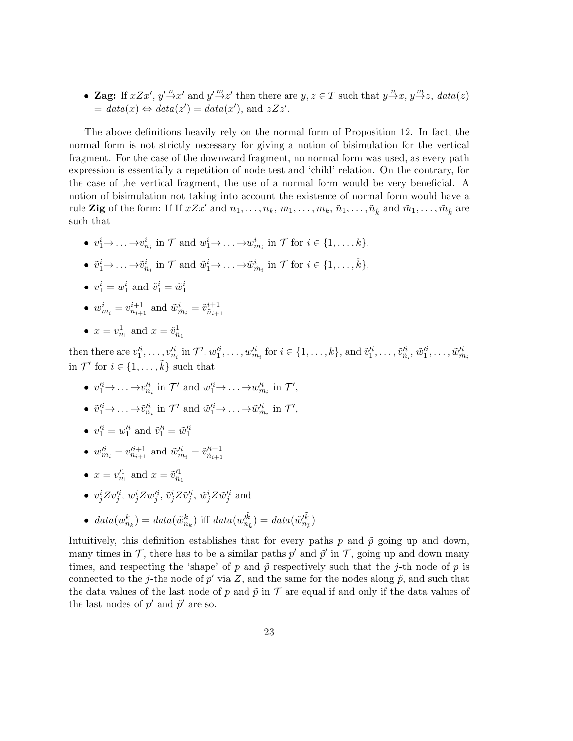• Zag: If  $xZx'$ ,  $y'\stackrel{n}{\rightarrow}x'$  and  $y'\stackrel{m}{\rightarrow}z'$  then there are  $y, z \in T$  such that  $y\stackrel{n}{\rightarrow}x, y\stackrel{m}{\rightarrow}z$ ,  $data(z)$  $= data(x) \Leftrightarrow data(z') = data(x'), \text{ and } zZz'.$ 

The above definitions heavily rely on the normal form of Proposition 12. In fact, the normal form is not strictly necessary for giving a notion of bisimulation for the vertical fragment. For the case of the downward fragment, no normal form was used, as every path expression is essentially a repetition of node test and 'child' relation. On the contrary, for the case of the vertical fragment, the use of a normal form would be very beneficial. A notion of bisimulation not taking into account the existence of normal form would have a rule Zig of the form: If If  $xZx'$  and  $n_1, \ldots, n_k, m_1, \ldots, m_k, \tilde{n}_1, \ldots, \tilde{n}_{\tilde{k}}$  and  $\tilde{m}_1, \ldots, \tilde{m}_{\tilde{k}}$  are such that

- $v_1^i \rightarrow \ldots \rightarrow v_{n_i}^i$  in  $\mathcal{T}$  and  $w_1^i \rightarrow \ldots \rightarrow w_{m_i}^i$  in  $\mathcal{T}$  for  $i \in \{1, \ldots, k\},$
- $\tilde{v}_1^i \rightarrow \ldots \rightarrow \tilde{v}_{\tilde{n}_i}^i$  in  $\mathcal{T}$  and  $\tilde{w}_1^i \rightarrow \ldots \rightarrow \tilde{w}_{\tilde{m}_i}^i$  in  $\mathcal{T}$  for  $i \in \{1, \ldots, \tilde{k}\},\$
- $v_1^i = w_1^i$  and  $\tilde{v}_1^i = \tilde{w}_1^i$
- $w_{m_i}^i = v_{n_{i+1}}^{i+1}$  and  $\tilde{w}_{\tilde{m}_i}^i = \tilde{v}_{\tilde{n}_{i+1}}^{i+1}$
- $x = v_{n_1}^1$  and  $x = \tilde{v}_{\tilde{n}_1}^1$

then there are  $v_1^{i_1}, \ldots, v_{n_i}^{i_i}$  in  $\mathcal{T}'$ ,  $w_1^{i_1}, \ldots, w_{m_i}^{i_i}$  for  $i \in \{1, \ldots, k\}$ , and  $\tilde{v}_1^{i_1}, \ldots, \tilde{v}_{\tilde{n}_i}^{i_i}, \tilde{w}_1^{i_1}, \ldots, \tilde{w}_{\tilde{m}_i}^{i_k}$ in  $\mathcal{T}'$  for  $i \in \{1, \ldots, \tilde{k}\}$  such that

- $v_1'^i \rightarrow \ldots \rightarrow v_{n_i}'^i$  in  $\mathcal{T}'$  and  $w_1'^i \rightarrow \ldots \rightarrow w_{m_i}'^i$  in  $\mathcal{T}'$ ,
- $\tilde{v}_1^{\prime i} \rightarrow \ldots \rightarrow \tilde{v}_{\tilde{n}_i}^{\prime i}$  in  $\mathcal{T}'$  and  $\tilde{w}_1^{\prime i} \rightarrow \ldots \rightarrow \tilde{w}_{\tilde{m}_i}^{\prime i}$  in  $\mathcal{T}'$ ,
- $v_1'^i = w_1'^i$  and  $\tilde{v}_1'^i = \tilde{w}_1'^i$
- $w_{m_i}^i = v_{n_{i+1}}^{\prime i+1}$  and  $\tilde{w}_{\tilde{m}_i}^{\prime i} = \tilde{v}_{\tilde{n}_{i+1}}^{\prime i+1}$  $\tilde{n}_{i+1}$
- $x = v_{n_1}^{\prime 1}$  and  $x = \tilde{v}_{\tilde{n}_1}^{\prime 1}$
- $v_j^i Zv_j'^i$ ,  $w_j^i Zw_j'^i$ ,  $\tilde{v}_j^i Z\tilde{v}_j'^i$ ,  $\tilde{w}_j^i Z\tilde{w}_j'^i$  and
- data $(w_{n_k}^k) = data(\tilde{w}_{n_k}^k)$  iff  $data(w_{n_i}^{\tilde{k}})$  $\tilde{m}_{\tilde{n}_{\tilde{k}}}^{\tilde{k}}$ ) = data $(\tilde{w}_{n_{\tilde{p}} }^{\tilde{k}})$  $\binom{n_k}{n_{\tilde{k}}}$

Intuitively, this definition establishes that for every paths p and  $\tilde{p}$  going up and down, many times in  $\mathcal{T}$ , there has to be a similar paths  $p'$  and  $\tilde{p}'$  in  $\mathcal{T}$ , going up and down many times, and respecting the 'shape' of p and  $\tilde{p}$  respectively such that the j-th node of p is connected to the j-the node of  $p'$  via Z, and the same for the nodes along  $\tilde{p}$ , and such that the data values of the last node of p and  $\tilde{p}$  in T are equal if and only if the data values of the last nodes of  $p'$  and  $\tilde{p}'$  are so.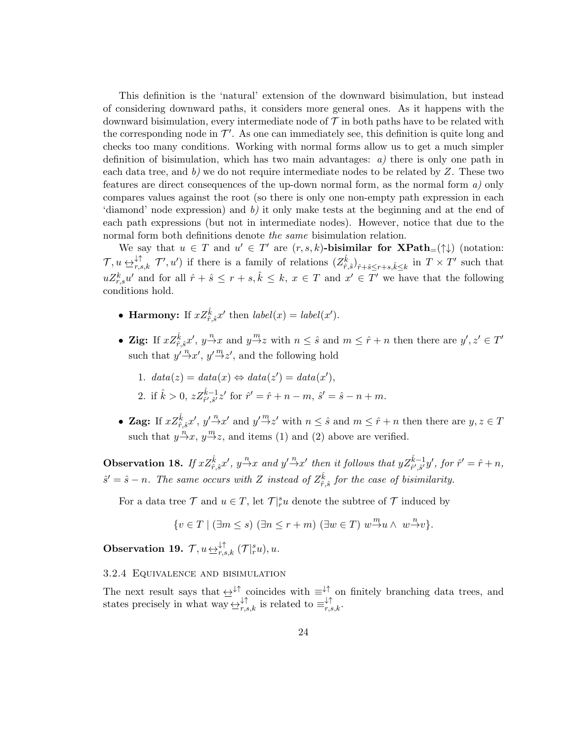This definition is the 'natural' extension of the downward bisimulation, but instead of considering downward paths, it considers more general ones. As it happens with the downward bisimulation, every intermediate node of  $\mathcal T$  in both paths have to be related with the corresponding node in  $\mathcal{T}'$ . As one can immediately see, this definition is quite long and checks too many conditions. Working with normal forms allow us to get a much simpler definition of bisimulation, which has two main advantages:  $a$ ) there is only one path in each data tree, and  $b$ ) we do not require intermediate nodes to be related by Z. These two features are direct consequences of the up-down normal form, as the normal form a) only compares values against the root (so there is only one non-empty path expression in each 'diamond' node expression) and  $b$ ) it only make tests at the beginning and at the end of each path expressions (but not in intermediate nodes). However, notice that due to the normal form both definitions denote the same bisimulation relation.

We say that  $u \in T$  and  $u' \in T'$  are  $(r, s, k)$ -bisimilar for  $\mathbf{XPath}_{=}(\uparrow \downarrow)$  (notation:  $\mathcal{T}, u \leftrightarrow_{r,s,k}^{\downarrow\uparrow} \mathcal{T}', u'$  if there is a family of relations  $(Z_{\hat{r},\hat{s}}^{\hat{k}})_{\hat{r}+\hat{s}\leq r+s,\hat{k}\leq k}$  in  $T \times T'$  such that  $uZ_{r,s}^k u'$  and for all  $\hat{r} + \hat{s} \leq r + s, \hat{k} \leq k, x \in T$  and  $x' \in T'$  we have that the following conditions hold.

- Harmony: If  $xZ_{\hat{r},\hat{s}}^{\hat{k}}x'$  then  $label(x) = label(x')$ .
- Zig: If  $xZ_{\hat{r},\hat{s}}^{\hat{k}}x', y \stackrel{n}{\rightarrow} x$  and  $y \stackrel{m}{\rightarrow} z$  with  $n \leq \hat{s}$  and  $m \leq \hat{r} + n$  then there are  $y', z' \in T'$ such that  $y' \stackrel{n}{\rightarrow} x'$ ,  $y' \stackrel{m}{\rightarrow} z'$ , and the following hold
	- 1.  $data(z) = data(x) \Leftrightarrow data(z') = data(x'),$
	- 2. if  $\hat{k} > 0$ ,  $z Z_{\hat{r}',\hat{s}'}^{\hat{k}-1} z'$  for  $\hat{r}' = \hat{r} + n m$ ,  $\hat{s}' = \hat{s} n + m$ .
- Zag: If  $xZ_{\hat{r},\hat{s}}^{\hat{k}}x', y'\overset{n}{\rightarrow}x'$  and  $y'\overset{m}{\rightarrow}z'$  with  $n\leq \hat{s}$  and  $m\leq \hat{r}+n$  then there are  $y, z \in T$ such that  $y \stackrel{n}{\rightarrow} x$ ,  $y \stackrel{m}{\rightarrow} z$ , and items (1) and (2) above are verified.

**Observation 18.** If  $xZ_{\hat{r},\hat{s}}^{\hat{k}}x'$ ,  $y^{\frac{n}{\sqrt{x}}}x$  and  $y'\rightarrow x'$  then it follows that  $yZ_{\hat{r}',\hat{s}'}^{\hat{k}-1}y'$ , for  $\hat{r}'=\hat{r}+n$ ,  $\hat{s}' = \hat{s} - n$ . The same occurs with Z instead of  $Z_{\hat{r},\hat{s}}^{\hat{k}}$  for the case of bisimilarity.

For a data tree  $\mathcal T$  and  $u \in T$ , let  $\mathcal T \vert^s_n u$  denote the subtree of  $\mathcal T$  induced by

$$
\{v \in T \mid (\exists m \le s) (\exists n \le r+m) (\exists w \in T) w \xrightarrow{m} u \wedge w \xrightarrow{n} v\}.
$$

**Observation 19.**  $\mathcal{T}, u \underline{\leftrightarrow}^{\downarrow \uparrow}_{r,s,k} (\mathcal{T}|_r^s u), u$ .

# 3.2.4 Equivalence and bisimulation

The next result says that  $\leftrightarrow^{\downarrow\dagger}$  coincides with  $\equiv^{\downarrow\dagger}$  on finitely branching data trees, and states precisely in what way  $\overleftrightarrow{\Sigma}_{r,s,k}^{\dagger}$  is related to  $\equiv_{r,s,k}^{\dagger,\uparrow}$ .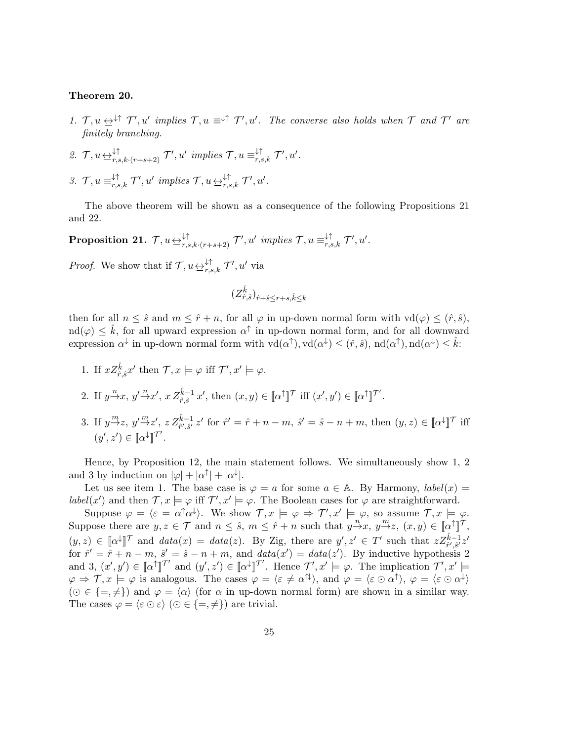#### Theorem 20.

- 1.  $\mathcal{T}, u \leftrightarrow^{\downarrow\uparrow} \mathcal{T}', u'$  implies  $\mathcal{T}, u \equiv^{\downarrow\uparrow} \mathcal{T}', u'$ . The converse also holds when  $\mathcal{T}$  and  $\mathcal{T}'$  are finitely branching.
- 2.  $\mathcal{T}, u \in \mathcal{F}_{r,s,k \cdot (r+s+2)}^{\downarrow \uparrow}$   $\mathcal{T}', u'$  implies  $\mathcal{T}, u \equiv_{r,s,k}^{\downarrow \uparrow} \mathcal{T}', u'.$
- 3.  $\mathcal{T}, u \equiv_{r,s,k}^{\downarrow\uparrow} \mathcal{T}', u' \implies \mathcal{T}, u \not\rightleftharpoons_{r,s,k}^{\downarrow\uparrow} \mathcal{T}', u'.$

The above theorem will be shown as a consequence of the following Propositions 21 and 22.

 $\textbf{Proposition 21.} \; \mathcal{T}, u\mathop{\leftrightarrow}\limits_{r,s,k\cdot (r+s+2)}^{\downarrow \uparrow} \mathcal{T}', u' \; \textit{implies} \; \mathcal{T}, u\equiv^{\downarrow \uparrow}_{r,s,k} \mathcal{T}', u'.$ 

*Proof.* We show that if  $\mathcal{T}, u \in \mathcal{F}_{r,s,k}$   $\mathcal{T}', u'$  via

$$
(Z^{\hat{k}}_{\hat{r},\hat{s}})_{\hat{r}+\hat{s}\leq r+s,\hat{k}\leq k}
$$

then for all  $n \leq \hat{s}$  and  $m \leq \hat{r} + n$ , for all  $\varphi$  in up-down normal form with  $\text{vd}(\varphi) \leq (\hat{r}, \hat{s})$ ,  $\text{ind}(\varphi) \leq \hat{k}$ , for all upward expression  $\alpha^{\uparrow}$  in up-down normal form, and for all downward expression  $\alpha^{\downarrow}$  in up-down normal form with  $\text{vd}(\alpha^{\uparrow}), \text{vd}(\alpha^{\downarrow}) \leq (\hat{r}, \hat{s}), \text{nd}(\alpha^{\uparrow}), \text{nd}(\alpha^{\downarrow}) \leq \hat{k}$ :

- 1. If  $xZ^{\hat{k}}_{\hat{r},\hat{s}}x'$  then  $\mathcal{T}, x \models \varphi$  iff  $\mathcal{T}', x' \models \varphi$ .
- 2. If  $y \stackrel{n}{\rightarrow} x$ ,  $y' \stackrel{n}{\rightarrow} x'$ ,  $x Z_{\hat{r}, \hat{s}}^{\hat{k}-1} x'$ , then  $(x, y) \in [\![\alpha^\uparrow]\!]^\mathcal{T}$  iff  $(x', y') \in [\![\alpha^\uparrow]\!]^\mathcal{T}'$ .
- 3. If  $y \stackrel{m}{\rightarrow} z$ ,  $y' \stackrel{m}{\rightarrow} z'$ ,  $z Z_{\hat{r}', \hat{s}'}^{\hat{k}-1} z'$  for  $\hat{r}' = \hat{r} + n m$ ,  $\hat{s}' = \hat{s} n + m$ , then  $(y, z) \in [\![\alpha^{\downarrow}]\!]^{\mathcal{T}}$  iff  $(y', z') \in [\![ \alpha^\downarrow ]\!]^{\mathcal{T}'}$ .

Hence, by Proposition 12, the main statement follows. We simultaneously show 1, 2 and 3 by induction on  $|\varphi| + |\alpha^{\uparrow}| + |\alpha^{\downarrow}|$ .

Let us see item 1. The base case is  $\varphi = a$  for some  $a \in \mathbb{A}$ . By Harmony, *label(x)* = label(x') and then  $\mathcal{T}, x \models \varphi$  iff  $\mathcal{T}', x' \models \varphi$ . The Boolean cases for  $\varphi$  are straightforward.

Suppose  $\varphi = \langle \varepsilon = \alpha^{\dagger} \alpha^{\dagger} \rangle$ . We show  $\mathcal{T}, x \models \varphi \Rightarrow \mathcal{T}', x' \models_{n} \varphi$ , so assume  $\mathcal{T}, x \models \varphi$ . Suppose there are  $y, z \in \mathcal{T}$  and  $n \leq \hat{s}$ ,  $m \leq \hat{r} + n$  such that  $y \stackrel{n'}{\rightarrow} x$ ,  $y \stackrel{m}{\rightarrow} z$ ,  $(x, y) \in [\![\alpha^\uparrow]\!]^\mathcal{T}$ ,  $(y, z) \in [\![\alpha^\downarrow]\!]^\mathcal{T}$  and  $data(x) = data(z)$ . By Zig, there are  $y', z' \in T'$  such that  $z \mathbb{Z}_{\tilde{r}',\tilde{s}'}^{\tilde{k}-1} z'$ for  $\hat{r}' = \hat{r} + n - m$ ,  $\hat{s}' = \hat{s} - n + m$ , and  $data(x') = data(z')$ . By inductive hypothesis 2 and 3,  $(x', y') \in [\![\alpha^\dagger]\!]^{\mathcal{T}'}$  and  $(y', z') \in [\![\alpha^\dagger]\!]^{\mathcal{T}'}$ . Hence  $\mathcal{T}', x' \models \varphi$ . The implication  $\mathcal{T}', x' \models$  $\varphi \Rightarrow \mathcal{T}, x \models \varphi$  is analogous. The cases  $\varphi = \langle \varepsilon \neq \alpha^{\uparrow\downarrow} \rangle$ , and  $\varphi = \langle \varepsilon \odot \alpha^{\uparrow} \rangle$ ,  $\varphi = \langle \varepsilon \odot \alpha^{\downarrow} \rangle$  $(\odot \in \{\pm, \neq\})$  and  $\varphi = \langle \alpha \rangle$  (for  $\alpha$  in up-down normal form) are shown in a similar way. The cases  $\varphi = \langle \varepsilon \odot \varepsilon \rangle$  ( $\odot \in \{ =, \neq \}$ ) are trivial.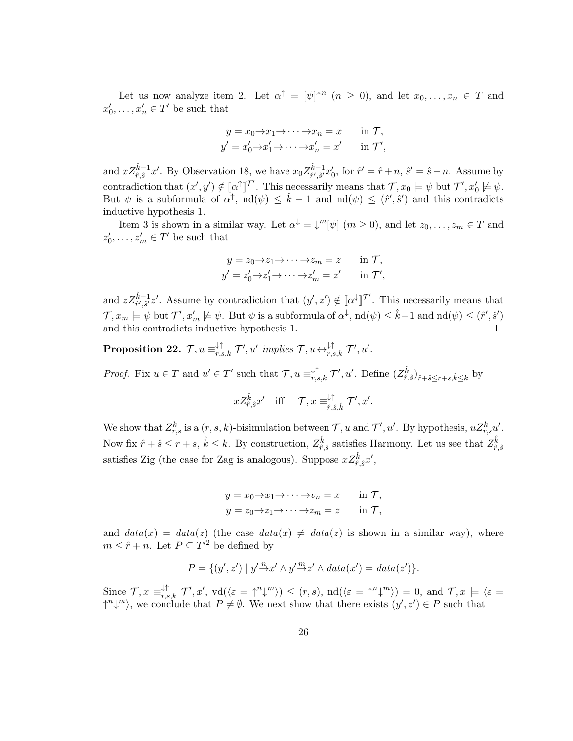Let us now analyze item 2. Let  $\alpha^{\uparrow} = [\psi] \uparrow^{n} (n \ge 0)$ , and let  $x_0, \ldots, x_n \in T$  and  $x'_0, \ldots, x'_n \in T'$  be such that

$$
y = x_0 \to x_1 \to \cdots \to x_n = x \quad \text{in } \mathcal{T},
$$
  

$$
y' = x'_0 \to x'_1 \to \cdots \to x'_n = x' \quad \text{in } \mathcal{T}',
$$

and  $xZ_{\hat{r},\hat{s}}^{\hat{k}-1}x'$ . By Observation 18, we have  $x_0Z_{\hat{r}',\hat{s}'}^{\hat{k}-1}$  ${}_{\hat{r}',\hat{s}'}^{k-1}x'_0$ , for  $\hat{r}' = \hat{r} + n$ ,  $\hat{s}' = \hat{s} - n$ . Assume by contradiction that  $(x', y') \notin [\![\alpha^\uparrow]\!]^\mathcal{T'}$ . This necessarily means that  $\mathcal{T}, x_0 \models \psi$  but  $\mathcal{T}', x'_0 \not\models \psi$ . But  $\psi$  is a subformula of  $\alpha^{\dagger}$ ,  $\text{nd}(\psi) \leq \hat{k} - 1$  and  $\text{nd}(\psi) \leq (\hat{r}', \hat{s}')$  and this contradicts inductive hypothesis 1.

Item 3 is shown in a similar way. Let  $\alpha^{\downarrow} = \downarrow^m[\psi]$   $(m \ge 0)$ , and let  $z_0, \ldots, z_m \in T$  and  $z'_0, \ldots, z'_m \in T'$  be such that

$$
y = z_0 \to z_1 \to \cdots \to z_m = z \quad \text{in } \mathcal{T},
$$
  

$$
y' = z'_0 \to z'_1 \to \cdots \to z'_m = z' \quad \text{in } \mathcal{T}',
$$

and  $z Z_{\hat{r}',\hat{s}'}^{\hat{k}-1} z'$ . Assume by contradiction that  $(y',z') \notin [\![\alpha^\downarrow]\!]^{\mathcal{T}'}$ . This necessarily means that  $\mathcal{T}, x_m \models \psi$  but  $\mathcal{T}', x'_m \not\models \psi$ . But  $\psi$  is a subformula of  $\alpha^{\downarrow}$ ,  $\text{nd}(\psi) \leq \hat{k} - 1$  and  $\text{nd}(\psi) \leq (\hat{r}', \hat{s}')$ and this contradicts inductive hypothesis 1.  $\Box$ 

 $\textbf{Proposition 22.} \ \ \mathcal{T}, u\equiv^{\downarrow\uparrow}_{r,s,k} \mathcal{T}', u' \ \ \textit{implies} \ \mathcal{T}, u\rightarrow^{\downarrow\uparrow}_{r,s,k} \mathcal{T}', u'.$ 

*Proof.* Fix  $u \in T$  and  $u' \in T'$  such that  $\mathcal{T}, u \equiv_{r,s,k}^{\downarrow \uparrow} \mathcal{T}', u'$ . Define  $(Z_{\hat{r},\hat{s}}^{\hat{k}})_{\hat{r}+\hat{s}\leq r+s,\hat{k}\leq k}$  by

$$
xZ_{\hat{r},\hat{s}}^{\hat{k}}x'
$$
 iff  $\mathcal{T}, x \equiv_{\hat{r},\hat{s},\hat{k}}^{\downarrow\uparrow} \mathcal{T}', x'$ .

We show that  $Z_{r,s}^k$  is a  $(r, s, k)$ -bisimulation between  $\mathcal{T}, u$  and  $\mathcal{T}', u'$ . By hypothesis,  $uZ_{r,s}^k u'$ . Now fix  $\hat{r} + \hat{s} \le r + s$ ,  $\hat{k} \le k$ . By construction,  $Z_{\hat{r},\hat{s}}^{\hat{k}}$  satisfies Harmony. Let us see that  $Z_{\hat{r},\hat{s}}^{\hat{k}}$ satisfies Zig (the case for Zag is analogous). Suppose  $xZ^{\hat{k}}_{\hat{r},\hat{s}}x'$ ,

$$
y = x_0 \to x_1 \to \cdots \to v_n = x \quad \text{in } \mathcal{T},
$$
  

$$
y = z_0 \to z_1 \to \cdots \to z_m = z \quad \text{in } \mathcal{T},
$$

and  $data(x) = data(z)$  (the case  $data(x) \neq data(z)$  is shown in a similar way), where  $m \leq \hat{r} + n$ . Let  $P \subseteq T'^2$  be defined by

$$
P = \{(y', z') \mid y' \stackrel{n}{\rightarrow} x' \land y' \stackrel{m}{\rightarrow} z' \land data(x') = data(z')\}.
$$

Since  $\mathcal{T}, x \equiv_{r,s,k}^{\downarrow\uparrow} \mathcal{T}', x'$ ,  $\text{vd}(\langle \varepsilon = \uparrow^n \downarrow^m \rangle) \le (r, s)$ ,  $\text{nd}(\langle \varepsilon = \uparrow^n \downarrow^m \rangle) = 0$ , and  $\mathcal{T}, x \models \langle \varepsilon = \downarrow^n \downarrow^m \rangle$  $\uparrow^{n} \downarrow^{m}$ , we conclude that  $P \neq \emptyset$ . We next show that there exists  $(y', z') \in P$  such that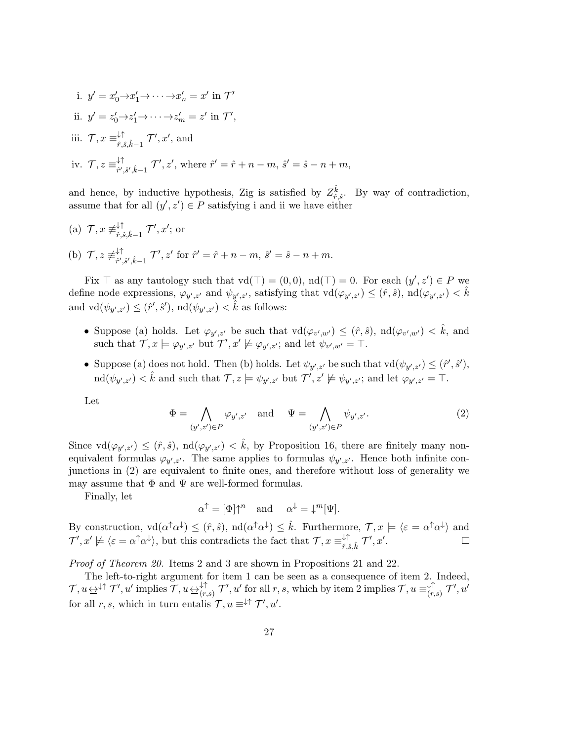i.  $y' = x'_0 \rightarrow x'_1 \rightarrow \cdots \rightarrow x'_n = x'$  in  $\mathcal{T}'$ ii.  $y' = z'_0 \rightarrow z'_1 \rightarrow \cdots \rightarrow z'_m = z'$  in  $\mathcal{T}'$ , iii.  $\mathcal{T}, x \equiv_{\hat{r}, \hat{s}}^{\downarrow \uparrow}$  $\downarrow \uparrow$   $\uparrow$ ,  $\mathcal{F}', x'$ , and iv.  $\mathcal{T}, z \equiv_{\hat{r}'}^{\downarrow \uparrow}$ ↓↑<br>  $\hat{r}^{\prime}, \hat{s}^{\prime}, \hat{k}-1$   $\mathcal{T}^{\prime}, z^{\prime}$ , where  $\hat{r}^{\prime} = \hat{r} + n - m$ ,  $\hat{s}^{\prime} = \hat{s} - n + m$ ,

and hence, by inductive hypothesis, Zig is satisfied by  $Z_{\hat{r},\hat{s}}^{\hat{k}}$ . By way of contradiction, assume that for all  $(y', z') \in P$  satisfying i and ii we have either

(a)  $\mathcal{T}, x \neq^{\downarrow \uparrow}_{\hat{r},\hat{s}}$  $\downarrow \uparrow_{\hat{r},\hat{s},\hat{k}-1} \mathcal{T}', x'; \text{ or }$ (b)  $\mathcal{T}, z \not\equiv_{\hat{r}'}^{\downarrow \uparrow}$ ↓↑<br>  $\hat{r}^{\prime},\hat{s}^{\prime},\hat{k}-1$   $\mathcal{T}^{\prime},z^{\prime}$  for  $\hat{r}^{\prime}=\hat{r}+n-m, \ \hat{s}^{\prime}=\hat{s}-n+m.$ 

Fix  $\top$  as any tautology such that  $\mathrm{vd}(\top) = (0,0)$ ,  $\mathrm{nd}(\top) = 0$ . For each  $(y', z') \in P$  we define node expressions,  $\varphi_{y',z'}$  and  $\psi_{y',z'}$ , satisfying that  $\text{vd}(\varphi_{y',z'}) \leq (\hat{r}, \hat{s})$ ,  $\text{nd}(\varphi_{y',z'}) < \hat{k}$ and  $\mathrm{vd}(\psi_{y',z'}) \leq (\hat{r}', \hat{s}')$ ,  $\mathrm{nd}(\psi_{y',z'}) < \hat{k}$  as follows:

- Suppose (a) holds. Let  $\varphi_{y',z'}$  be such that  $\mathrm{vd}(\varphi_{v',w'}) \leq (\hat{r},\hat{s})$ ,  $\mathrm{nd}(\varphi_{v',w'}) < \hat{k}$ , and such that  $\mathcal{T}, x \models \varphi_{y',z'}$  but  $\mathcal{T}', x' \not\models \varphi_{y',z'}$ ; and let  $\psi_{v',w'} = \top$ .
- Suppose (a) does not hold. Then (b) holds. Let  $\psi_{y',z'}$  be such that  $\mathrm{vd}(\psi_{y',z'}) \leq (\hat{r}', \hat{s}')$ ,  $\mathrm{ind}(\psi_{y',z'}) < \hat{k}$  and such that  $\mathcal{T}, z \models \psi_{y',z'}$  but  $\mathcal{T}', z' \not\models \psi_{y',z'}$ ; and let  $\varphi_{y',z'} = \top$ .

Let

$$
\Phi = \bigwedge_{(y',z') \in P} \varphi_{y',z'} \quad \text{and} \quad \Psi = \bigwedge_{(y',z') \in P} \psi_{y',z'}.
$$
\n<sup>(2)</sup>

Since  $\text{vd}(\varphi_{y',z'}) \leq (\hat{r},\hat{s})$ ,  $\text{nd}(\varphi_{y',z'}) < \hat{k}$ , by Proposition 16, there are finitely many nonequivalent formulas  $\varphi_{y',z'}$ . The same applies to formulas  $\psi_{y',z'}$ . Hence both infinite conjunctions in (2) are equivalent to finite ones, and therefore without loss of generality we may assume that  $\Phi$  and  $\Psi$  are well-formed formulas.

Finally, let

$$
\alpha^{\uparrow} = [\Phi] \uparrow^n
$$
 and  $\alpha^{\downarrow} = \downarrow^m [\Psi].$ 

By construction,  $\operatorname{vd}(\alpha^{\dagger}\alpha^{\downarrow}) \leq (\hat{r}, \hat{s})$ ,  $\operatorname{nd}(\alpha^{\dagger}\alpha^{\downarrow}) \leq \hat{k}$ . Furthermore,  $\mathcal{T}, x \models \langle \varepsilon = \alpha^{\dagger}\alpha^{\downarrow} \rangle$  and  $\mathcal{T}', x' \not\models \langle \varepsilon = \alpha^{\uparrow} \alpha^{\downarrow} \rangle$ , but this contradicts the fact that  $\mathcal{T}, x \equiv_{\hat{r}, \hat{s}}^{\downarrow \uparrow}$  $\downarrow \uparrow_{\hat{r}, \hat{s}, \hat{k}} \mathcal{T}', x'.$ 

Proof of Theorem 20. Items 2 and 3 are shown in Propositions 21 and 22.

The left-to-right argument for item 1 can be seen as a consequence of item 2. Indeed,  $\mathcal{T}, u \leftrightarrow^{\downarrow\uparrow} \mathcal{T}', u'$  implies  $\mathcal{T}, u \leftrightarrow^{\downarrow\uparrow}_{(r,s)} \mathcal{T}', u'$  for all  $r, s$ , which by item 2 implies  $\mathcal{T}, u \equiv^{\downarrow\uparrow}_{(r,s)}$  $^{\downarrow\uparrow}_{(r,s)}$   $\mathcal{T}', u'$ for all r, s, which in turn entalis  $\mathcal{T}, u \equiv^{\downarrow \uparrow} \mathcal{T}', u'.$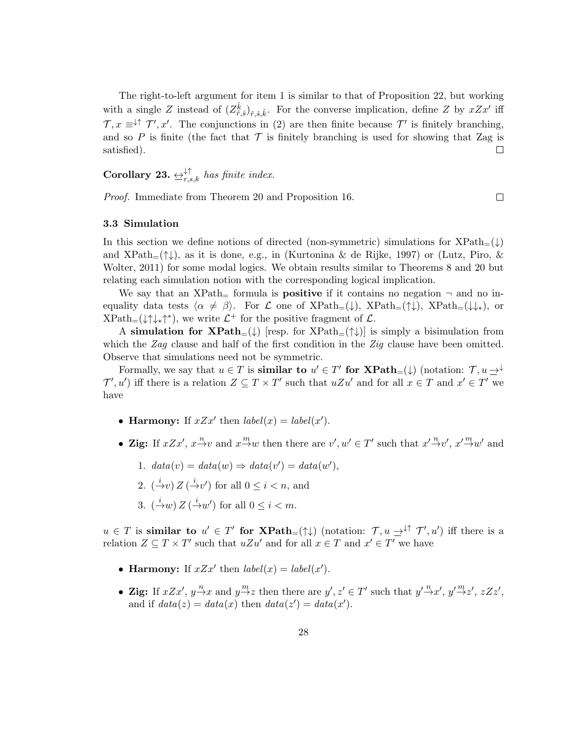The right-to-left argument for item 1 is similar to that of Proposition 22, but working with a single Z instead of  $(Z_{\hat{r},\hat{s}}^{\hat{k}})_{\hat{r},\hat{s},\hat{k}}$ . For the converse implication, define Z by  $xZx'$  iff  $\mathcal{T}, x \equiv \downarrow \uparrow \mathcal{T}', x'$ . The conjunctions in (2) are then finite because  $\mathcal{T}'$  is finitely branching, and so P is finite (the fact that  $\mathcal T$  is finitely branching is used for showing that Zag is satisfied). satisfied).

Corollary 23.  $\leftrightarrow_{r,s,k}^{\downarrow\uparrow}$  has finite index.

Proof. Immediate from Theorem 20 and Proposition 16.

 $\Box$ 

## 3.3 Simulation

In this section we define notions of directed (non-symmetric) simulations for  $XPath_{=}(\downarrow)$ and  $XPath_{=}(\uparrow\downarrow)$ , as it is done, e.g., in (Kurtonina & de Rijke, 1997) or (Lutz, Piro, & Wolter, 2011) for some modal logics. We obtain results similar to Theorems 8 and 20 but relating each simulation notion with the corresponding logical implication.

We say that an XPath $_{=}$  formula is **positive** if it contains no negation  $\neg$  and no inequality data tests  $\langle \alpha \neq \beta \rangle$ . For L one of XPath<sub>=</sub>( $\downarrow$ ), XPath<sub>=</sub>( $\uparrow \downarrow$ ), XPath<sub>=</sub>( $\downarrow \downarrow$ <sup>\*</sup>\*), or  $XPath_{=}(\downarrow \uparrow \downarrow_{*} \uparrow^{*})$ , we write  $\mathcal{L}^{+}$  for the positive fragment of  $\mathcal{L}$ .

A simulation for  $\mathbf{XPath}_{=}(\downarrow)$  [resp. for  $\mathrm{XPath}_{=}(\uparrow\downarrow)$ ] is simply a bisimulation from which the Zag clause and half of the first condition in the Zig clause have been omitted. Observe that simulations need not be symmetric.

Formally, we say that  $u \in T$  is **similar to**  $u' \in T'$  for  $\mathbf{XPath}_{=}(\downarrow)$  (notation:  $\mathcal{T}, u \rightarrow^{\downarrow}$  $\mathcal{T}', u'$  iff there is a relation  $Z \subseteq T \times T'$  such that  $uZu'$  and for all  $x \in T$  and  $x' \in T'$  we have

- Harmony: If  $xZx'$  then  $label(x) = label(x')$ .
- Zig: If  $xZx'$ ,  $x \stackrel{n}{\rightarrow} v$  and  $x \stackrel{m}{\rightarrow} w$  then there are  $v', w' \in T'$  such that  $x' \stackrel{n}{\rightarrow} v'$ ,  $x' \stackrel{m}{\rightarrow} w'$  and
	- 1.  $data(v) = data(w) \Rightarrow data(v') = data(w'),$
	- 2.  $(\stackrel{i}{\rightarrow}v)Z(\stackrel{i}{\rightarrow}v')$  for all  $0 \leq i < n$ , and
	- 3.  $(\stackrel{i}{\rightarrow}w)Z(\stackrel{i}{\rightarrow}w')$  for all  $0 \leq i < m$ .

 $u \in T$  is similar to  $u' \in T'$  for  $\text{XPath}_{=}(\uparrow \downarrow)$  (notation:  $\mathcal{T}, u \rightarrow^{\downarrow \uparrow} \mathcal{T}', u'$ ) iff there is a relation  $Z \subseteq T \times T'$  such that  $uZu'$  and for all  $x \in T$  and  $x' \in T'$  we have

- Harmony: If  $xZx'$  then  $label(x) = label(x')$ .
- Zig: If  $xZx'$ ,  $y \stackrel{n}{\rightarrow} x$  and  $y \stackrel{m}{\rightarrow} z$  then there are  $y', z' \in T'$  such that  $y' \stackrel{n}{\rightarrow} x'$ ,  $y' \stackrel{m}{\rightarrow} z'$ ,  $zZz'$ , and if  $data(z) = data(x)$  then  $data(z') = data(x')$ .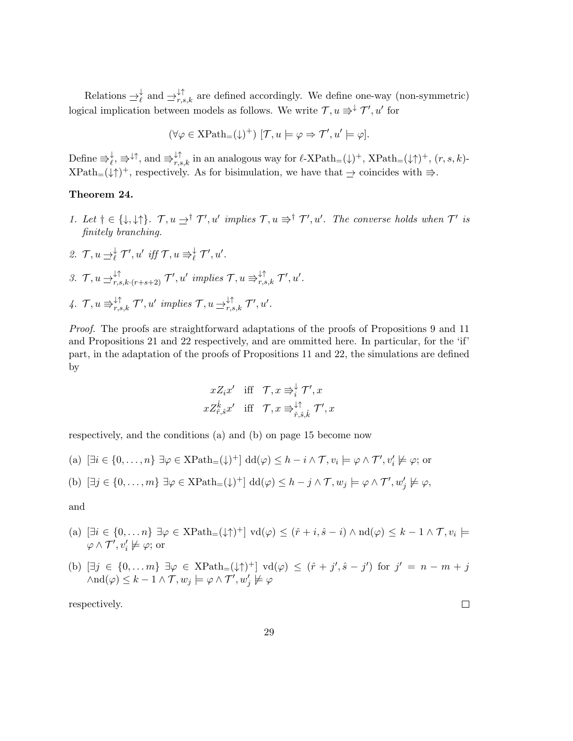Relations  $\Rightarrow_{\ell}^{\downarrow}$  and  $\Rightarrow_{r,s,k}^{\downarrow\uparrow}$  are defined accordingly. We define one-way (non-symmetric) logical implication between models as follows. We write  $\mathcal{T}, u \Rightarrow^{\downarrow} \mathcal{T}', u'$  for

$$
(\forall \varphi \in \mathsf{XPath}_=(\downarrow)^+) \ [\mathcal{T},u \models \varphi \Rightarrow \mathcal{T}',u' \models \varphi].
$$

Define  $\Rightarrow_{\ell}^{\downarrow}$ ,  $\Rightarrow^{\downarrow\uparrow}$ , and  $\Rightarrow_{r,s,k}^{\downarrow\uparrow}$  in an analogous way for  $\ell$ -XPath<sub>=</sub>( $\downarrow$ )<sup>+</sup>, XPath<sub>=</sub>( $\downarrow$ <sup>+</sup>)<sup>+</sup>,  $(r, s, k)$ - $XPath_{=}(\downarrow \uparrow)^{+}$ , respectively. As for bisimulation, we have that  $\Rightarrow$  coincides with  $\Rightarrow$ .

# Theorem 24.

- 1. Let  $\dagger \in {\{\downarrow, \downarrow\uparrow\}}$ .  $\mathcal{T}, u \preceq^{\dagger} \mathcal{T}', u'$  implies  $\mathcal{T}, u \rightrightarrows^{\dagger} \mathcal{T}', u'$ . The converse holds when  $\mathcal{T}'$  is finitely branching.
- 2.  $\mathcal{T}, u \rightarrow^{\downarrow}_{\ell} \mathcal{T}', u' \text{ iff } \mathcal{T}, u \Rightarrow^{\downarrow}_{\ell} \mathcal{T}', u'.$ 3.  $\mathcal{T}, u \rightleftharpoons_{r,s,k\cdot(r+s+2)}^{\downarrow\uparrow} \mathcal{T}', u' \implies \mathcal{T}, u \Rightarrow_{r,s,k}^{\downarrow\uparrow} \mathcal{T}', u'.$ 4.  $\mathcal{T}, u \equiv \nightharpoonup_{r,s,k}^{\uparrow \uparrow} \mathcal{T}', u'$  implies  $\mathcal{T}, u \rightharpoonup_{r,s,k}^{\downarrow \uparrow} \mathcal{T}', u'.$

Proof. The proofs are straightforward adaptations of the proofs of Propositions 9 and 11 and Propositions 21 and 22 respectively, and are ommitted here. In particular, for the 'if' part, in the adaptation of the proofs of Propositions 11 and 22, the simulations are defined by

$$
xZ_ix' \quad \text{iff} \quad \mathcal{T}, x \Rrightarrow_i^{\downarrow} \mathcal{T}', x
$$
\n
$$
xZ_{\hat{r},\hat{s}}^{\hat{k}}x' \quad \text{iff} \quad \mathcal{T}, x \Rrightarrow_{\hat{r},\hat{s},\hat{k}}^{\downarrow\uparrow} \mathcal{T}', x
$$

respectively, and the conditions (a) and (b) on page 15 become now

(a)  $[\exists i \in \{0, \ldots, n\} \exists \varphi \in \text{XPath}_{=}(\downarrow)^{+}] \text{dd}(\varphi) \leq h - i \wedge \mathcal{T}, v_{i} \models \varphi \wedge \mathcal{T}', v'_{i} \not\models \varphi; \text{or}$ 

(b) 
$$
[\exists j \in \{0, \ldots, m\} \; \exists \varphi \in \text{XPath}_{=}(\downarrow)^{+}] \; \text{dd}(\varphi) \leq h - j \wedge \mathcal{T}, w_{j} \models \varphi \wedge \mathcal{T}', w'_{j} \not\models \varphi,
$$

and

- (a)  $[\exists i \in \{0, ..., n\} \exists \varphi \in \text{XPath}_{=}(\downarrow \uparrow)^+] \text{vd}(\varphi) \leq (\hat{r} + i, \hat{s} i) \wedge \text{nd}(\varphi) \leq k 1 \wedge \mathcal{T}, v_i \models$  $\varphi \wedge \mathcal{T}', v_i' \not\models \varphi$ ; or
- (b)  $[\exists j \in \{0, ..., m\} \exists \varphi \in \text{XPath}_{=}(\downarrow \uparrow)^+] \text{vd}(\varphi) \leq (\hat{r} + j', \hat{s} j') \text{ for } j' = n m + j$  $\wedge \mathrm{nd}(\varphi) \leq k - 1 \wedge \mathcal{T}, w_j \models \varphi \wedge \mathcal{T}', w'_j \not\models \varphi$

respectively.

 $\Box$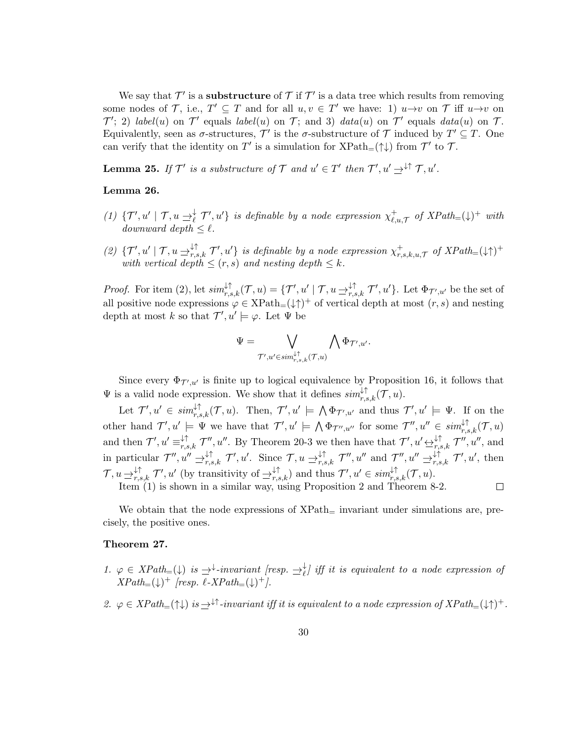We say that  $\mathcal{T}'$  is a **substructure** of  $\mathcal{T}$  if  $\mathcal{T}'$  is a data tree which results from removing some nodes of  $\mathcal{T}$ , i.e.,  $T' \subseteq T$  and for all  $u, v \in T'$  we have: 1)  $u \to v$  on  $\mathcal{T}$  iff  $u \to v$  on  $\mathcal{T}'$ ; 2) label(u) on  $\mathcal{T}'$  equals label(u) on  $\mathcal{T}$ ; and 3) data(u) on  $\mathcal{T}'$  equals data(u) on  $\mathcal{T}$ . Equivalently, seen as  $\sigma$ -structures,  $\mathcal{T}'$  is the  $\sigma$ -substructure of  $\mathcal{T}$  induced by  $T' \subseteq T$ . One can verify that the identity on  $T'$  is a simulation for  $\text{XPath}_{=}(\uparrow\downarrow)$  from  $\mathcal{T}'$  to  $\mathcal{T}$ .

**Lemma 25.** If  $\mathcal{T}'$  is a substructure of  $\mathcal{T}$  and  $u' \in \mathcal{T}'$  then  $\mathcal{T}', u' \rightharpoonup^{\downarrow \uparrow} \mathcal{T}, u'$ .

## Lemma 26.

- (1)  $\{\mathcal{T}', u' \mid \mathcal{T}, u \rightharpoonup^{\downarrow}_{\ell} \mathcal{T}', u'\}$  is definable by a node expression  $\chi^{\pm}_{\ell, \ell}$  $\bigcup_{\ell,u,\mathcal{T}}^+$  of  $XPath_{=}(\downarrow)^+$  with downward depth  $\leq \ell$ .
- (2)  $\{\mathcal{T}', u' \mid \mathcal{T}, u \rightleftharpoons_{r,s,k}^{\downarrow\uparrow} \mathcal{T}', u'\}$  is definable by a node expression  $\chi_{r,s}^+$  $^+_{r,s,k,u,\mathcal{T}}$  of  $XPath_{=}(\downarrow\uparrow)^+$ with vertical depth  $\leq$   $(r, s)$  and nesting depth  $\leq k$ .

*Proof.* For item (2), let  $\text{sim}_{r,s,k}^{\downarrow\uparrow}(\mathcal{T},u) = \{\mathcal{T}', u' \mid \mathcal{T}, u \rightrightarrows_{r,s,k}^{\downarrow\uparrow} \mathcal{T}', u'\}.$  Let  $\Phi_{\mathcal{T}',u'}$  be the set of all positive node expressions  $\varphi \in \text{XPath}_{=}(\downarrow \uparrow)^{+}$  of vertical depth at most  $(r, s)$  and nesting depth at most k so that  $\mathcal{T}', u' \models \varphi$ . Let  $\Psi$  be

$$
\Psi = \bigvee_{\mathcal{T}', u' \in sim_{r,s,k}^{\downarrow\uparrow}(\mathcal{T}, u)} \bigwedge \Phi_{\mathcal{T}', u'}.
$$

Since every  $\Phi_{\mathcal{T}',u'}$  is finite up to logical equivalence by Proposition 16, it follows that  $\Psi$  is a valid node expression. We show that it defines  $\textit{sim}_{r,s,k}^{\downarrow\uparrow}(\mathcal{T},u)$ .

Let  $\mathcal{T}', u' \in \textit{sim}_{r,s,k}^{\downarrow\uparrow}(\mathcal{T}, u)$ . Then,  $\mathcal{T}', u' \models \bigwedge \Phi_{\mathcal{T}', u'}$  and thus  $\mathcal{T}', u' \models \Psi$ . If on the other hand  $\mathcal{T}', u' \models \Psi$  we have that  $\mathcal{T}', u' \models \bigwedge \Phi_{\mathcal{T}'', u''}$  for some  $\mathcal{T}'', u'' \in \textit{sim}_{r,s,k}^{\downarrow \uparrow}(\mathcal{T}, u)$ and then  $\mathcal{T}', u' \equiv_{r,s,k}^{\downarrow \uparrow} \mathcal{T}'', u''$ . By Theorem 20-3 we then have that  $\mathcal{T}', u' \not\rightleftarrows_{r,s,k}^{\downarrow \uparrow} \mathcal{T}'', u''$ , and in particular  $\mathcal{T}'', u'' \rightrightarrows_{r,s,k}^{\downarrow \uparrow} \mathcal{T}', u'.$  Since  $\mathcal{T}, u \rightrightarrows_{r,s,k}^{\downarrow \uparrow} \mathcal{T}'', u''$  and  $\mathcal{T}''', u'' \rightrightarrows_{r,s,k}^{\downarrow \uparrow} \mathcal{T}', u'$ , then  $\mathcal{T}, u \rightharpoonup_{r,s,k}^{\downarrow \uparrow} \mathcal{T}', u'$  (by transitivity of  $\Rightarrow_{r,s,k}^{\downarrow \uparrow}$ ) and thus  $\mathcal{T}', u' \in sim_{r,s,k}^{\downarrow \uparrow}(\mathcal{T}, u)$ .

Item (1) is shown in a similar way, using Proposition 2 and Theorem 8-2.

 $\Box$ 

We obtain that the node expressions of  $XPath_{=}$  invariant under simulations are, precisely, the positive ones.

# Theorem 27.

- 1.  $\varphi \in XPath_{=}(\downarrow)$  is  $\Rightarrow^{\downarrow}$ -invariant [resp.  $\Rightarrow^{\downarrow}_{\ell}$ ] iff it is equivalent to a node expression of  $XPath_{=}(\downarrow)^{+}$  [resp.  $\ell$ -XPath<sub>=</sub>( $\downarrow$ )<sup>+</sup>].
- 2.  $\varphi \in XPath_{=}(\uparrow\downarrow)$  is  $\Rightarrow^{\downarrow\uparrow}$ -invariant iff it is equivalent to a node expression of  $XPath_{=}(\downarrow\uparrow)^+$ .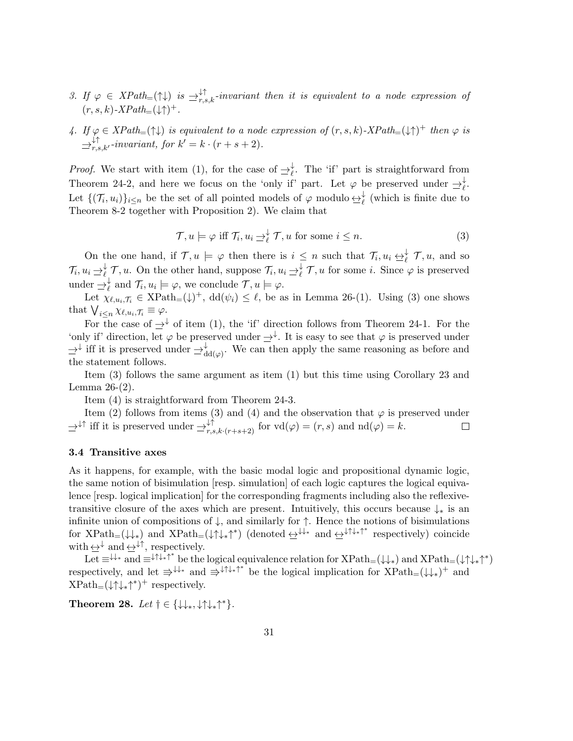- 3. If  $\varphi \in XPath_{=}(\uparrow \downarrow)$  is  $\Rightarrow^{\downarrow \uparrow}_{r,s,k}$ -invariant then it is equivalent to a node expression of  $(r, s, k)$ -XPath<sub>=</sub> $(\downarrow \uparrow)^+$ .
- 4. If  $\varphi \in XPath=(\uparrow\downarrow)$  is equivalent to a node expression of  $(r, s, k)$ - $XPath=(\downarrow\uparrow)^+$  then  $\varphi$  is  $\Rightarrow_{r,s,k'}^{\downarrow\uparrow}$ -invariant, for  $k' = k \cdot (r + s + 2)$ .

*Proof.* We start with item (1), for the case of  $\Rightarrow_{\ell}^{\downarrow}$ . The 'if' part is straightforward from Theorem 24-2, and here we focus on the 'only if' part. Let  $\varphi$  be preserved under  $\Rightarrow_{\ell}^{\downarrow}$ . Let  $\{(\mathcal{T}_i, u_i)\}_{i \leq n}$  be the set of all pointed models of  $\varphi$  modulo  $\leftrightarrow_{\ell}^{\downarrow}$  (which is finite due to Theorem 8-2 together with Proposition 2). We claim that

$$
\mathcal{T}, u \models \varphi \text{ iff } \mathcal{T}_i, u_i \rightrightarrows_{\ell}^{\downarrow} \mathcal{T}, u \text{ for some } i \leq n. \tag{3}
$$

On the one hand, if  $\mathcal{T}, u \models \varphi$  then there is  $i \leq n$  such that  $\mathcal{T}_i, u_i \leftrightarrow^{\downarrow}_{\ell} \mathcal{T}, u$ , and so  $\mathcal{T}_i, u_i \rightharpoonup^{\downarrow}_{\ell} \mathcal{T}, u$ . On the other hand, suppose  $\mathcal{T}_i, u_i \rightharpoonup^{\downarrow}_{\ell} \mathcal{T}, u$  for some *i*. Since  $\varphi$  is preserved under  $\Rightarrow_{\ell}^{\downarrow}$  and  $\mathcal{T}_i, u_i \models \varphi$ , we conclude  $\mathcal{T}, u \models \varphi$ .

Let  $\chi_{\ell,u_i,\mathcal{T}_i} \in \text{XPath}_{=}(\downarrow)^+$ ,  $\text{dd}(\psi_i) \leq \ell$ , be as in Lemma 26-(1). Using (3) one shows that  $\bigvee_{i\leq n}\chi_{\ell,u_i,\mathcal{T}_i}\equiv\varphi.$ 

For the case of  $\rightarrow^{\downarrow}$  of item (1), the 'if' direction follows from Theorem 24-1. For the 'only if' direction, let  $\varphi$  be preserved under  $\Rightarrow^{\downarrow}$ . It is easy to see that  $\varphi$  is preserved under  $\Rightarrow^{\downarrow}$  iff it is preserved under  $\Rightarrow^{\downarrow}_{dd(\varphi)}$ . We can then apply the same reasoning as before and the statement follows.

Item (3) follows the same argument as item (1) but this time using Corollary 23 and Lemma 26-(2).

Item (4) is straightforward from Theorem 24-3.

Item (2) follows from items (3) and (4) and the observation that  $\varphi$  is preserved under  $\Rightarrow^{\downarrow\uparrow}$  iff it is preserved under  $\Rightarrow^{\downarrow\uparrow}_{r,s,k\cdot(r+s+2)}$  for  $\text{vd}(\varphi) = (r,s)$  and  $\text{nd}(\varphi) = k$ .  $\Box$ 

#### 3.4 Transitive axes

As it happens, for example, with the basic modal logic and propositional dynamic logic, the same notion of bisimulation [resp. simulation] of each logic captures the logical equivalence [resp. logical implication] for the corresponding fragments including also the reflexivetransitive closure of the axes which are present. Intuitively, this occurs because  $\downarrow_*$  is an infinite union of compositions of  $\downarrow$ , and similarly for  $\uparrow$ . Hence the notions of bisimulations for  $XPath=(\downarrow\downarrow_*)$  and  $XPath=(\downarrow\uparrow\downarrow_*)^*$  (denoted  $\leftrightarrow^{\downarrow\downarrow_*}$  and  $\leftrightarrow^{\downarrow\uparrow\downarrow_*}\uparrow^*$  respectively) coincide with  $\underline{\leftrightarrow}^{\downarrow}$  and  $\underline{\leftrightarrow}^{\downarrow\uparrow},$  respectively.

Let  $\equiv^{\downarrow\downarrow*}$  and  $\equiv^{\downarrow\uparrow\downarrow_*\uparrow^*}$  be the logical equivalence relation for  $XPath_{\equiv}(\downarrow\downarrow_*)$  and  $XPath_{\equiv}(\downarrow\uparrow\downarrow_*)^*$ respectively, and let  $\Rightarrow^{\downarrow\downarrow\star}$  and  $\Rightarrow^{\downarrow\uparrow\downarrow\star\uparrow^*}$  be the logical implication for  $XPath=(\downarrow\downarrow_*)^+$  and  $XPath=(\downarrow\uparrow\downarrow_{*}\uparrow^{*})^{+}$  respectively.

Theorem 28. Let  $\dagger \in {\{\downarrow\downarrow_*, \downarrow\uparrow\downarrow_*\uparrow^*}}$ .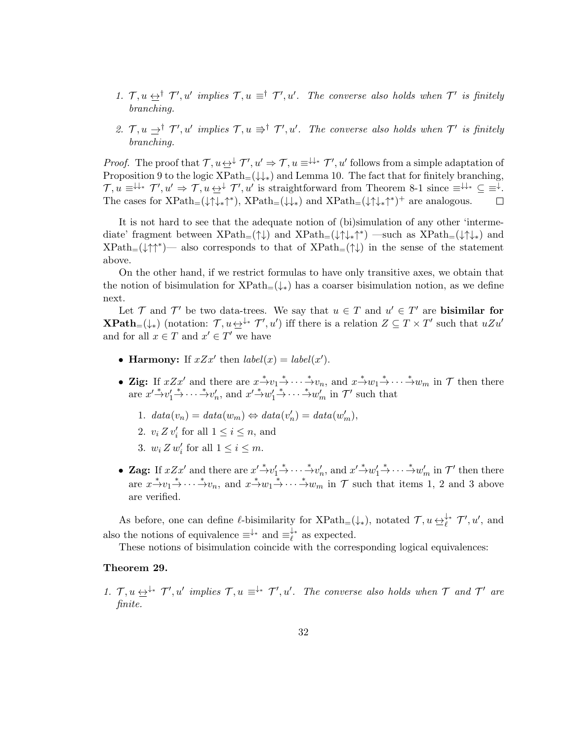- 1.  $\mathcal{T}, u \leq^{\dagger} \mathcal{T}', u'$  implies  $\mathcal{T}, u \equiv^{\dagger} \mathcal{T}', u'$ . The converse also holds when  $\mathcal{T}'$  is finitely branching.
- 2.  $\mathcal{T}, u \rightharpoonup^{\dagger} \mathcal{T}', u'$  implies  $\mathcal{T}, u \rightharpoonup^{\dagger} \mathcal{T}', u'$ . The converse also holds when  $\mathcal{T}'$  is finitely branching.

*Proof.* The proof that  $\mathcal{T}, u \leftrightarrow \mathcal{T}', u' \Rightarrow \mathcal{T}, u \equiv^{\downarrow \downarrow *} \mathcal{T}', u'$  follows from a simple adaptation of Proposition 9 to the logic  $XPath=(\downarrow\downarrow_*)$  and Lemma 10. The fact that for finitely branching,  $\mathcal{T}, u \equiv^{\downarrow\downarrow*} \mathcal{T}', u' \Rightarrow \mathcal{T}, u \leftrightarrow^{\downarrow} \mathcal{T}', u'$  is straightforward from Theorem 8-1 since  $\equiv^{\downarrow\downarrow*} \subseteq \equiv^{\downarrow}$ . The cases for  $XPath_{=}(\downarrow \uparrow \downarrow_{*} \uparrow^{*})$ ,  $XPath_{=}(\downarrow \downarrow_{*})$  and  $XPath_{=}(\downarrow \uparrow \downarrow_{*} \uparrow^{*})^{+}$  are analogous.

It is not hard to see that the adequate notion of (bi)simulation of any other 'intermediate' fragment between  $XPath_{=}(\uparrow\downarrow)$  and  $XPath_{=}(\downarrow\uparrow\downarrow_*)$ <sup>\*\*</sup>) —such as  $XPath_{=}(\downarrow\uparrow\downarrow_*)$  and  $XPath_{=}(\downarrow \uparrow \uparrow^*)$  also corresponds to that of  $XPath_{=}(\uparrow \downarrow)$  in the sense of the statement above.

On the other hand, if we restrict formulas to have only transitive axes, we obtain that the notion of bisimulation for  $XPath_{=}(\downarrow_{*})$  has a coarser bisimulation notion, as we define next.

Let  $\mathcal T$  and  $\mathcal T'$  be two data-trees. We say that  $u \in \mathcal T$  and  $u' \in \mathcal T'$  are **bisimilar for XPath**<sub>=</sub>( $\downarrow$ \*) (notation:  $\mathcal{T}, u \leftrightarrow^* \mathcal{T}', u'$ ) iff there is a relation  $Z \subseteq T \times T'$  such that  $uZu'$ and for all  $x \in T$  and  $x' \in T'$  we have

- Harmony: If  $xZx'$  then  $label(x) = label(x')$ .
- Zig: If  $xZx'$  and there are  $x \xrightarrow{*} v_1 \xrightarrow{*} \cdots \xrightarrow{*} v_n$ , and  $x \xrightarrow{*} w_1 \xrightarrow{*} \cdots \xrightarrow{*} w_m$  in  $\mathcal T$  then there are  $x' \xrightarrow{\ast} v'_1 \xrightarrow{\ast} \cdots \xrightarrow{\ast} v'_n$ , and  $x' \xrightarrow{\ast} w'_1 \xrightarrow{\ast} \cdots \xrightarrow{\ast} w'_m$  in  $\mathcal{T}'$  such that
	- 1.  $data(v_n) = data(w_m) \Leftrightarrow data(v'_n) = data(w'_m),$
	- 2.  $v_i Z v'_i$  for all  $1 \leq i \leq n$ , and
	- 3.  $w_i Z w'_i$  for all  $1 \leq i \leq m$ .
- Zag: If  $xZx'$  and there are  $x'\stackrel{*}{\rightarrow}v'_1\stackrel{*}{\rightarrow}\cdots\stackrel{*}{\rightarrow}v'_n$ , and  $x'\stackrel{*}{\rightarrow}w'_1\stackrel{*}{\rightarrow}\cdots\stackrel{*}{\rightarrow}w'_m$  in  $\mathcal{T}'$  then there are  $x \xrightarrow{*} v_1 \xrightarrow{*} \cdots \xrightarrow{*} v_n$ , and  $x \xrightarrow{*} w_1 \xrightarrow{*} \cdots \xrightarrow{*} w_m$  in  $\mathcal T$  such that items 1, 2 and 3 above are verified.

As before, one can define  $\ell$ -bisimilarity for  $\text{XPath}_{=}(\downarrow_*)$ , notated  $\mathcal{T}, u \underline{\leftrightarrow}^{\downarrow_*}_{\ell} \mathcal{T}', u'$ , and also the notions of equivalence  $\equiv^{\downarrow*}$  and  $\equiv^{\downarrow*}_{\ell}$  $\ell^*$  as expected.

These notions of bisimulation coincide with the corresponding logical equivalences:

#### Theorem 29.

1.  $\mathcal{T}, u \leftrightarrow^{+*} \mathcal{T}', u'$  implies  $\mathcal{T}, u \equiv^{+*} \mathcal{T}', u'$ . The converse also holds when  $\mathcal{T}$  and  $\mathcal{T}'$  are finite.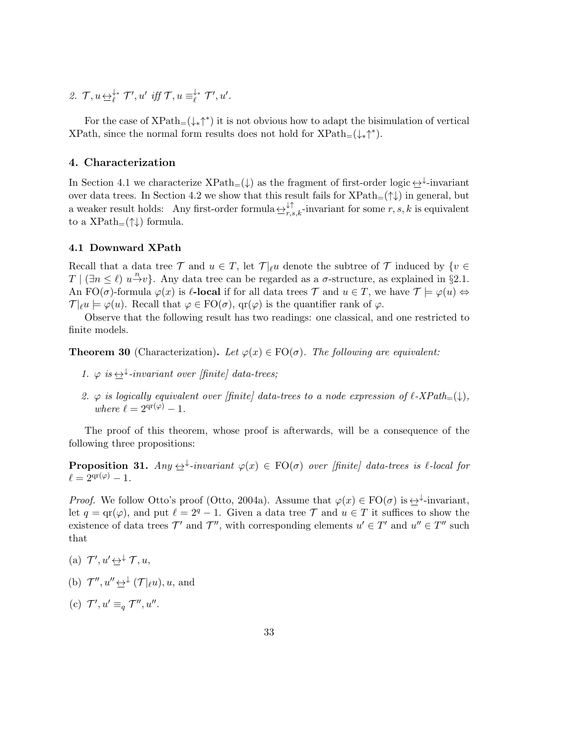2.  $\mathcal{T}, u \underline{\leftrightarrow}^{\downarrow *}_{\ell} \mathcal{T}', u' \text{ iff } \mathcal{T}, u \equiv^{\downarrow *}_{\ell}$  $\big\downarrow^*$   $\mathcal{T}', u'$ .

For the case of  $\text{XPath}_{=}(\downarrow_{*}\uparrow^{*})$  it is not obvious how to adapt the bisimulation of vertical XPath, since the normal form results does not hold for  $XPath_{=}(\downarrow_{*} \uparrow^{*}).$ 

# 4. Characterization

In Section 4.1 we characterize  $XPath_{=}(\downarrow)$  as the fragment of first-order logic  $\leftrightarrow$ <sup>+</sup>-invariant over data trees. In Section 4.2 we show that this result fails for  $XPath_{=}(\uparrow\downarrow)$  in general, but a weaker result holds: Any first-order formula  $\leftrightarrow^{\downarrow\uparrow}_{r,s,k}$ -invariant for some  $r, s, k$  is equivalent to a  $XPath_{=}(\uparrow\downarrow)$  formula.

## 4.1 Downward XPath

Recall that a data tree  $\mathcal T$  and  $u \in T$ , let  $\mathcal T|_{\ell}u$  denote the subtree of  $\mathcal T$  induced by  $\{v \in$  $T | (\exists n \leq \ell) u \xrightarrow{n} v$ . Any data tree can be regarded as a  $\sigma$ -structure, as explained in §2.1. An FO( $\sigma$ )-formula  $\varphi(x)$  is  $\ell$ -local if for all data trees  $\mathcal T$  and  $u \in T$ , we have  $\mathcal T \models \varphi(u) \Leftrightarrow$  $\mathcal{T}|_{\ell}u \models \varphi(u)$ . Recall that  $\varphi \in \mathrm{FO}(\sigma)$ ,  $\mathrm{qr}(\varphi)$  is the quantifier rank of  $\varphi$ .

Observe that the following result has two readings: one classical, and one restricted to finite models.

**Theorem 30** (Characterization). Let  $\varphi(x) \in \text{FO}(\sigma)$ . The following are equivalent:

- 1.  $\varphi$  is  $\leftrightarrow^{\downarrow}$ -invariant over [finite] data-trees;
- 2.  $\varphi$  is logically equivalent over [finite] data-trees to a node expression of  $\ell$ -XPath<sub>=</sub>( $\downarrow$ ), where  $\ell = 2^{\text{qr}(\varphi)} - 1$ .

The proof of this theorem, whose proof is afterwards, will be a consequence of the following three propositions:

**Proposition 31.** Any  $\leftrightarrow$  -invariant  $\varphi(x) \in \text{FO}(\sigma)$  over [finite] data-trees is  $\ell$ -local for  $\ell = 2^{\text{qr}(\varphi)} - 1.$ 

*Proof.* We follow Otto's proof (Otto, 2004a). Assume that  $\varphi(x) \in \text{FO}(\sigma)$  is  $\leftrightarrow$  -invariant, let  $q = \text{qr}(\varphi)$ , and put  $\ell = 2^q - 1$ . Given a data tree T and  $u \in T$  it suffices to show the existence of data trees  $\mathcal{T}'$  and  $\mathcal{T}''$ , with corresponding elements  $u' \in \mathcal{T}'$  and  $u'' \in \mathcal{T}''$  such that

- (a)  $\mathcal{T}', u' \underline{\leftrightarrow}^{\downarrow} \mathcal{T}, u$ ,
- (b)  $\mathcal{T}''$ ,  $u'' \underline{\leftrightarrow}^{\downarrow} (\mathcal{T}|_{\ell}u)$ ,  $u$ , and
- (c)  $\mathcal{T}', u' \equiv_q \mathcal{T}'', u''$ .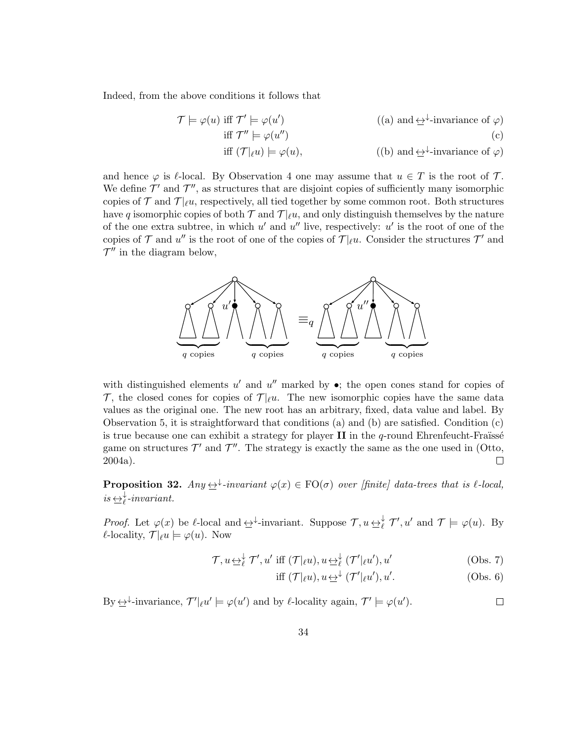Indeed, from the above conditions it follows that

$$
\mathcal{T} \models \varphi(u) \text{ iff } \mathcal{T}' \models \varphi(u') \tag{a) and } \underline{\leftrightarrow}^{\downarrow}\text{-invariance of } \varphi \text{)}
$$
  
iff 
$$
\mathcal{T}'' \models \varphi(u'') \tag{b) and } \underline{\leftrightarrow}^{\downarrow}\text{-invariance of } \varphi \text{}
$$
  
iff 
$$
(\mathcal{T}|_{\ell}u) \models \varphi(u), \tag{b) and } \underline{\leftrightarrow}^{\downarrow}\text{-invariance of } \varphi \text{}
$$

and hence  $\varphi$  is  $\ell$ -local. By Observation 4 one may assume that  $u \in T$  is the root of T. We define  $\mathcal{T}'$  and  $\mathcal{T}''$ , as structures that are disjoint copies of sufficiently many isomorphic copies of  $\mathcal{T}$  and  $\mathcal{T} |_{\ell} u$ , respectively, all tied together by some common root. Both structures have q isomorphic copies of both  $\mathcal T$  and  $\mathcal T|_{\ell}u$ , and only distinguish themselves by the nature of the one extra subtree, in which  $u'$  and  $u''$  live, respectively:  $u'$  is the root of one of the copies of  $\mathcal T$  and  $u''$  is the root of one of the copies of  $\mathcal T|_{\ell}u$ . Consider the structures  $\mathcal T'$  and  $\mathcal{T}''$  in the diagram below,



with distinguished elements  $u'$  and  $u''$  marked by  $\bullet$ ; the open cones stand for copies of T, the closed cones for copies of  $T|\ell u$ . The new isomorphic copies have the same data values as the original one. The new root has an arbitrary, fixed, data value and label. By Observation 5, it is straightforward that conditions (a) and (b) are satisfied. Condition (c) is true because one can exhibit a strategy for player  $II$  in the q-round Ehrenfeucht-Fraüsse game on structures  $\mathcal{T}'$  and  $\mathcal{T}''$ . The strategy is exactly the same as the one used in (Otto, 2004a).  $\Box$ 

**Proposition 32.**  $Any \rightarrow \text{linear} \varphi(x) \in \text{FO}(\sigma)$  over [finite] data-trees that is  $\ell$ -local,  $is \underbrace{\leftrightarrow}_{\ell}^{\downarrow} \text{-invariant}.$ 

*Proof.* Let  $\varphi(x)$  be  $\ell$ -local and  $\implies^{\downarrow}$ -invariant. Suppose  $\mathcal{T}, u \leftrightarrow^{\downarrow}_{\ell} \mathcal{T}', u'$  and  $\mathcal{T} \models \varphi(u)$ . By  $\ell$ -locality,  $\mathcal{T} |_{\ell} u \models \varphi(u)$ . Now

$$
\mathcal{T}, u \underline{\leftrightarrow}^{\downarrow}_{\ell} \mathcal{T}', u' \text{ iff } (\mathcal{T}|_{\ell}u), u \underline{\leftrightarrow}^{\downarrow}_{\ell} (\mathcal{T}'|_{\ell}u'), u' \qquad (Obs. 7)
$$

$$
\text{iff } (\mathcal{T}|_{\ell}u), u \underline{\leftrightarrow}^{\downarrow} (\mathcal{T}'|_{\ell}u'), u'. \tag{Obs. 6}
$$

By  $\leftrightarrow^{\downarrow}$ -invariance,  $\mathcal{T}'|_{\ell}u' \models \varphi(u')$  and by  $\ell$ -locality again,  $\mathcal{T}' \models \varphi(u')$ .  $\Box$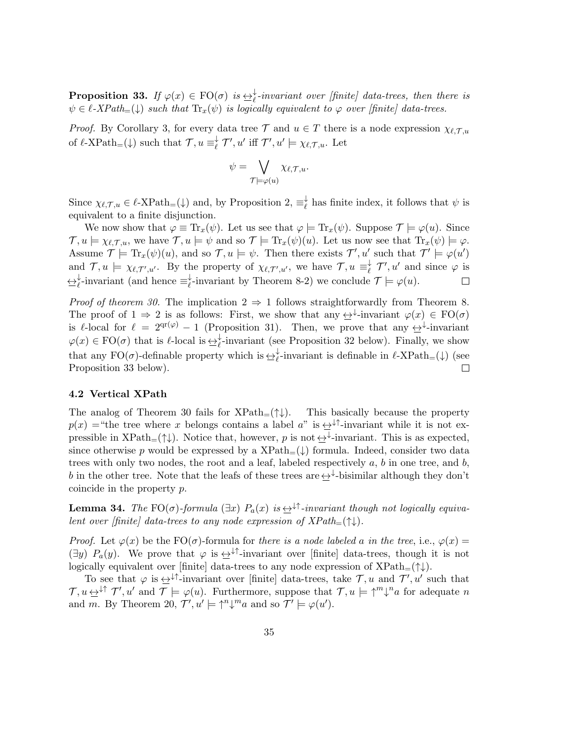**Proposition 33.** If  $\varphi(x) \in \text{FO}(\sigma)$  is  $\Rightarrow \frac{1}{\ell}$ -invariant over [finite] data-trees, then there is  $\psi \in \ell$ -XPath=( $\downarrow$ ) such that  $\text{Tr}_x(\psi)$  is logically equivalent to  $\varphi$  over [finite] data-trees.

*Proof.* By Corollary 3, for every data tree T and  $u \in T$  there is a node expression  $\chi_{\ell,T,u}$ of  $\ell$ -XPath<sub>=</sub>( $\downarrow$ ) such that  $\mathcal{T}, u \equiv_{\ell}^{\downarrow}$  $\overline{\mathcal{U}}^{\downarrow}$   $\mathcal{T}'$ ,  $u'$  iff  $\mathcal{T}'$ ,  $u' \models \chi_{\ell, \mathcal{T}, u}$ . Let

$$
\psi = \bigvee_{\mathcal{T} \models \varphi(u)} \chi_{\ell, \mathcal{T}, u}.
$$

Since  $\chi_{\ell,\mathcal{T},u} \in \ell$ -XPath<sub>=</sub>( $\downarrow$ ) and, by Proposition 2,  $\equiv_{\ell}^{\downarrow}$  $_{\ell}^{\star}$  has finite index, it follows that  $\psi$  is equivalent to a finite disjunction.

We now show that  $\varphi \equiv \text{Tr}_x(\psi)$ . Let us see that  $\varphi \models \text{Tr}_x(\psi)$ . Suppose  $\mathcal{T} \models \varphi(u)$ . Since  $\mathcal{T}, u \models \chi_{\ell, \mathcal{T}, u}$ , we have  $\mathcal{T}, u \models \psi$  and so  $\mathcal{T} \models \text{Tr}_x(\psi)(u)$ . Let us now see that  $\text{Tr}_x(\psi) \models \varphi$ . Assume  $\mathcal{T} \models \text{Tr}_x(\psi)(u)$ , and so  $\mathcal{T}, u \models \psi$ . Then there exists  $\mathcal{T}', u'$  such that  $\mathcal{T}' \models \varphi(u')$ and  $\mathcal{T}, u \models \chi_{\ell, \mathcal{T}', u'}$ . By the property of  $\chi_{\ell, \mathcal{T}', u'}$ , we have  $\mathcal{T}, u \equiv_{\ell}^{\downarrow}$  $\overline{\ell}$   $\mathcal{T}', u'$  and since  $\varphi$  is  $\leftrightarrow^{\downarrow}_{\ell}$ -invariant (and hence  $\equiv^{\downarrow}_{\ell}$  $\psi_{\ell}^*$ -invariant by Theorem 8-2) we conclude  $\mathcal{T} \models \varphi(u)$ .  $\Box$ 

*Proof of theorem 30.* The implication  $2 \Rightarrow 1$  follows straightforwardly from Theorem 8. The proof of  $1 \Rightarrow 2$  is as follows: First, we show that any  $\leftrightarrow$  invariant  $\varphi(x) \in \mathrm{FO}(\sigma)$ is  $\ell$ -local for  $\ell = 2^{\text{qr}(\varphi)} - 1$  (Proposition 31). Then, we prove that any  $\leftrightarrow$ <sup>+</sup>-invariant  $\varphi(x) \in \text{FO}(\sigma)$  that is  $\ell$ -local is  $\leq \ell$ -invariant (see Proposition 32 below). Finally, we show that any FO( $\sigma$ )-definable property which is  $\leftrightarrow^{\downarrow}_{\ell}$ -invariant is definable in  $\ell$ -XPath<sub>=</sub>( $\downarrow$ ) (see Proposition 33 below).

#### 4.2 Vertical XPath

The analog of Theorem 30 fails for  $XPath_{=}(\uparrow\downarrow)$ . This basically because the property  $p(x)$  = "the tree where x belongs contains a label a" is  $\leftrightarrow^{\downarrow\uparrow}$ -invariant while it is not expressible in  $\text{XPath}_{=}(\uparrow\downarrow)$ . Notice that, however, p is not  $\leftrightarrow^{\downarrow}$ -invariant. This is as expected, since otherwise p would be expressed by a  $XPath_{=}(\downarrow)$  formula. Indeed, consider two data trees with only two nodes, the root and a leaf, labeled respectively  $a, b$  in one tree, and  $b$ , b in the other tree. Note that the leafs of these trees are  $\leftrightarrow^{\downarrow}$ -bisimilar although they don't coincide in the property p.

**Lemma 34.** The FO( $\sigma$ )-formula ( $\exists x$ )  $P_a(x)$  is  $\leftrightarrow$ <sup> $\downarrow\uparrow$ </sup>-invariant though not logically equivalent over [finite] data-trees to any node expression of  $XPath_{=}(\uparrow\downarrow).$ 

*Proof.* Let  $\varphi(x)$  be the FO( $\sigma$ )-formula for there is a node labeled a in the tree, i.e.,  $\varphi(x)$  =  $(\exists y)$   $P_a(y)$ . We prove that  $\varphi$  is  $\leftrightarrow^{\downarrow\dagger}$ -invariant over [finite] data-trees, though it is not logically equivalent over [finite] data-trees to any node expression of  $XPath_{=}(\uparrow\downarrow).$ 

To see that  $\varphi$  is  $\leftrightarrow^{\downarrow\uparrow}$ -invariant over [finite] data-trees, take  $\mathcal{T}, u$  and  $\mathcal{T}', u'$  such that  $\mathcal{T}, u \leftrightarrow^{\downarrow\uparrow} \mathcal{T}', u'$  and  $\mathcal{T} \models \varphi(u)$ . Furthermore, suppose that  $\mathcal{T}, u \models \uparrow^m \downarrow^n a$  for adequate n and m. By Theorem 20,  $\mathcal{T}', u' \models \uparrow^n \downarrow^m a$  and so  $\mathcal{T}' \models \varphi(u')$ .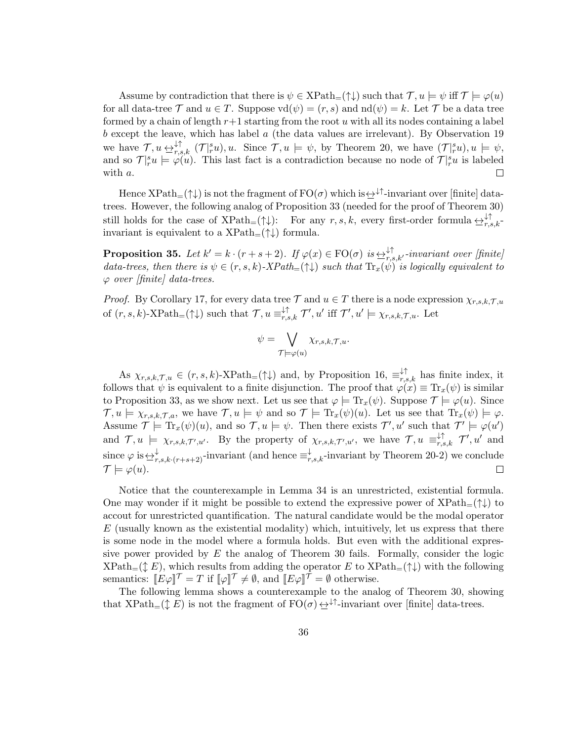Assume by contradiction that there is  $\psi \in \text{XPath}_{=}(\uparrow\downarrow)$  such that  $\mathcal{T}, u \models \psi$  iff  $\mathcal{T} \models \varphi(u)$ for all data-tree T and  $u \in T$ . Suppose  $\text{vd}(\psi) = (r, s)$  and  $\text{nd}(\psi) = k$ . Let T be a data tree formed by a chain of length  $r+1$  starting from the root u with all its nodes containing a label  $b$  except the leave, which has label  $a$  (the data values are irrelevant). By Observation 19 we have  $\mathcal{T}, u \in \mathcal{F}_{r,s,k}^{\dagger}$   $(\mathcal{T}|_r^s u), u$ . Since  $\mathcal{T}, u \models \psi$ , by Theorem 20, we have  $(\mathcal{T}|_r^s u), u \models \psi$ , and so  $\mathcal{T}|_r^s u \models \varphi(u)$ . This last fact is a contradiction because no node of  $\mathcal{T}|_r^s u$  is labeled with a.  $\Box$ 

Hence  $XPath_{=}(\uparrow\downarrow)$  is not the fragment of  $FO(\sigma)$  which is  $\leftrightarrow^{\downarrow\uparrow}$ -invariant over [finite] datatrees. However, the following analog of Proposition 33 (needed for the proof of Theorem 30) still holds for the case of  $\text{XPath}_{=}(\uparrow\downarrow)$ : For any  $r, s, k$ , every first-order formula  $\leftrightarrow_{r,s,k}^{\downarrow\uparrow}$ invariant is equivalent to a  $XPath_{=}(\uparrow\downarrow)$  formula.

**Proposition 35.** Let  $k' = k \cdot (r + s + 2)$ . If  $\varphi(x) \in \text{FO}(\sigma)$  is  $\Rightarrow_{r,s,k'}^{\uparrow \uparrow}$ -invariant over [finite] data-trees, then there is  $\psi \in (r, s, k)$ -XPath= $(\uparrow \downarrow)$  such that  $\text{Tr}_x(\psi)$  is logically equivalent to  $\varphi$  over [finite] data-trees.

*Proof.* By Corollary 17, for every data tree  $\mathcal{T}$  and  $u \in T$  there is a node expression  $\chi_{r,s,k,\mathcal{T},u}$ of  $(r, s, k)$ -XPath<sub>=</sub> $(\uparrow \downarrow)$  such that  $\mathcal{T}, u \equiv_{r, s, k}^{\downarrow \uparrow} \mathcal{T}', u'$  iff  $\mathcal{T}', u' \models \chi_{r, s, k, \mathcal{T}, u}$ . Let

$$
\psi = \bigvee_{\mathcal{T} \models \varphi(u)} \chi_{r,s,k,\mathcal{T},u}.
$$

As  $\chi_{r,s,k,\mathcal{T},u} \in (r,s,k)$ -XPath<sub>=</sub>( $\uparrow \downarrow$ ) and, by Proposition 16,  $\equiv_{r,s,k}^{\downarrow \uparrow}$  has finite index, it follows that  $\psi$  is equivalent to a finite disjunction. The proof that  $\varphi(x) \equiv \text{Tr}_x(\psi)$  is similar to Proposition 33, as we show next. Let us see that  $\varphi \models \text{Tr}_x(\psi)$ . Suppose  $\mathcal{T} \models \varphi(u)$ . Since  $\mathcal{T}, u \models \chi_{r,s,k,\mathcal{T},a}$ , we have  $\mathcal{T}, u \models \psi$  and so  $\mathcal{T} \models \text{Tr}_x(\psi)(u)$ . Let us see that  $\text{Tr}_x(\psi) \models \varphi$ . Assume  $\mathcal{T} \models \text{Tr}_x(\psi)(u)$ , and so  $\mathcal{T}, u \models \psi$ . Then there exists  $\mathcal{T}', u'$  such that  $\mathcal{T}' \models \varphi(u')$ and  $\mathcal{T}, u \models \chi_{r,s,k,\mathcal{T}',u'}$ . By the property of  $\chi_{r,s,k,\mathcal{T}',u'}$ , we have  $\mathcal{T}, u \equiv_{r,s,k}^{\downarrow \uparrow} \mathcal{T}', u'$  and since  $\varphi$  is  $\triangleq_{r,s,k\cdot (r+s+2)}^{\downarrow}$ -invariant (and hence  $\equiv_{r,s,k}^{\downarrow}$ -invariant by Theorem 20-2) we conclude  $\mathcal{T} \models \varphi(u).$  $\Box$ 

Notice that the counterexample in Lemma 34 is an unrestricted, existential formula. One may wonder if it might be possible to extend the expressive power of  $XPath_{=}(\uparrow\downarrow)$  to accout for unrestricted quantification. The natural candidate would be the modal operator  $E$  (usually known as the existential modality) which, intuitively, let us express that there is some node in the model where a formula holds. But even with the additional expressive power provided by  $E$  the analog of Theorem 30 fails. Formally, consider the logic  $XPath_{=}(\updownarrow E)$ , which results from adding the operator E to  $XPath_{=}(\uparrow\downarrow)$  with the following semantics:  $[[E\varphi]]^{\mathcal{T}} = T$  if  $[\varphi]]^{\mathcal{T}} \neq \emptyset$ , and  $[[E\varphi]]^{\mathcal{T}} = \emptyset$  otherwise.

The following lemma shows a counterexample to the analog of Theorem 30, showing that XPath<sub>=</sub>( $\updownarrow E$ ) is not the fragment of FO( $\sigma$ )  $\leftrightarrow$ <sup> $\downarrow \uparrow$ </sup>-invariant over [finite] data-trees.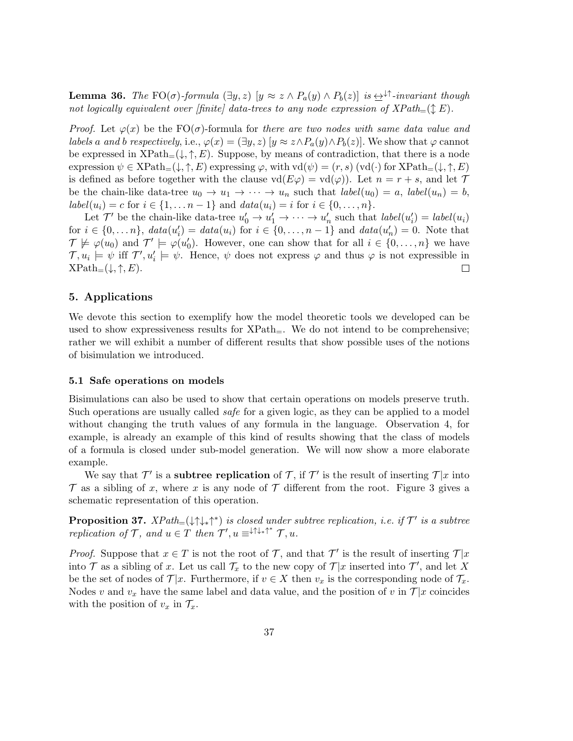**Lemma 36.** The FO( $\sigma$ )-formula  $(\exists y, z)$   $[y \approx z \land P_a(y) \land P_b(z)]$  is  $\leftrightarrow$ <sup> $\uparrow$ </sup>-invariant though not logically equivalent over [finite] data-trees to any node expression of  $XPath_{=}(\mathcal{L} E)$ .

*Proof.* Let  $\varphi(x)$  be the FO( $\sigma$ )-formula for there are two nodes with same data value and labels a and b respectively, i.e.,  $\varphi(x) = (\exists y, z)$   $[y \approx z \land P_a(y) \land P_b(z)]$ . We show that  $\varphi$  cannot be expressed in  $XPath_{=}(\downarrow, \uparrow, E)$ . Suppose, by means of contradiction, that there is a node expression  $\psi \in \text{XPath}_{=}(\downarrow, \uparrow, E)$  expressing  $\varphi$ , with  $\text{vd}(\psi) = (r, s)$  (vd $(\cdot)$  for  $\text{XPath}_{=}(\downarrow, \uparrow, E)$ ) is defined as before together with the clause  $\mathrm{vd}(E\varphi) = \mathrm{vd}(\varphi)$ . Let  $n = r + s$ , and let  $\mathcal T$ be the chain-like data-tree  $u_0 \to u_1 \to \cdots \to u_n$  such that  $label(u_0) = a$ ,  $label(u_n) = b$ ,  $label(u_i) = c$  for  $i \in \{1, ..., n-1\}$  and  $data(u_i) = i$  for  $i \in \{0, ..., n\}$ .

Let  $\mathcal{T}'$  be the chain-like data-tree  $u'_0 \to u'_1 \to \cdots \to u'_n$  such that  $label(u'_i) = label(u_i)$ for  $i \in \{0, ..., n\}$ ,  $data(u'_i) = data(u_i)$  for  $i \in \{0, ..., n-1\}$  and  $data(u'_n) = 0$ . Note that  $\mathcal{T} \not\models \varphi(u_0)$  and  $\mathcal{T}' \models \varphi(u'_0)$ . However, one can show that for all  $i \in \{0, \ldots, n\}$  we have  $\mathcal{T}, u_i \models \psi$  iff  $\mathcal{T}', u'_i \models \psi$ . Hence,  $\psi$  does not express  $\varphi$  and thus  $\varphi$  is not expressible in  $XPath=(\downarrow, \uparrow, E).$  $\Box$ 

# 5. Applications

We devote this section to exemplify how the model theoretic tools we developed can be used to show expressiveness results for  $XPath_{=}$ . We do not intend to be comprehensive; rather we will exhibit a number of different results that show possible uses of the notions of bisimulation we introduced.

#### 5.1 Safe operations on models

Bisimulations can also be used to show that certain operations on models preserve truth. Such operations are usually called *safe* for a given logic, as they can be applied to a model without changing the truth values of any formula in the language. Observation 4, for example, is already an example of this kind of results showing that the class of models of a formula is closed under sub-model generation. We will now show a more elaborate example.

We say that  $\mathcal{T}'$  is a **subtree replication** of  $\mathcal{T}$ , if  $\mathcal{T}'$  is the result of inserting  $\mathcal{T}|x$  into  $\mathcal T$  as a sibling of x, where x is any node of  $\mathcal T$  different from the root. Figure 3 gives a schematic representation of this operation.

**Proposition 37.**  $XPath=(\downarrow\uparrow\downarrow,\uparrow^*)$  is closed under subtree replication, i.e. if  $\mathcal{T}'$  is a subtree replication of  $\mathcal{T}$ , and  $u \in \hat{T}$  then  $\mathcal{T}'$ ,  $u \equiv^{\downarrow \uparrow \downarrow_* \uparrow^*} \mathcal{T}$ ,  $u$ .

*Proof.* Suppose that  $x \in T$  is not the root of  $T$ , and that  $T'$  is the result of inserting  $T | x$ into  $\mathcal T$  as a sibling of x. Let us call  $\mathcal T_x$  to the new copy of  $\mathcal T|x$  inserted into  $\mathcal T'$ , and let X be the set of nodes of  $\mathcal{T}|x$ . Furthermore, if  $v \in X$  then  $v_x$  is the corresponding node of  $\mathcal{T}_x$ . Nodes v and  $v_x$  have the same label and data value, and the position of v in  $\mathcal{T}|x$  coincides with the position of  $v_x$  in  $\mathcal{T}_x$ .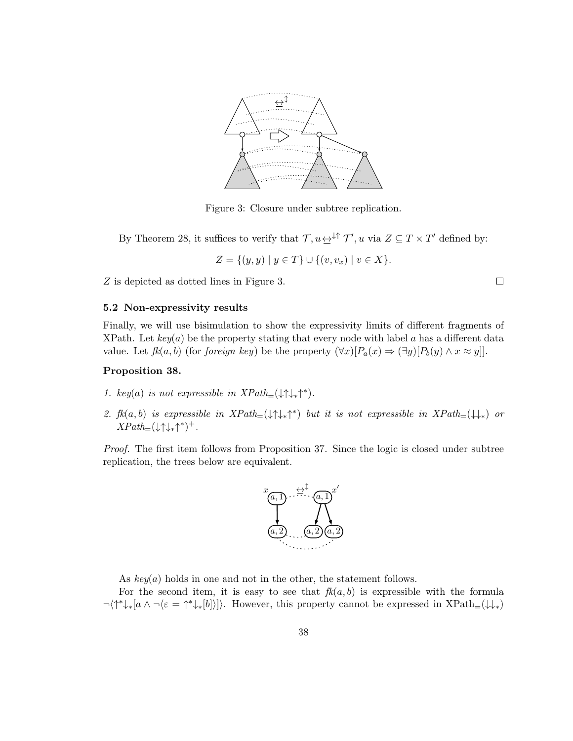

Figure 3: Closure under subtree replication.

By Theorem 28, it suffices to verify that  $\mathcal{T}, u \leftrightarrow^{\downarrow\uparrow} \mathcal{T}'$ , u via  $Z \subseteq T \times T'$  defined by:

$$
Z = \{(y, y) \mid y \in T\} \cup \{(v, v_x) \mid v \in X\}.
$$

Z is depicted as dotted lines in Figure 3.

#### 5.2 Non-expressivity results

Finally, we will use bisimulation to show the expressivity limits of different fragments of XPath. Let  $key(a)$  be the property stating that every node with label a has a different data value. Let  $f k(a, b)$  (for *foreign key*) be the property  $(\forall x)[P_a(x) \Rightarrow (\exists y)[P_b(y) \land x \approx y]].$ 

#### Proposition 38.

- 1. key(a) is not expressible in  $XPath_{=}(\downarrow \uparrow \downarrow _* \uparrow ^*).$
- 2.  $f k(a, b)$  is expressible in  $XPath_{=}(\downarrow \uparrow \downarrow_{*} \uparrow^{*})$  but it is not expressible in  $XPath_{=}(\downarrow \downarrow_{*})$  or  $XPath_{=}(\downarrow \uparrow \downarrow _* \uparrow ^*)^+.$

Proof. The first item follows from Proposition 37. Since the logic is closed under subtree replication, the trees below are equivalent.



As  $key(a)$  holds in one and not in the other, the statement follows.

For the second item, it is easy to see that  $fk(a, b)$  is expressible with the formula  $\neg\langle\uparrow^*\downarrow_*[a \wedge \neg \langle \varepsilon = \uparrow^*\downarrow_*[b] \rangle]\rangle$ . However, this property cannot be expressed in XPath<sub>=</sub>( $\downarrow\downarrow_*$ )

 $\Box$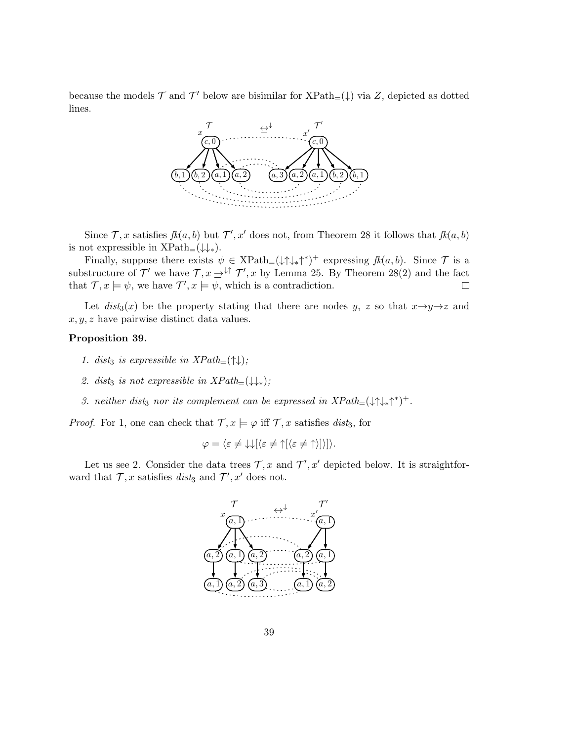because the models  $\mathcal T$  and  $\mathcal T'$  below are bisimilar for  $\text{XPath}_{=}(\downarrow)$  via  $Z$ , depicted as dotted lines.



Since  $\mathcal{T}, x$  satisfies  $fk(a, b)$  but  $\mathcal{T}', x'$  does not, from Theorem 28 it follows that  $fk(a, b)$ is not expressible in  $XPath=(\downarrow\downarrow_*)$ .

Finally, suppose there exists  $\psi \in \text{XPath}(\downarrow \uparrow \downarrow_*)^+$  expressing  $fk(a, b)$ . Since  $\mathcal T$  is a substructure of  $\mathcal{T}'$  we have  $\mathcal{T}, x \to^{\downarrow \uparrow} \mathcal{T}', x$  by Lemma 25. By Theorem 28(2) and the fact that  $\mathcal{T}, x \models \psi$ , we have  $\mathcal{T}', x \models \psi$ , which is a contradiction.  $\Box$ 

Let  $dist_3(x)$  be the property stating that there are nodes y, z so that  $x \rightarrow y \rightarrow z$  and  $x, y, z$  have pairwise distinct data values.

# Proposition 39.

- 1. dist<sub>3</sub> is expressible in  $XPath_{=}(\uparrow\downarrow);$
- 2. dist<sub>3</sub> is not expressible in  $XPath_{=}(\downarrow\downarrow_{*})$ ;
- 3. neither dist<sub>3</sub> nor its complement can be expressed in  $XPath_{=}(\downarrow \uparrow \downarrow _* \uparrow ^*)^+$ .

*Proof.* For 1, one can check that  $\mathcal{T}, x \models \varphi$  iff  $\mathcal{T}, x$  satisfies dist<sub>3</sub>, for

$$
\varphi = \langle \varepsilon \neq \downarrow \downarrow [\langle \varepsilon \neq \uparrow [\langle \varepsilon \neq \uparrow \rangle] \rangle].
$$

Let us see 2. Consider the data trees  $\mathcal{T}, x$  and  $\mathcal{T}', x'$  depicted below. It is straightforward that  $\mathcal{T}, x$  satisfies *dist*<sub>3</sub> and  $\mathcal{T}', x'$  does not.

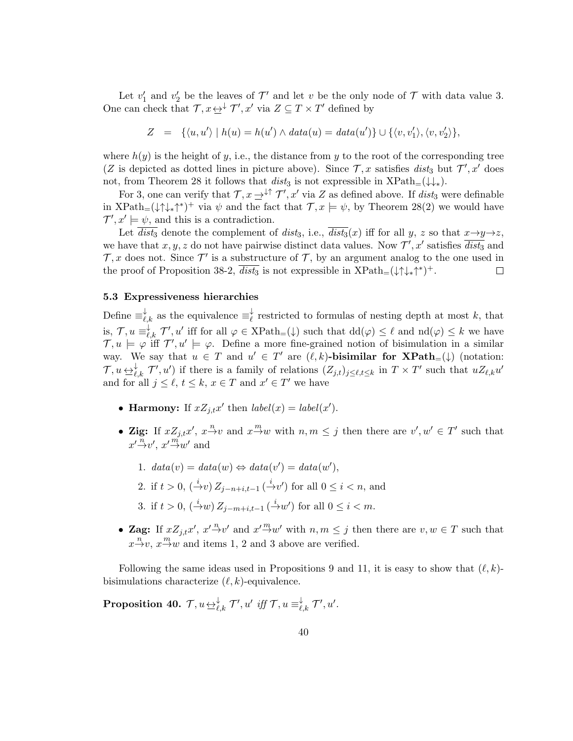Let  $v'_1$  and  $v'_2$  be the leaves of  $\mathcal{T}'$  and let v be the only node of  $\mathcal T$  with data value 3. One can check that  $\mathcal{T}, x \leftrightarrow^{\downarrow} \mathcal{T}', x'$  via  $Z \subseteq T \times T'$  defined by

$$
Z = \{ \langle u, u' \rangle \mid h(u) = h(u') \land data(u) = data(u') \} \cup \{ \langle v, v_1' \rangle, \langle v, v_2' \rangle \},
$$

where  $h(y)$  is the height of y, i.e., the distance from y to the root of the corresponding tree (Z is depicted as dotted lines in picture above). Since  $\mathcal{T}, x$  satisfies  $dist_3$  but  $\mathcal{T}', x'$  does not, from Theorem 28 it follows that dist<sub>3</sub> is not expressible in  $XPath_{=}(\downarrow\downarrow_{*}).$ 

For 3, one can verify that  $\mathcal{T}, x \to \downarrow^{\uparrow} \mathcal{T}'$ , x' via Z as defined above. If  $dist_3$  were definable in  $XPath=(\downarrow\uparrow\downarrow_{*}\uparrow^{*})^{+}$  via  $\psi$  and the fact that  $\mathcal{T}, x \models \psi$ , by Theorem 28(2) we would have  $\mathcal{T}', x' \models \psi$ , and this is a contradiction.

Let  $\overline{dist_3}$  denote the complement of  $dist_3$ , i.e.,  $\overline{dist_3}(x)$  iff for all y, z so that  $x \rightarrow y \rightarrow z$ , we have that x, y, z do not have pairwise distinct data values. Now  $\mathcal{T}', x'$  satisfies  $\overline{dist_3}$  and  $\mathcal{T}, x$  does not. Since  $\mathcal{T}'$  is a substructure of  $\mathcal{T}$ , by an argument analog to the one used in the proof of Proposition 38-2,  $\overline{dist_3}$  is not expressible in  $XPath=(\downarrow \uparrow \downarrow _* \uparrow ^*)^+$ .

# 5.3 Expressiveness hierarchies

Define  $\equiv_{\ell,k}^{\downarrow}$  as the equivalence  $\equiv_{\ell}^{\downarrow}$  $\chi$ <sup>\*</sup> restricted to formulas of nesting depth at most k, that is,  $\mathcal{T}, u \equiv_{\ell,k}^{\downarrow} \mathcal{T}', u'$  iff for all  $\varphi \in \text{XPath}_{=}(\downarrow)$  such that  $\text{dd}(\varphi) \leq \ell$  and  $\text{nd}(\varphi) \leq k$  we have  $\mathcal{T}, u \models \varphi$  iff  $\mathcal{T}', u' \models \varphi$ . Define a more fine-grained notion of bisimulation in a similar way. We say that  $u \in T$  and  $u' \in T'$  are  $(\ell, k)$ -bisimilar for  $\mathbf{XPath}_{=}(\downarrow)$  (notation:  $\mathcal{T}, u \leftrightarrow_{\ell,k}^{\downarrow} \mathcal{T}', u'$  if there is a family of relations  $(Z_{j,t})_{j \leq \ell,t \leq k}$  in  $T \times T'$  such that  $uZ_{\ell,k}u'$ and for all  $j \leq \ell, t \leq k, x \in T$  and  $x' \in T'$  we have

- Harmony: If  $xZ_{j,t}x'$  then  $label(x) = label(x')$ .
- Zig: If  $xZ_{j,t}x', x^2\rightarrow v$  and  $x^{\frac{m}{2}}w$  with  $n, m \leq j$  then there are  $v', w' \in T'$  such that  $x' \xrightarrow{n} v'$ ,  $x' \xrightarrow{m} w'$  and
	- 1.  $data(v) = data(w) \Leftrightarrow data(v') = data(w'),$
	- 2. if  $t > 0$ ,  $({\xrightarrow{i}} v) Z_{j-n+i,t-1} ({\xrightarrow{i}} v')$  for all  $0 \le i < n$ , and
	- 3. if  $t > 0$ ,  $({}^i \rightarrow w) Z_{j-m+i,t-1} ({}^i \rightarrow w')$  for all  $0 \le i < m$ .
- Zag: If  $xZ_{j,t}x', x' \stackrel{n}{\rightarrow} v'$  and  $x' \stackrel{m}{\rightarrow} w'$  with  $n, m \leq j$  then there are  $v, w \in T$  such that  $x \xrightarrow{n} v$ ,  $x \xrightarrow{m} w$  and items 1, 2 and 3 above are verified.

Following the same ideas used in Propositions 9 and 11, it is easy to show that  $(\ell, k)$ bisimulations characterize  $(\ell, k)$ -equivalence.

 $\textbf{Proposition 40.} \;\: \mathcal{T}, u\mathop{\leftrightarrow}\limits_{\ell,k}^{\downarrow} \mathcal{T}', u' \;\textit{iff} \; \mathcal{T}, u\equiv^{\downarrow}_{\ell,k} \mathcal{T}', u'.$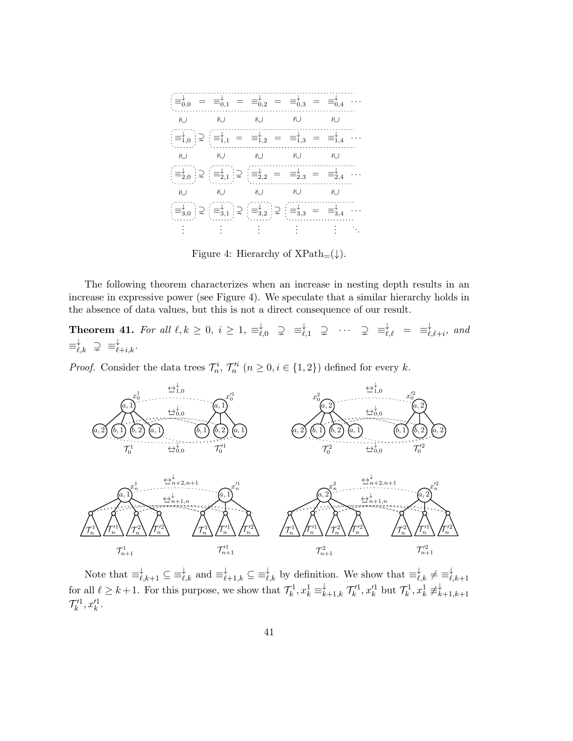

Figure 4: Hierarchy of  $XPath_{=}(\downarrow)$ .

The following theorem characterizes when an increase in nesting depth results in an increase in expressive power (see Figure 4). We speculate that a similar hierarchy holds in the absence of data values, but this is not a direct consequence of our result.

Theorem 41. For all  $\ell, k \geq 0, i \geq 1, \equiv_{\ell,0}^{\downarrow} \supsetneq \equiv_{\ell,1}^{\downarrow} \supsetneq \cdots \supsetneq \equiv_{\ell,\ell}^{\downarrow} = \equiv_{\ell}^{\downarrow}$  $\bigcup_{\ell,\ell+i}^{\downarrow}$ , and  $\equiv_{\ell,k}^{\downarrow} \supsetneq \equiv_{\ell+i,k}^{\downarrow}.$ 

*Proof.* Consider the data trees  $\mathcal{T}_n^i$ ,  $\mathcal{T}_n'^i$   $(n \geq 0, i \in \{1, 2\})$  defined for every k.



Note that  $\equiv_{\ell,k+1}^{\downarrow} \subseteq \equiv_{\ell,k}^{\downarrow}$  and  $\equiv_{\ell+1,k}^{\downarrow} \subseteq \equiv_{\ell,k}^{\downarrow}$  by definition. We show that  $\equiv_{\ell,k}^{\downarrow} \neq \equiv_{\ell}^{\downarrow}$  $^{\ell,k+1}$ for all  $\ell \geq k+1$ . For this purpose, we show that  $\mathcal{T}_k^1, x_k^1 \equiv_{k+1,k}^{\downarrow} \mathcal{T}_k'^1, x_k'^1$  but  $\mathcal{T}_k^1, x_k^1 \neq_{k}^{\downarrow}$  $k+1,k+1$  $\mathcal{T}'^1_k, x'^1_k.$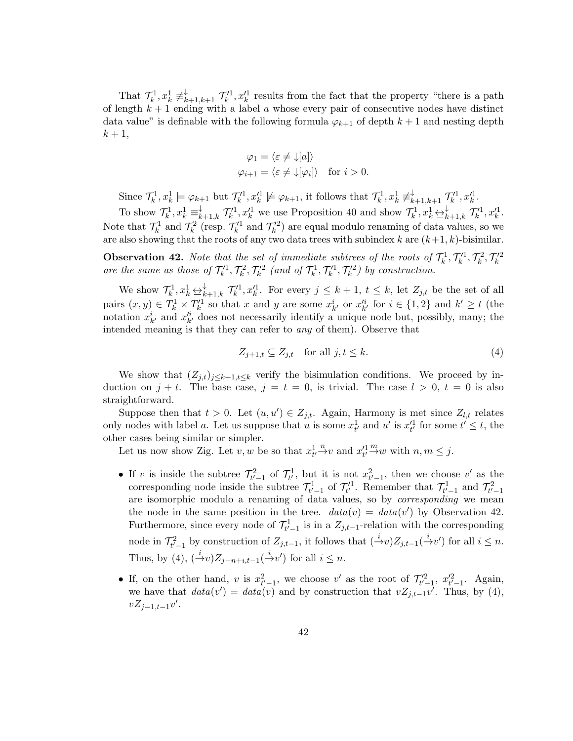That  $\mathcal{T}_k^1, x_k^1 \neq_{k+1,k+1}^{\downarrow} \mathcal{T}_k'^1, x_k'^1$  results from the fact that the property "there is a path of length  $k + 1$  ending with a label a whose every pair of consecutive nodes have distinct data value" is definable with the following formula  $\varphi_{k+1}$  of depth  $k+1$  and nesting depth  $k+1,$ 

$$
\varphi_1 = \langle \varepsilon \neq \downarrow [a] \rangle
$$
  

$$
\varphi_{i+1} = \langle \varepsilon \neq \downarrow [\varphi_i] \rangle \text{ for } i > 0.
$$

Since  $\mathcal{T}_k^1, x_k^1 \models \varphi_{k+1}$  but  $\mathcal{T}_k'^1, x_k'^1 \not\models \varphi_{k+1}$ , it follows that  $\mathcal{T}_k^1, x_k^1 \not\equiv_{k+1,k+1}^{\downarrow} \mathcal{T}_k'^1, x_k'^1$ .

To show  $\mathcal{T}_k^1, x_k^1 \equiv_{k+1,k}^{\downarrow} \mathcal{T}_k^{\prime 1}, x_k^{\prime 1}$  we use Proposition 40 and show  $\mathcal{T}_k^1, x_k^1 \leftrightarrow_{k+1,k}^{\downarrow} \mathcal{T}_k^{\prime 1}, x_k^{\prime 1}$ . Note that  $\mathcal{T}_k^1$  and  $\mathcal{T}_k^2$  (resp.  $\mathcal{T}_k'^1$  and  $\mathcal{T}_k'^2$ ) are equal modulo renaming of data values, so we are also showing that the roots of any two data trees with subindex  $k$  are  $(k+1, k)$ -bisimilar.

**Observation 42.** Note that the set of immediate subtrees of the roots of  $\mathcal{T}_k^1$ ,  $\mathcal{T}_k^1$ ,  $\mathcal{T}_k^2$ ,  $\mathcal{T}_k'^2$  are the same as those of  $\mathcal{T}_k^1$ ,  $\mathcal{T}_k'^2$ ,  $\mathcal{T}_k'^2$  (and of  $\mathcal{T}_k^1$ ,  $\mathcal{T}_k'^1$ ,  $\mathcal{T}_k'^$ 

We show  $\mathcal{T}_k^1, x_k^1 \underline{\leftrightarrow}_{k+1,k}^{\downarrow} \mathcal{T}_k'^1, x_k'^1$ . For every  $j \leq k+1, t \leq k$ , let  $Z_{j,t}$  be the set of all pairs  $(x, y) \in T_k^1 \times T_k'^1$  so that x and y are some  $x_{k'}^i$  or  $x_{k'}'^i$  for  $i \in \{1, 2\}$  and  $k' \ge t$  (the notation  $x_{k'}^i$  and  $x_{k'}^{\prime i}$  does not necessarily identify a unique node but, possibly, many; the intended meaning is that they can refer to any of them). Observe that

$$
Z_{j+1,t} \subseteq Z_{j,t} \quad \text{for all } j,t \le k. \tag{4}
$$

We show that  $(Z_{j,t})_{j\leq k+1,t\leq k}$  verify the bisimulation conditions. We proceed by induction on  $j + t$ . The base case,  $j = t = 0$ , is trivial. The case  $l > 0$ ,  $t = 0$  is also straightforward.

Suppose then that  $t > 0$ . Let  $(u, u') \in Z_{j,t}$ . Again, Harmony is met since  $Z_{l,t}$  relates only nodes with label a. Let us suppose that u is some  $x_{t'}^1$  and u' is  $x_{t'}'^1$  for some  $t' \leq t$ , the other cases being similar or simpler.

Let us now show Zig. Let  $v, w$  be so that  $x_t^1 \overset{n}{\rightarrow} v$  and  $x_t'^1 \overset{n}{\rightarrow} w$  with  $n, m \leq j$ .

- If v is inside the subtree  $\mathcal{T}_{t'-1}^2$  of  $\mathcal{T}_{t'}^1$ , but it is not  $x_{t'-1}^2$ , then we choose v' as the corresponding node inside the subtree  $\mathcal{T}_{t'-1}^1$  of  $\mathcal{T}_{t'}^1$ . Remember that  $\mathcal{T}_{t'-1}^1$  and  $\mathcal{T}_{t'-1}^2$ are isomorphic modulo a renaming of data values, so by corresponding we mean the node in the same position in the tree.  $data(v) = data(v')$  by Observation 42. Furthermore, since every node of  $\mathcal{T}_{t'-1}^1$  is in a  $Z_{j,t-1}$ -relation with the corresponding node in  $\mathcal{T}_{t'-1}^2$  by construction of  $Z_{j,t-1}$ , it follows that  $\left(\frac{i}{-v}v\right)Z_{j,t-1}\left(\frac{i}{-v}v'\right)$  for all  $i \leq n$ . Thus, by (4),  $\left(\frac{i}{r}\right)Z_{j-n+i,t-1}(\frac{i}{r}\right)U'$  for all  $i \leq n$ .
- If, on the other hand, v is  $x_{t'-1}^2$ , we choose v' as the root of  $\mathcal{T}_{t'-1}^{\prime 2}$ ,  $x_{t'-1}^{\prime 2}$ . Again, we have that  $data(v') = data(v)$  and by construction that  $vZ_{j,t-1}v'$ . Thus, by (4),  $vZ_{j-1,t-1}v'.$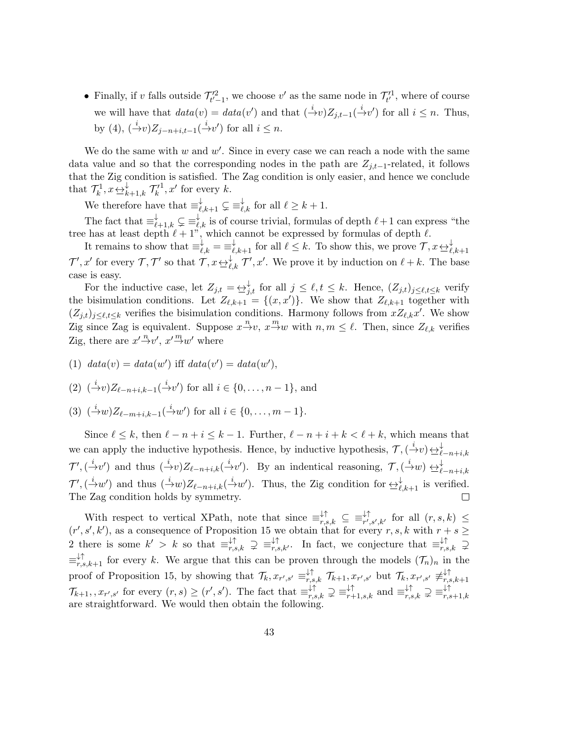• Finally, if v falls outside  $\mathcal{T}'_{t'-1}$ , we choose v' as the same node in  $\mathcal{T}'_{t'}$ , where of course we will have that  $data(v) = data(v')$  and that  $(\frac{i}{v}v)Z_{j,t-1}(\frac{i}{v}v')$  for all  $i \leq n$ . Thus, by (4),  $\left(\frac{i}{r}\nu\right)Z_{j-n+i,t-1}\left(\frac{i}{r}\nu'\right)$  for all  $i \leq n$ .

We do the same with  $w$  and  $w'$ . Since in every case we can reach a node with the same data value and so that the corresponding nodes in the path are  $Z_{j,t-1}$ -related, it follows that the Zig condition is satisfied. The Zag condition is only easier, and hence we conclude that  $\mathcal{T}_k^1, x \in \mathcal{L}_{k+1,k}$   $\mathcal{T}_k'$  $1, x'$  for every k.

We therefore have that  $\equiv_{\ell,k+1}^{\downarrow} \subsetneq \equiv_{\ell,k}^{\downarrow}$  for all  $\ell \geq k+1$ .

The fact that  $\equiv_{\ell+1,k}^{\downarrow} \subsetneq \equiv_{\ell,k}^{\downarrow}$  is of course trivial, formulas of depth  $\ell+1$  can express "the tree has at least depth  $\ell + 1$ ", which cannot be expressed by formulas of depth  $\ell$ .

It remains to show that  $\equiv_{\ell,k}^{\downarrow} = \equiv_{\ell,k+1}^{\downarrow}$  for all  $\ell \leq k$ . To show this, we prove  $\mathcal{T}, x \leftrightarrow_{\ell,k+1}^{\downarrow}$  $\mathcal{T}', x'$  for every  $\mathcal{T}, \mathcal{T}'$  so that  $\mathcal{T}, x \leftrightarrow_{\ell,k}^{\downarrow} \mathcal{T}', x'$ . We prove it by induction on  $\ell + k$ . The base case is easy.

For the inductive case, let  $Z_{j,t} = \bigoplus_{j,t}^{\downarrow}$  for all  $j \leq \ell, t \leq k$ . Hence,  $(Z_{j,t})_{j \leq \ell, t \leq k}$  verify the bisimulation conditions. Let  $Z_{\ell,k+1} = \{(x, x')\}$ . We show that  $Z_{\ell,k+1}$  together with  $(Z_{j,t})_{j\leq \ell,t\leq k}$  verifies the bisimulation conditions. Harmony follows from  $xZ_{\ell,k}x'$ . We show Zig since Zag is equivalent. Suppose  $x \stackrel{n}{\rightarrow} v$ ,  $x \stackrel{m}{\rightarrow} w$  with  $n, m \leq \ell$ . Then, since  $Z_{\ell,k}$  verifies Zig, there are  $x' \overset{n}{\rightarrow} v'$ ,  $x' \overset{m}{\rightarrow} w'$  where

(1)  $data(v) = data(w')$  iff  $data(v') = data(w'),$ 

(2)  $({}^{\dot{a}}\!\!\!\!/\,\, v)Z_{\ell-n+i,k-1}({}^{\dot{a}}\!\!\!\!/\,\, v')$  for all  $i \in \{0, \ldots, n-1\}$ , and

(3)  $(\stackrel{i}{\to} w)Z_{\ell-m+i,k-1}(\stackrel{i}{\to}w')$  for all  $i \in \{0, \ldots, m-1\}$ .

Since  $\ell \leq k$ , then  $\ell - n + i \leq k - 1$ . Further,  $\ell - n + i + k < \ell + k$ , which means that we can apply the inductive hypothesis. Hence, by inductive hypothesis,  $\mathcal{T}, (\stackrel{i}{\rightarrow} v) \underbrace{\leftrightarrow}^{\downarrow}_{\ell-n+i,k}$  $\mathcal{T}',(\dot{\to} v')$  and thus  $(\dot{\to} v)Z_{\ell-n+i,k}(\dot{\to} v')$ . By an indentical reasoning,  $\mathcal{T},(\dot{\to} w) \leftrightarrow_{\ell-n+i,k}$  $\mathcal{T}',(\dot{\to} w')$  and thus  $(\dot{\to} w)Z_{\ell-n+i,k}(\dot{\to} w')$ . Thus, the Zig condition for  $\leftrightarrow_{\ell,k+1}^{\downarrow}$  is verified. The Zag condition holds by symmetry. П

With respect to vertical XPath, note that since  $\equiv_{r,s,k}^{\downarrow\uparrow} \subseteq \equiv_{r',s',k'}^{\downarrow\uparrow}$  for all  $(r, s, k) \le$  $(r', s', k')$ , as a consequence of Proposition 15 we obtain that for every r, s, k with  $r + s \geq$ 2 there is some  $k' > k$  so that  $\equiv_{r,s,k}^{\downarrow\uparrow} \supseteq \equiv_{r,s,k'}^{\downarrow\uparrow}$ . In fact, we conjecture that  $\equiv_{r,s,k}^{\downarrow\uparrow} \supseteq$  $\equiv_{r,s,k+1}^{\downarrow\uparrow}$  for every k. We argue that this can be proven through the models  $(\mathcal{T}_n)_n$  in the proof of Proposition 15, by showing that  $\mathcal{T}_k$ ,  $x_{r',s'} \equiv_{r,s,k}^{\downarrow \uparrow} \mathcal{T}_{k+1}$ ,  $x_{r',s'}$  but  $\mathcal{T}_k$ ,  $x_{r',s'} \not\equiv_{r,s,k}^{\downarrow \uparrow}$  $r,s,k+1$  $\mathcal{T}_{k+1}, x_{r',s'}$  for every  $(r,s) \ge (r',s')$ . The fact that  $\equiv_{r,s,k}^{\downarrow\uparrow} \supsetneq \equiv_{r+1,s,k}^{\downarrow\uparrow}$  and  $\equiv_{r,s,k}^{\downarrow\uparrow} \supsetneq \equiv_{r,s}^{\downarrow\uparrow}$  $r,s+1,k$ are straightforward. We would then obtain the following.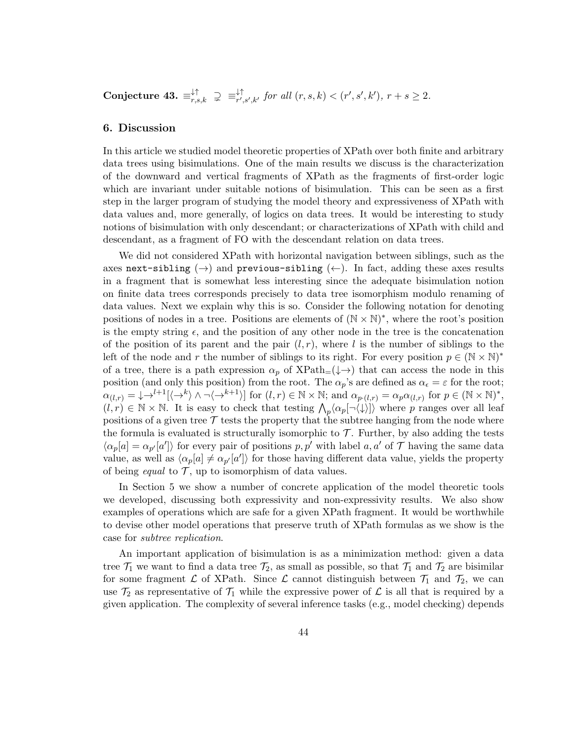$\text{Conjecture 43.} \equiv_{r,s,k}^{\downarrow\uparrow} \supsetneq \equiv_{r',s,k}^{\downarrow\uparrow}$  $\downarrow^{\uparrow}_{r',s',k'}$  for all  $(r, s, k) < (r', s', k')$ ,  $r + s \geq 2$ .

# 6. Discussion

In this article we studied model theoretic properties of XPath over both finite and arbitrary data trees using bisimulations. One of the main results we discuss is the characterization of the downward and vertical fragments of XPath as the fragments of first-order logic which are invariant under suitable notions of bisimulation. This can be seen as a first step in the larger program of studying the model theory and expressiveness of XPath with data values and, more generally, of logics on data trees. It would be interesting to study notions of bisimulation with only descendant; or characterizations of XPath with child and descendant, as a fragment of FO with the descendant relation on data trees.

We did not considered XPath with horizontal navigation between siblings, such as the axes next-sibling  $(\rightarrow)$  and previous-sibling  $(\leftarrow)$ . In fact, adding these axes results in a fragment that is somewhat less interesting since the adequate bisimulation notion on finite data trees corresponds precisely to data tree isomorphism modulo renaming of data values. Next we explain why this is so. Consider the following notation for denoting positions of nodes in a tree. Positions are elements of  $(\mathbb{N} \times \mathbb{N})^*$ , where the root's position is the empty string  $\epsilon$ , and the position of any other node in the tree is the concatenation of the position of its parent and the pair  $(l, r)$ , where l is the number of siblings to the left of the node and r the number of siblings to its right. For every position  $p \in (\mathbb{N} \times \mathbb{N})^*$ of a tree, there is a path expression  $\alpha_p$  of  $XPath_{=}(\downarrow \rightarrow)$  that can access the node in this position (and only this position) from the root. The  $\alpha_p$ 's are defined as  $\alpha_{\epsilon} = \epsilon$  for the root;  $\alpha_{(l,r)} = \downarrow \rightarrow^{l+1} [\langle \rightarrow^k \rangle \wedge \neg \langle \rightarrow^{k+1} \rangle]$  for  $(l,r) \in \mathbb{N} \times \mathbb{N}$ ; and  $\alpha_{p \cdot (l,r)} = \alpha_p \alpha_{(l,r)}$  for  $p \in (\mathbb{N} \times \mathbb{N})^*$ ,  $(l, r) \in \mathbb{N} \times \mathbb{N}$ . It is easy to check that testing  $\Lambda_p \langle \alpha_p[\neg \langle \downarrow \rangle] \rangle$  where p ranges over all leaf positions of a given tree  $\mathcal T$  tests the property that the subtree hanging from the node where the formula is evaluated is structurally isomorphic to  $\mathcal T$ . Further, by also adding the tests  $\langle \alpha_p[a] = \alpha_{p'}[a'] \rangle$  for every pair of positions p, p' with label a, a' of T having the same data value, as well as  $\langle \alpha_p[a] \neq \alpha_{p'}[a'] \rangle$  for those having different data value, yields the property of being *equal* to  $\mathcal{T}$ , up to isomorphism of data values.

In Section 5 we show a number of concrete application of the model theoretic tools we developed, discussing both expressivity and non-expressivity results. We also show examples of operations which are safe for a given XPath fragment. It would be worthwhile to devise other model operations that preserve truth of XPath formulas as we show is the case for subtree replication.

An important application of bisimulation is as a minimization method: given a data tree  $\mathcal{T}_1$  we want to find a data tree  $\mathcal{T}_2$ , as small as possible, so that  $\mathcal{T}_1$  and  $\mathcal{T}_2$  are bisimilar for some fragment  $\mathcal L$  of XPath. Since  $\mathcal L$  cannot distinguish between  $\mathcal T_1$  and  $\mathcal T_2$ , we can use  $\mathcal{T}_2$  as representative of  $\mathcal{T}_1$  while the expressive power of  $\mathcal{L}$  is all that is required by a given application. The complexity of several inference tasks (e.g., model checking) depends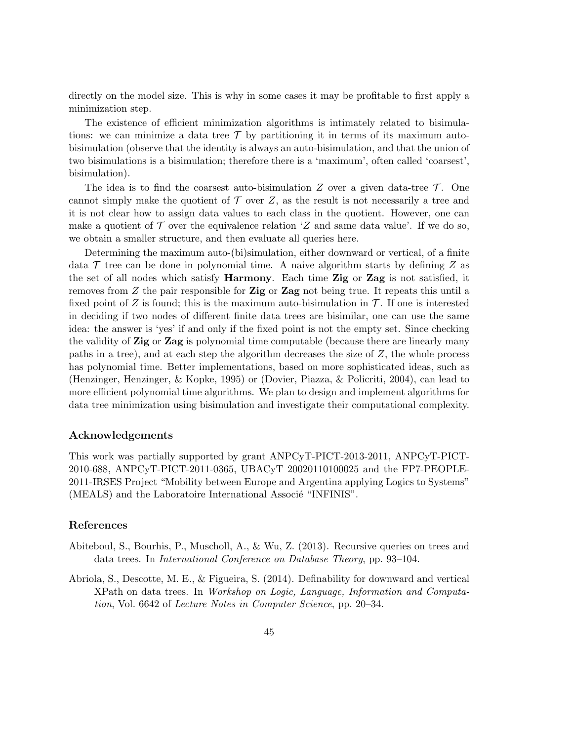directly on the model size. This is why in some cases it may be profitable to first apply a minimization step.

The existence of efficient minimization algorithms is intimately related to bisimulations: we can minimize a data tree  $\mathcal T$  by partitioning it in terms of its maximum autobisimulation (observe that the identity is always an auto-bisimulation, and that the union of two bisimulations is a bisimulation; therefore there is a 'maximum', often called 'coarsest', bisimulation).

The idea is to find the coarsest auto-bisimulation Z over a given data-tree  $\mathcal{T}$ . One cannot simply make the quotient of  $\mathcal T$  over  $Z$ , as the result is not necessarily a tree and it is not clear how to assign data values to each class in the quotient. However, one can make a quotient of  $\mathcal T$  over the equivalence relation 'Z and same data value'. If we do so, we obtain a smaller structure, and then evaluate all queries here.

Determining the maximum auto-(bi)simulation, either downward or vertical, of a finite data  $\mathcal T$  tree can be done in polynomial time. A naive algorithm starts by defining Z as the set of all nodes which satisfy **Harmony**. Each time **Zig** or **Zag** is not satisfied, it removes from Z the pair responsible for  $\mathbf{Zig}$  or  $\mathbf{Zag}$  not being true. It repeats this until a fixed point of Z is found; this is the maximum auto-bisimulation in  $\mathcal T$ . If one is interested in deciding if two nodes of different finite data trees are bisimilar, one can use the same idea: the answer is 'yes' if and only if the fixed point is not the empty set. Since checking the validity of Zig or Zag is polynomial time computable (because there are linearly many paths in a tree), and at each step the algorithm decreases the size of Z, the whole process has polynomial time. Better implementations, based on more sophisticated ideas, such as (Henzinger, Henzinger, & Kopke, 1995) or (Dovier, Piazza, & Policriti, 2004), can lead to more efficient polynomial time algorithms. We plan to design and implement algorithms for data tree minimization using bisimulation and investigate their computational complexity.

#### Acknowledgements

This work was partially supported by grant ANPCyT-PICT-2013-2011, ANPCyT-PICT-2010-688, ANPCyT-PICT-2011-0365, UBACyT 20020110100025 and the FP7-PEOPLE-2011-IRSES Project "Mobility between Europe and Argentina applying Logics to Systems" (MEALS) and the Laboratoire International Associé "INFINIS".

## References

- Abiteboul, S., Bourhis, P., Muscholl, A., & Wu, Z. (2013). Recursive queries on trees and data trees. In International Conference on Database Theory, pp. 93–104.
- Abriola, S., Descotte, M. E., & Figueira, S. (2014). Definability for downward and vertical XPath on data trees. In Workshop on Logic, Language, Information and Computation, Vol. 6642 of Lecture Notes in Computer Science, pp. 20–34.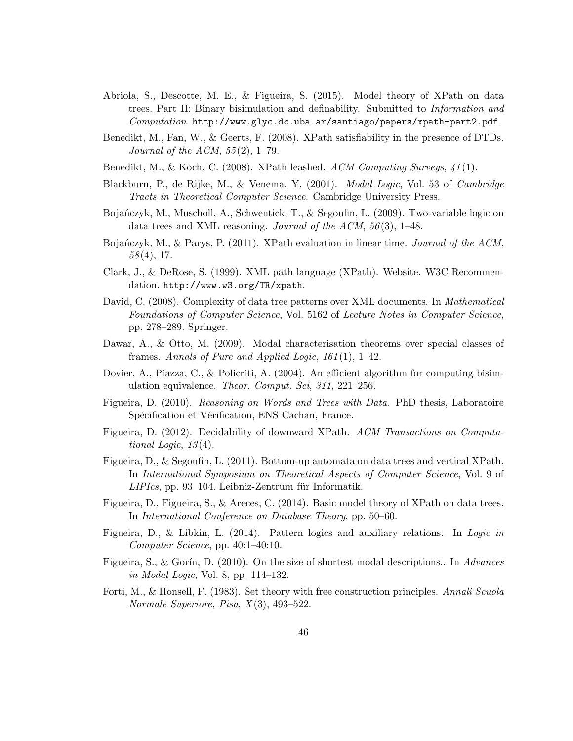- Abriola, S., Descotte, M. E., & Figueira, S. (2015). Model theory of XPath on data trees. Part II: Binary bisimulation and definability. Submitted to Information and Computation. http://www.glyc.dc.uba.ar/santiago/papers/xpath-part2.pdf.
- Benedikt, M., Fan, W., & Geerts, F. (2008). XPath satisfiability in the presence of DTDs. Journal of the ACM,  $55(2)$ , 1–79.
- Benedikt, M., & Koch, C. (2008). XPath leashed.  $ACM$  Computing Surveys,  $41(1)$ .
- Blackburn, P., de Rijke, M., & Venema, Y. (2001). Modal Logic, Vol. 53 of Cambridge Tracts in Theoretical Computer Science. Cambridge University Press.
- Bojańczyk, M., Muscholl, A., Schwentick, T., & Segoufin, L. (2009). Two-variable logic on data trees and XML reasoning. Journal of the ACM,  $56(3)$ , 1–48.
- Bojańczyk, M., & Parys, P. (2011). XPath evaluation in linear time. Journal of the ACM,  $58(4)$ , 17.
- Clark, J., & DeRose, S. (1999). XML path language (XPath). Website. W3C Recommendation. http://www.w3.org/TR/xpath.
- David, C. (2008). Complexity of data tree patterns over XML documents. In *Mathematical* Foundations of Computer Science, Vol. 5162 of Lecture Notes in Computer Science, pp. 278–289. Springer.
- Dawar, A., & Otto, M. (2009). Modal characterisation theorems over special classes of frames. Annals of Pure and Applied Logic,  $161(1)$ , 1–42.
- Dovier, A., Piazza, C., & Policriti, A. (2004). An efficient algorithm for computing bisimulation equivalence. Theor. Comput. Sci, 311, 221–256.
- Figueira, D. (2010). Reasoning on Words and Trees with Data. PhD thesis, Laboratoire Spécification et Vérification, ENS Cachan, France.
- Figueira, D. (2012). Decidability of downward XPath. ACM Transactions on Computational Logic,  $13(4)$ .
- Figueira, D., & Segoufin, L. (2011). Bottom-up automata on data trees and vertical XPath. In International Symposium on Theoretical Aspects of Computer Science, Vol. 9 of  $LIPIcs$ , pp. 93–104. Leibniz-Zentrum für Informatik.
- Figueira, D., Figueira, S., & Areces, C. (2014). Basic model theory of XPath on data trees. In International Conference on Database Theory, pp. 50–60.
- Figueira, D., & Libkin, L. (2014). Pattern logics and auxiliary relations. In Logic in Computer Science, pp. 40:1–40:10.
- Figueira, S., & Gorín, D. (2010). On the size of shortest modal descriptions.. In Advances in Modal Logic, Vol. 8, pp. 114–132.
- Forti, M., & Honsell, F. (1983). Set theory with free construction principles. Annali Scuola Normale Superiore, Pisa,  $X(3)$ , 493–522.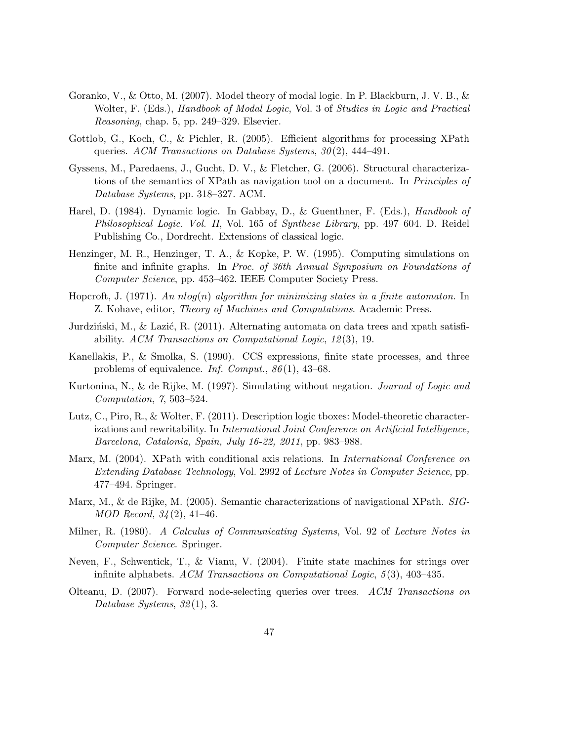- Goranko, V., & Otto, M. (2007). Model theory of modal logic. In P. Blackburn, J. V. B., & Wolter, F. (Eds.), *Handbook of Modal Logic*, Vol. 3 of *Studies in Logic and Practical* Reasoning, chap. 5, pp. 249–329. Elsevier.
- Gottlob, G., Koch, C., & Pichler, R. (2005). Efficient algorithms for processing XPath queries. ACM Transactions on Database Systems,  $30(2)$ , 444-491.
- Gyssens, M., Paredaens, J., Gucht, D. V., & Fletcher, G. (2006). Structural characterizations of the semantics of XPath as navigation tool on a document. In Principles of Database Systems, pp. 318–327. ACM.
- Harel, D. (1984). Dynamic logic. In Gabbay, D., & Guenthner, F. (Eds.), Handbook of Philosophical Logic. Vol. II, Vol. 165 of Synthese Library, pp. 497–604. D. Reidel Publishing Co., Dordrecht. Extensions of classical logic.
- Henzinger, M. R., Henzinger, T. A., & Kopke, P. W. (1995). Computing simulations on finite and infinite graphs. In Proc. of 36th Annual Symposium on Foundations of Computer Science, pp. 453–462. IEEE Computer Society Press.
- Hopcroft, J. (1971). An  $nlog(n)$  algorithm for minimizing states in a finite automaton. In Z. Kohave, editor, Theory of Machines and Computations. Academic Press.
- Jurdziński, M., & Lazić, R. (2011). Alternating automata on data trees and xpath satisfiability. ACM Transactions on Computational Logic, 12 (3), 19.
- Kanellakis, P., & Smolka, S. (1990). CCS expressions, finite state processes, and three problems of equivalence. Inf. Comput.,  $86(1)$ , 43–68.
- Kurtonina, N., & de Rijke, M. (1997). Simulating without negation. Journal of Logic and Computation, 7, 503–524.
- Lutz, C., Piro, R., & Wolter, F. (2011). Description logic tboxes: Model-theoretic characterizations and rewritability. In International Joint Conference on Artificial Intelligence, Barcelona, Catalonia, Spain, July 16-22, 2011, pp. 983–988.
- Marx, M. (2004). XPath with conditional axis relations. In International Conference on Extending Database Technology, Vol. 2992 of Lecture Notes in Computer Science, pp. 477–494. Springer.
- Marx, M., & de Rijke, M. (2005). Semantic characterizations of navigational XPath. *SIG*- $MOD\ Record, 34(2), 41-46.$
- Milner, R. (1980). A Calculus of Communicating Systems, Vol. 92 of Lecture Notes in Computer Science. Springer.
- Neven, F., Schwentick, T., & Vianu, V. (2004). Finite state machines for strings over infinite alphabets. ACM Transactions on Computational Logic,  $5(3)$ , 403–435.
- Olteanu, D. (2007). Forward node-selecting queries over trees. ACM Transactions on Database Systems, 32(1), 3.